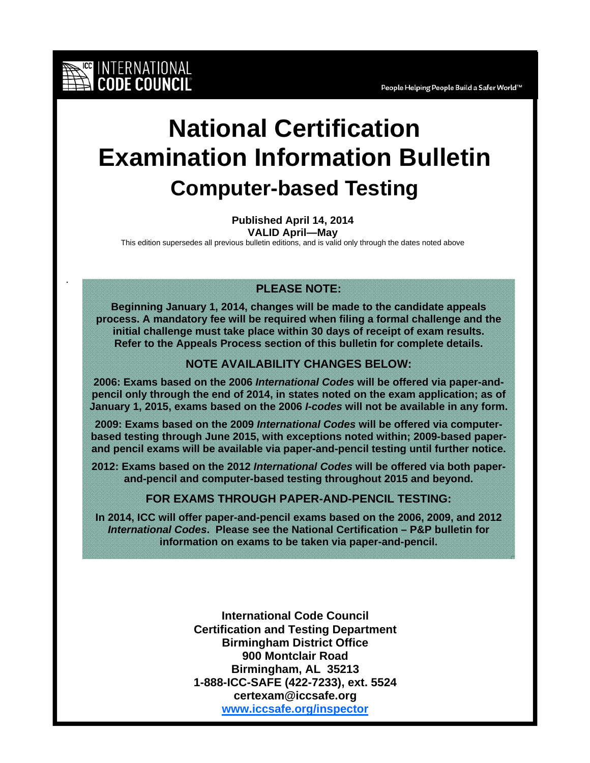# **National Certification Examination Information Bulletin Computer-based Testing**

**Published April 14, 2014**

**VALID April—May**

This edition supersedes all previous bulletin editions, and is valid only through the dates noted above

.

INTERNATIONAL<br>CODE COUNCIL

# **PLEASE NOTE:**

**Beginning January 1, 2014, changes will be made to the candidate appeals process. A mandatory fee will be required when filing a formal challenge and the initial challenge must take place within 30 days of receipt of exam results. Refer to the Appeals Process section of this bulletin for complete details.** 

#### **NOTE AVAILABILITY CHANGES BELOW:**

**2006: Exams based on the 2006** *International Codes* **will be offered via paper-andpencil only through the end of 2014, in states noted on the exam application; as of January 1, 2015, exams based on the 2006** *I-codes* **will not be available in any form.** 

**2009: Exams based on the 2009** *International Codes* **will be offered via computerbased testing through June 2015, with exceptions noted within; 2009-based paperand pencil exams will be available via paper-and-pencil testing until further notice.** 

**2012: Exams based on the 2012** *International Codes* **will be offered via both paperand-pencil and computer-based testing throughout 2015 and beyond.** 

**FOR EXAMS THROUGH PAPER-AND-PENCIL TESTING:** 

**In 2014, ICC will offer paper-and-pencil exams based on the 2006, 2009, and 2012**  *International Codes***. Please see the National Certification – P&P bulletin for information on exams to be taken via paper-and-pencil.** 

> **International Code Council Certification and Testing Department Birmingham District Office 900 Montclair Road Birmingham, AL 35213 1-888-ICC-SAFE (422-7233), ext. 5524 certexam@iccsafe.org www.iccsafe.org/inspector**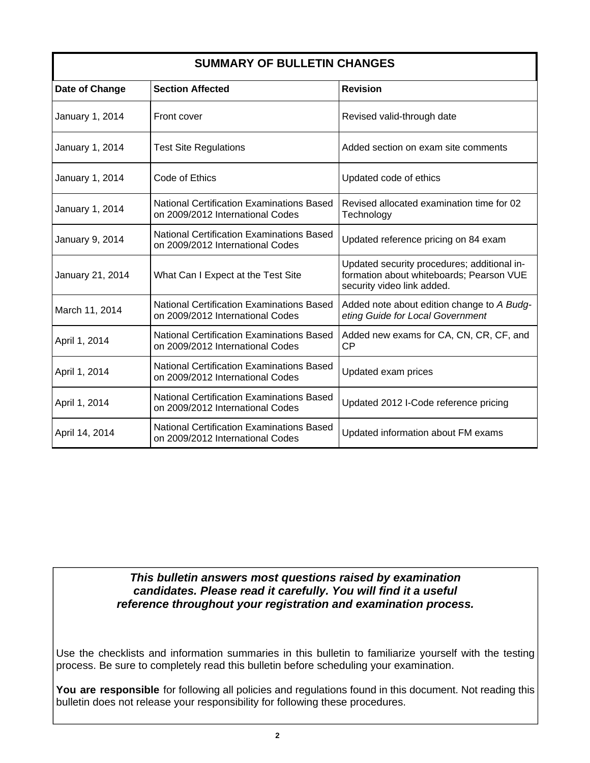| <b>SUMMARY OF BULLETIN CHANGES</b> |                                                                                      |                                                                                                                       |  |
|------------------------------------|--------------------------------------------------------------------------------------|-----------------------------------------------------------------------------------------------------------------------|--|
| Date of Change                     | <b>Section Affected</b>                                                              | <b>Revision</b>                                                                                                       |  |
| January 1, 2014                    | Front cover                                                                          | Revised valid-through date                                                                                            |  |
| January 1, 2014                    | <b>Test Site Regulations</b>                                                         | Added section on exam site comments                                                                                   |  |
| January 1, 2014                    | Code of Ethics                                                                       | Updated code of ethics                                                                                                |  |
| January 1, 2014                    | National Certification Examinations Based<br>on 2009/2012 International Codes        | Revised allocated examination time for 02<br>Technology                                                               |  |
| January 9, 2014                    | <b>National Certification Examinations Based</b><br>on 2009/2012 International Codes | Updated reference pricing on 84 exam                                                                                  |  |
| January 21, 2014                   | What Can I Expect at the Test Site                                                   | Updated security procedures; additional in-<br>formation about whiteboards; Pearson VUE<br>security video link added. |  |
| March 11, 2014                     | <b>National Certification Examinations Based</b><br>on 2009/2012 International Codes | Added note about edition change to A Budg-<br>eting Guide for Local Government                                        |  |
| April 1, 2014                      | National Certification Examinations Based<br>on 2009/2012 International Codes        | Added new exams for CA, CN, CR, CF, and<br><b>CP</b>                                                                  |  |
| April 1, 2014                      | <b>National Certification Examinations Based</b><br>on 2009/2012 International Codes | Updated exam prices                                                                                                   |  |
| April 1, 2014                      | <b>National Certification Examinations Based</b><br>on 2009/2012 International Codes | Updated 2012 I-Code reference pricing                                                                                 |  |
| April 14, 2014                     | <b>National Certification Examinations Based</b><br>on 2009/2012 International Codes | Updated information about FM exams                                                                                    |  |

## *This bulletin answers most questions raised by examination candidates. Please read it carefully. You will find it a useful reference throughout your registration and examination process.*

Use the checklists and information summaries in this bulletin to familiarize yourself with the testing process. Be sure to completely read this bulletin before scheduling your examination.

**You are responsible** for following all policies and regulations found in this document. Not reading this bulletin does not release your responsibility for following these procedures.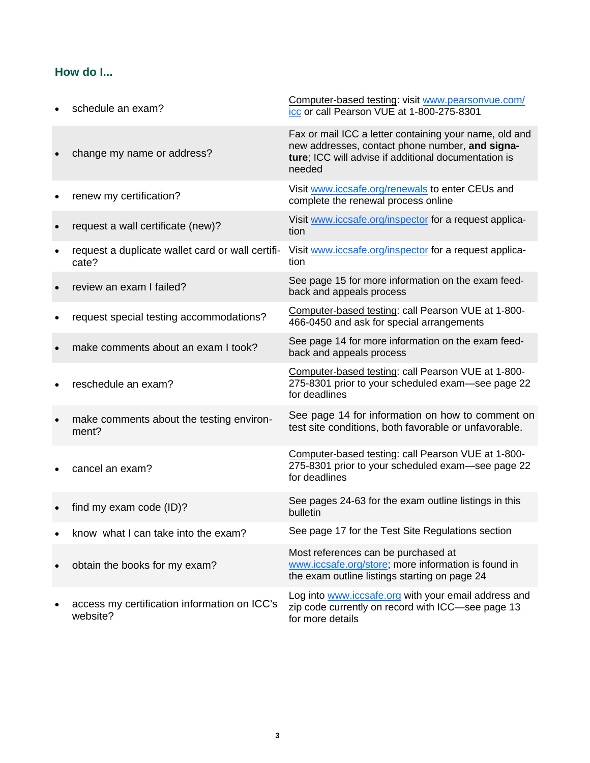# **How do I...**

| schedule an exam?                                         | Computer-based testing: visit www.pearsonvue.com/<br>icc or call Pearson VUE at 1-800-275-8301                                                                              |
|-----------------------------------------------------------|-----------------------------------------------------------------------------------------------------------------------------------------------------------------------------|
| change my name or address?                                | Fax or mail ICC a letter containing your name, old and<br>new addresses, contact phone number, and signa-<br>ture; ICC will advise if additional documentation is<br>needed |
| renew my certification?                                   | Visit www.iccsafe.org/renewals to enter CEUs and<br>complete the renewal process online                                                                                     |
| request a wall certificate (new)?                         | Visit www.iccsafe.org/inspector for a request applica-<br>tion                                                                                                              |
| request a duplicate wallet card or wall certifi-<br>cate? | Visit www.iccsafe.org/inspector for a request applica-<br>tion                                                                                                              |
| review an exam I failed?                                  | See page 15 for more information on the exam feed-<br>back and appeals process                                                                                              |
| request special testing accommodations?                   | Computer-based testing: call Pearson VUE at 1-800-<br>466-0450 and ask for special arrangements                                                                             |
| make comments about an exam I took?                       | See page 14 for more information on the exam feed-<br>back and appeals process                                                                                              |
| reschedule an exam?                                       | Computer-based testing: call Pearson VUE at 1-800-<br>275-8301 prior to your scheduled exam-see page 22<br>for deadlines                                                    |
| make comments about the testing environ-<br>ment?         | See page 14 for information on how to comment on<br>test site conditions, both favorable or unfavorable.                                                                    |
| cancel an exam?                                           | Computer-based testing: call Pearson VUE at 1-800-<br>275-8301 prior to your scheduled exam-see page 22<br>for deadlines                                                    |
| find my exam code (ID)?                                   | See pages 24-63 for the exam outline listings in this<br>bulletin                                                                                                           |
| know what I can take into the exam?                       | See page 17 for the Test Site Regulations section                                                                                                                           |
| obtain the books for my exam?                             | Most references can be purchased at<br>www.iccsafe.org/store; more information is found in<br>the exam outline listings starting on page 24                                 |
| access my certification information on ICC's<br>website?  | Log into <b>www.iccsafe.org</b> with your email address and<br>zip code currently on record with ICC-see page 13<br>for more details                                        |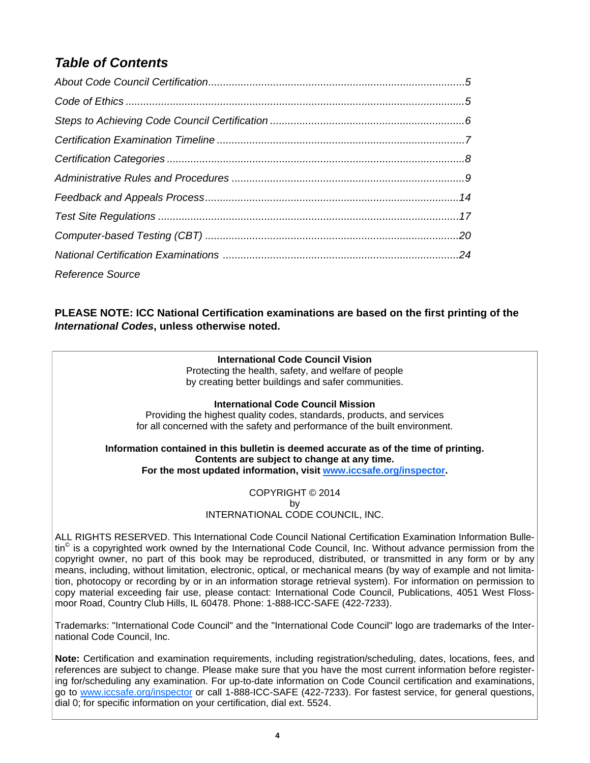# *Table of Contents*

| <b>Reference Source</b> |  |
|-------------------------|--|

**PLEASE NOTE: ICC National Certification examinations are based on the first printing of the**  *International Codes***, unless otherwise noted.** 

#### **International Code Council Vision**

Protecting the health, safety, and welfare of people by creating better buildings and safer communities.

#### **International Code Council Mission**

Providing the highest quality codes, standards, products, and services for all concerned with the safety and performance of the built environment.

#### **Information contained in this bulletin is deemed accurate as of the time of printing. Contents are subject to change at any time. For the most updated information, visit www.iccsafe.org/inspector.**

COPYRIGHT © 2014 by INTERNATIONAL CÓDE COUNCIL, INC.

ALL RIGHTS RESERVED. This International Code Council National Certification Examination Information Bulletin<sup>©</sup> is a copyrighted work owned by the International Code Council, Inc. Without advance permission from the copyright owner, no part of this book may be reproduced, distributed, or transmitted in any form or by any means, including, without limitation, electronic, optical, or mechanical means (by way of example and not limitation, photocopy or recording by or in an information storage retrieval system). For information on permission to copy material exceeding fair use, please contact: International Code Council, Publications, 4051 West Flossmoor Road, Country Club Hills, IL 60478. Phone: 1-888-ICC-SAFE (422-7233).

Trademarks: "International Code Council" and the "International Code Council" logo are trademarks of the International Code Council, Inc.

**Note:** Certification and examination requirements, including registration/scheduling, dates, locations, fees, and references are subject to change. Please make sure that you have the most current information before registering for/scheduling any examination. For up-to-date information on Code Council certification and examinations, go to www.iccsafe.org/inspector or call 1-888-ICC-SAFE (422-7233). For fastest service, for general questions, dial 0; for specific information on your certification, dial ext. 5524.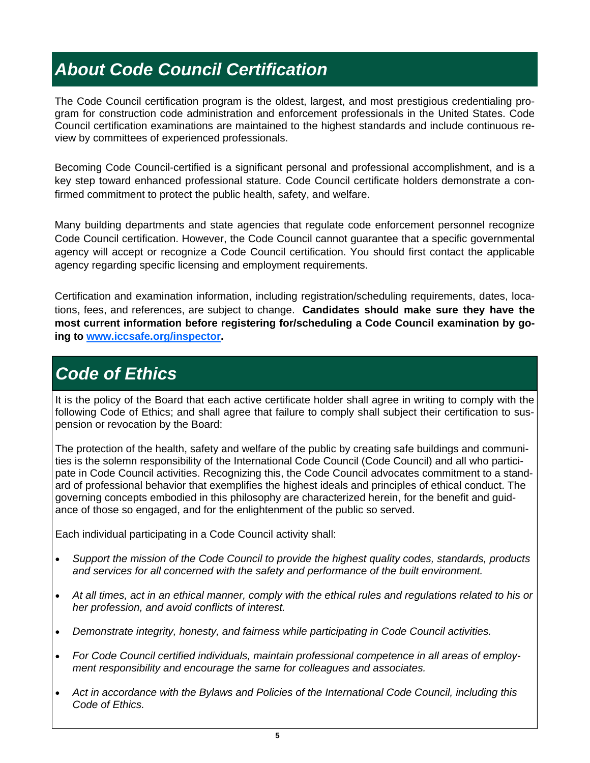# *About Code Council Certification*

The Code Council certification program is the oldest, largest, and most prestigious credentialing program for construction code administration and enforcement professionals in the United States. Code Council certification examinations are maintained to the highest standards and include continuous review by committees of experienced professionals.

Becoming Code Council-certified is a significant personal and professional accomplishment, and is a key step toward enhanced professional stature. Code Council certificate holders demonstrate a confirmed commitment to protect the public health, safety, and welfare.

Many building departments and state agencies that regulate code enforcement personnel recognize Code Council certification. However, the Code Council cannot guarantee that a specific governmental agency will accept or recognize a Code Council certification. You should first contact the applicable agency regarding specific licensing and employment requirements.

Certification and examination information, including registration/scheduling requirements, dates, locations, fees, and references, are subject to change. **Candidates should make sure they have the most current information before registering for/scheduling a Code Council examination by going to www.iccsafe.org/inspector.**

# *Code of Ethics*

It is the policy of the Board that each active certificate holder shall agree in writing to comply with the following Code of Ethics; and shall agree that failure to comply shall subject their certification to suspension or revocation by the Board:

The protection of the health, safety and welfare of the public by creating safe buildings and communities is the solemn responsibility of the International Code Council (Code Council) and all who participate in Code Council activities. Recognizing this, the Code Council advocates commitment to a standard of professional behavior that exemplifies the highest ideals and principles of ethical conduct. The governing concepts embodied in this philosophy are characterized herein, for the benefit and guidance of those so engaged, and for the enlightenment of the public so served.

Each individual participating in a Code Council activity shall:

- *Support the mission of the Code Council to provide the highest quality codes, standards, products and services for all concerned with the safety and performance of the built environment.*
- *At all times, act in an ethical manner, comply with the ethical rules and regulations related to his or her profession, and avoid conflicts of interest.*
- *Demonstrate integrity, honesty, and fairness while participating in Code Council activities.*
- *For Code Council certified individuals, maintain professional competence in all areas of employment responsibility and encourage the same for colleagues and associates.*
- *Act in accordance with the Bylaws and Policies of the International Code Council, including this Code of Ethics.*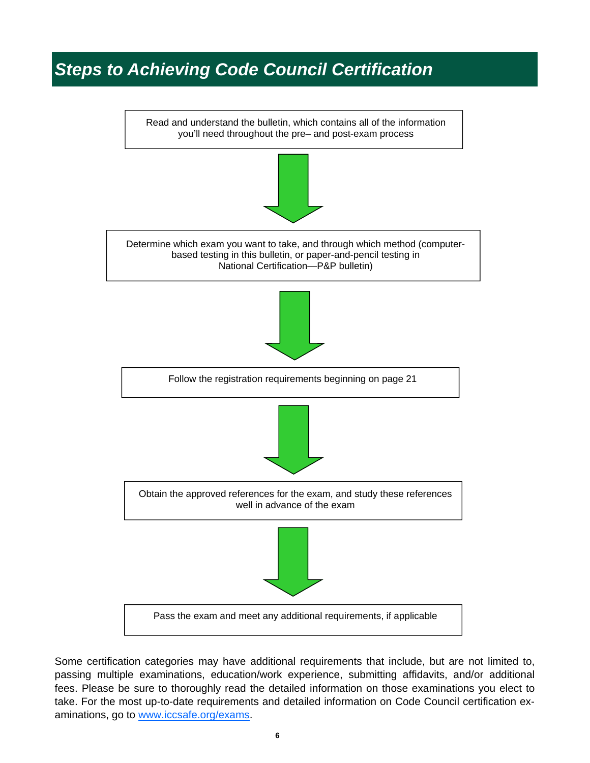# *Steps to Achieving Code Council Certification*



Some certification categories may have additional requirements that include, but are not limited to, passing multiple examinations, education/work experience, submitting affidavits, and/or additional fees. Please be sure to thoroughly read the detailed information on those examinations you elect to take. For the most up-to-date requirements and detailed information on Code Council certification examinations, go to www.iccsafe.org/exams.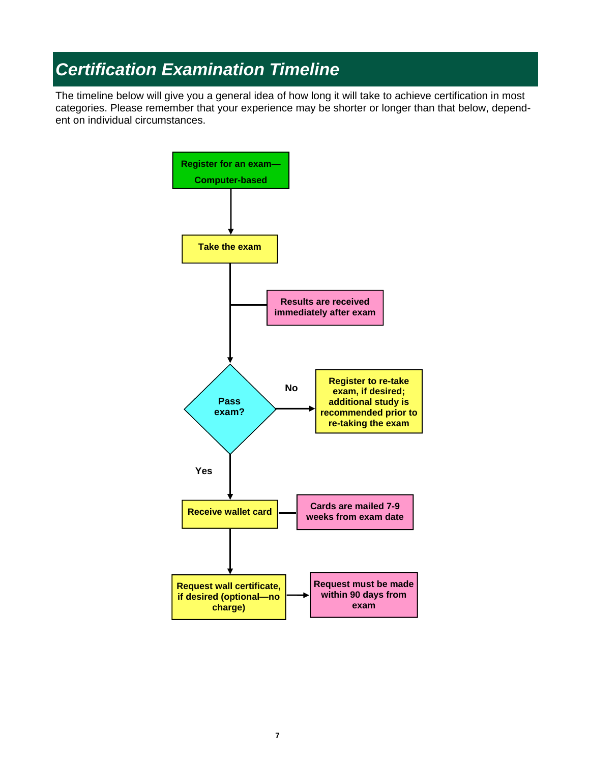# *Certification Examination Timeline*

The timeline below will give you a general idea of how long it will take to achieve certification in most categories. Please remember that your experience may be shorter or longer than that below, dependent on individual circumstances.

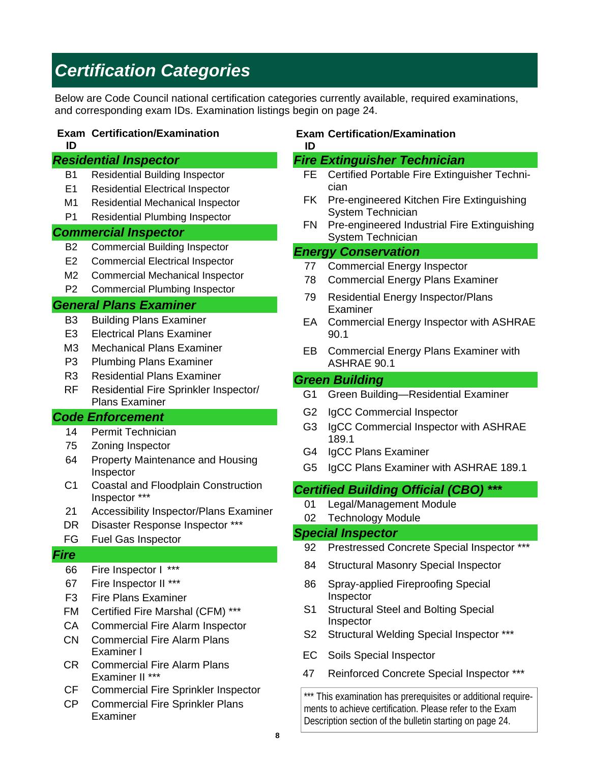# *Certification Categories*

Below are Code Council national certification categories currently available, required examinations, and corresponding exam IDs. Examination listings begin on page 24.

#### **Exam Certification/Examination**

**ID** 

#### *Residential Inspector*

- B1 Residential Building Inspector
- E1 Residential Electrical Inspector
- M1 Residential Mechanical Inspector
- P1 Residential Plumbing Inspector

#### *Commercial Inspector*

- B2 Commercial Building Inspector
- E2 Commercial Electrical Inspector
- M2 Commercial Mechanical Inspector
- P2 Commercial Plumbing Inspector

#### *General Plans Examiner*

- B3 Building Plans Examiner
- E3 Electrical Plans Examiner
- M3 Mechanical Plans Examiner
- P3 Plumbing Plans Examiner
- R3 Residential Plans Examiner
- RF Residential Fire Sprinkler Inspector/ Plans Examiner

### *Code Enforcement*

- 14 Permit Technician
- 75 Zoning Inspector
- 64 Property Maintenance and Housing Inspector
- C1 Coastal and Floodplain Construction Inspector \*\*\*
- 21 Accessibility Inspector/Plans Examiner
- DR Disaster Response Inspector \*\*\*

#### FG Fuel Gas Inspector

#### *Fire*

- 66 Fire Inspector I \*\*\*
- 67 Fire Inspector II \*\*\*
- F3 Fire Plans Examiner
- FM Certified Fire Marshal (CFM) \*\*\*
- CA Commercial Fire Alarm Inspector
- CN Commercial Fire Alarm Plans Examiner I
- CR Commercial Fire Alarm Plans Examiner II \*\*\*
- CF Commercial Fire Sprinkler Inspector
- CP Commercial Fire Sprinkler Plans Examiner

#### **Exam Certification/Examination ID**

## *Fire Extinguisher Technician*

- FE Certified Portable Fire Extinguisher Technician
- FK Pre-engineered Kitchen Fire Extinguishing System Technician
- FN Pre-engineered Industrial Fire Extinguishing System Technician

#### *Energy Conservation*

- 77 Commercial Energy Inspector
- 78 Commercial Energy Plans Examiner
- 79 Residential Energy Inspector/Plans Examiner
- EA Commercial Energy Inspector with ASHRAE 90.1
- EB Commercial Energy Plans Examiner with ASHRAE 90.1

#### *Green Building*

- G1 Green Building—Residential Examiner
- G2 IgCC Commercial Inspector
- G3 IgCC Commercial Inspector with ASHRAE 189.1
- G4 IgCC Plans Examiner
- G5 IgCC Plans Examiner with ASHRAE 189.1

## *Certified Building Official (CBO) \*\*\**

- 01 Legal/Management Module
- 02 Technology Module

#### *Special Inspector*

- 92 Prestressed Concrete Special Inspector \*\*\*
- 84 Structural Masonry Special Inspector
- 86 Spray-applied Fireproofing Special Inspector
- S1 Structural Steel and Bolting Special Inspector
- S2 Structural Welding Special Inspector \*\*\*
- EC Soils Special Inspector
- 47 Reinforced Concrete Special Inspector \*\*\*

\*\*\* This examination has prerequisites or additional requirements to achieve certification. Please refer to the Exam Description section of the bulletin starting on page 24.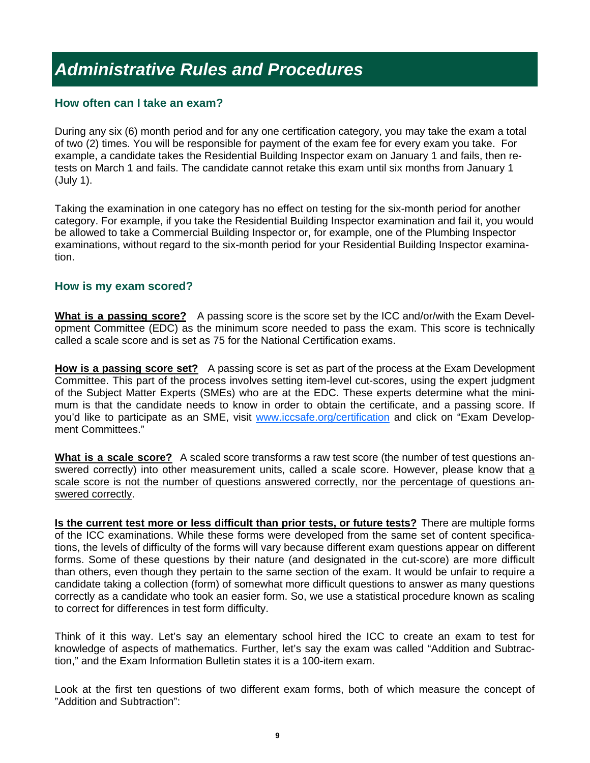# *Administrative Rules and Procedures*

### **How often can I take an exam?**

During any six (6) month period and for any one certification category, you may take the exam a total of two (2) times. You will be responsible for payment of the exam fee for every exam you take. For example, a candidate takes the Residential Building Inspector exam on January 1 and fails, then retests on March 1 and fails. The candidate cannot retake this exam until six months from January 1 (July 1).

Taking the examination in one category has no effect on testing for the six-month period for another category. For example, if you take the Residential Building Inspector examination and fail it, you would be allowed to take a Commercial Building Inspector or, for example, one of the Plumbing Inspector examinations, without regard to the six-month period for your Residential Building Inspector examination.

#### **How is my exam scored?**

**What is a passing score?** A passing score is the score set by the ICC and/or/with the Exam Development Committee (EDC) as the minimum score needed to pass the exam. This score is technically called a scale score and is set as 75 for the National Certification exams.

**How is a passing score set?** A passing score is set as part of the process at the Exam Development Committee. This part of the process involves setting item-level cut-scores, using the expert judgment of the Subject Matter Experts (SMEs) who are at the EDC. These experts determine what the minimum is that the candidate needs to know in order to obtain the certificate, and a passing score. If you'd like to participate as an SME, visit www.iccsafe.org/certification and click on "Exam Development Committees."

**What is a scale score?** A scaled score transforms a raw test score (the number of test questions answered correctly) into other measurement units, called a scale score. However, please know that a scale score is not the number of questions answered correctly, nor the percentage of questions answered correctly.

**Is the current test more or less difficult than prior tests, or future tests?** There are multiple forms of the ICC examinations. While these forms were developed from the same set of content specifications, the levels of difficulty of the forms will vary because different exam questions appear on different forms. Some of these questions by their nature (and designated in the cut-score) are more difficult than others, even though they pertain to the same section of the exam. It would be unfair to require a candidate taking a collection (form) of somewhat more difficult questions to answer as many questions correctly as a candidate who took an easier form. So, we use a statistical procedure known as scaling to correct for differences in test form difficulty.

Think of it this way. Let's say an elementary school hired the ICC to create an exam to test for knowledge of aspects of mathematics. Further, let's say the exam was called "Addition and Subtraction," and the Exam Information Bulletin states it is a 100-item exam.

Look at the first ten questions of two different exam forms, both of which measure the concept of "Addition and Subtraction":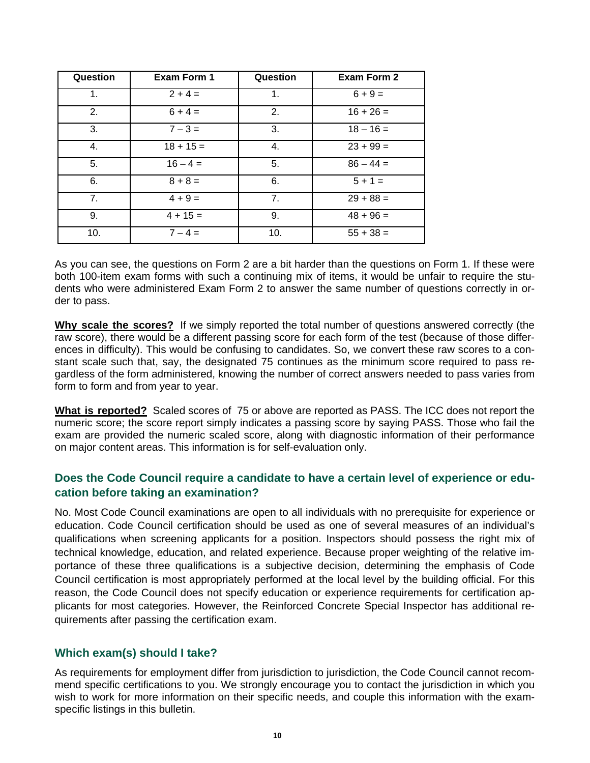| Question | <b>Exam Form 1</b> | Question       | <b>Exam Form 2</b> |
|----------|--------------------|----------------|--------------------|
| 1.       | $2 + 4 =$          | 1.             | $6 + 9 =$          |
| 2.       | $6 + 4 =$          | 2.             | $16 + 26 =$        |
| 3.       | $7 - 3 =$          | 3.             | $18 - 16 =$        |
| 4.       | $18 + 15 =$        | 4.             | $23 + 99 =$        |
| 5.       | $16 - 4 =$         | 5.             | $86 - 44 =$        |
| 6.       | $8 + 8 =$          | 6.             | $5 + 1 =$          |
| 7.       | $4 + 9 =$          | 7 <sub>1</sub> | $29 + 88 =$        |
| 9.       | $4 + 15 =$         | 9.             | $48 + 96 =$        |
| 10.      | $7 - 4 =$          | 10.            | $55 + 38 =$        |

As you can see, the questions on Form 2 are a bit harder than the questions on Form 1. If these were both 100-item exam forms with such a continuing mix of items, it would be unfair to require the students who were administered Exam Form 2 to answer the same number of questions correctly in order to pass.

**Why scale the scores?** If we simply reported the total number of questions answered correctly (the raw score), there would be a different passing score for each form of the test (because of those differences in difficulty). This would be confusing to candidates. So, we convert these raw scores to a constant scale such that, say, the designated 75 continues as the minimum score required to pass regardless of the form administered, knowing the number of correct answers needed to pass varies from form to form and from year to year.

**What is reported?** Scaled scores of 75 or above are reported as PASS. The ICC does not report the numeric score; the score report simply indicates a passing score by saying PASS. Those who fail the exam are provided the numeric scaled score, along with diagnostic information of their performance on major content areas. This information is for self-evaluation only.

# **Does the Code Council require a candidate to have a certain level of experience or education before taking an examination?**

No. Most Code Council examinations are open to all individuals with no prerequisite for experience or education. Code Council certification should be used as one of several measures of an individual's qualifications when screening applicants for a position. Inspectors should possess the right mix of technical knowledge, education, and related experience. Because proper weighting of the relative importance of these three qualifications is a subjective decision, determining the emphasis of Code Council certification is most appropriately performed at the local level by the building official. For this reason, the Code Council does not specify education or experience requirements for certification applicants for most categories. However, the Reinforced Concrete Special Inspector has additional requirements after passing the certification exam.

## **Which exam(s) should I take?**

As requirements for employment differ from jurisdiction to jurisdiction, the Code Council cannot recommend specific certifications to you. We strongly encourage you to contact the jurisdiction in which you wish to work for more information on their specific needs, and couple this information with the examspecific listings in this bulletin.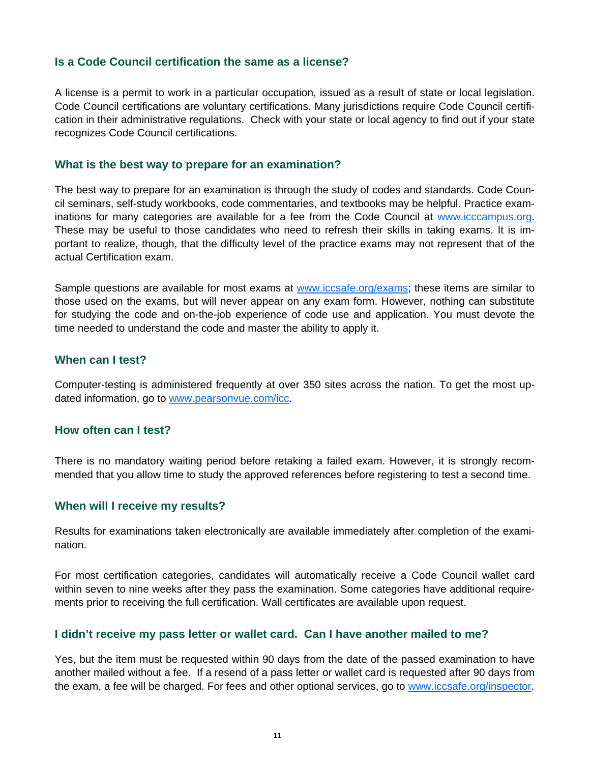### **Is a Code Council certification the same as a license?**

A license is a permit to work in a particular occupation, issued as a result of state or local legislation. Code Council certifications are voluntary certifications. Many jurisdictions require Code Council certification in their administrative regulations. Check with your state or local agency to find out if your state recognizes Code Council certifications.

#### **What is the best way to prepare for an examination?**

The best way to prepare for an examination is through the study of codes and standards. Code Council seminars, self-study workbooks, code commentaries, and textbooks may be helpful. Practice examinations for many categories are available for a fee from the Code Council at www.icccampus.org. These may be useful to those candidates who need to refresh their skills in taking exams. It is important to realize, though, that the difficulty level of the practice exams may not represent that of the actual Certification exam.

Sample questions are available for most exams at www.iccsafe.org/exams; these items are similar to those used on the exams, but will never appear on any exam form. However, nothing can substitute for studying the code and on-the-job experience of code use and application. You must devote the time needed to understand the code and master the ability to apply it.

#### **When can I test?**

Computer-testing is administered frequently at over 350 sites across the nation. To get the most updated information, go to www.pearsonvue.com/icc.

#### **How often can I test?**

There is no mandatory waiting period before retaking a failed exam. However, it is strongly recommended that you allow time to study the approved references before registering to test a second time.

#### **When will I receive my results?**

Results for examinations taken electronically are available immediately after completion of the examination.

For most certification categories, candidates will automatically receive a Code Council wallet card within seven to nine weeks after they pass the examination. Some categories have additional requirements prior to receiving the full certification. Wall certificates are available upon request.

#### **I didn't receive my pass letter or wallet card. Can I have another mailed to me?**

Yes, but the item must be requested within 90 days from the date of the passed examination to have another mailed without a fee. If a resend of a pass letter or wallet card is requested after 90 days from the exam, a fee will be charged. For fees and other optional services, go to www.iccsafe.org/inspector.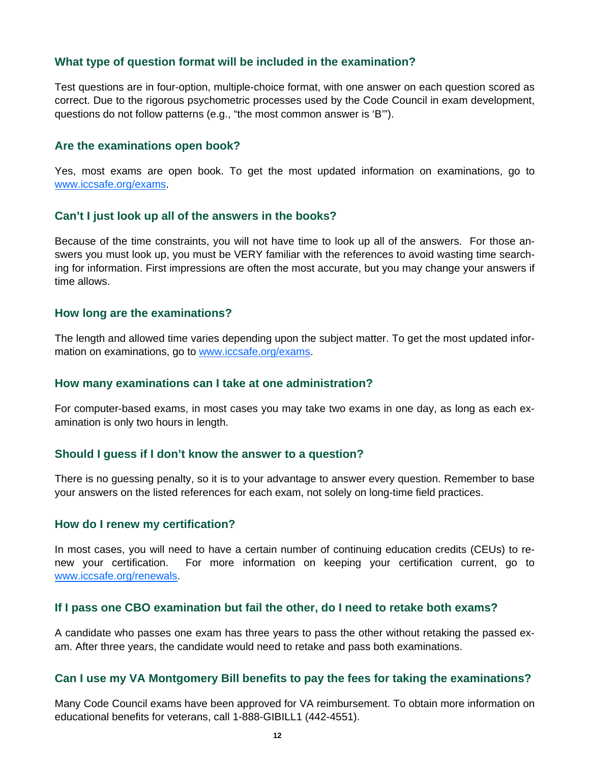### **What type of question format will be included in the examination?**

Test questions are in four-option, multiple-choice format, with one answer on each question scored as correct. Due to the rigorous psychometric processes used by the Code Council in exam development, questions do not follow patterns (e.g., "the most common answer is 'B'").

#### **Are the examinations open book?**

Yes, most exams are open book. To get the most updated information on examinations, go to www.iccsafe.org/exams.

#### **Can't I just look up all of the answers in the books?**

Because of the time constraints, you will not have time to look up all of the answers. For those answers you must look up, you must be VERY familiar with the references to avoid wasting time searching for information. First impressions are often the most accurate, but you may change your answers if time allows.

#### **How long are the examinations?**

The length and allowed time varies depending upon the subject matter. To get the most updated information on examinations, go to www.iccsafe.org/exams.

#### **How many examinations can I take at one administration?**

For computer-based exams, in most cases you may take two exams in one day, as long as each examination is only two hours in length.

#### **Should I guess if I don't know the answer to a question?**

There is no guessing penalty, so it is to your advantage to answer every question. Remember to base your answers on the listed references for each exam, not solely on long-time field practices.

#### **How do I renew my certification?**

In most cases, you will need to have a certain number of continuing education credits (CEUs) to renew your certification. For more information on keeping your certification current, go to www.iccsafe.org/renewals.

#### **If I pass one CBO examination but fail the other, do I need to retake both exams?**

A candidate who passes one exam has three years to pass the other without retaking the passed exam. After three years, the candidate would need to retake and pass both examinations.

#### **Can I use my VA Montgomery Bill benefits to pay the fees for taking the examinations?**

Many Code Council exams have been approved for VA reimbursement. To obtain more information on educational benefits for veterans, call 1-888-GIBILL1 (442-4551).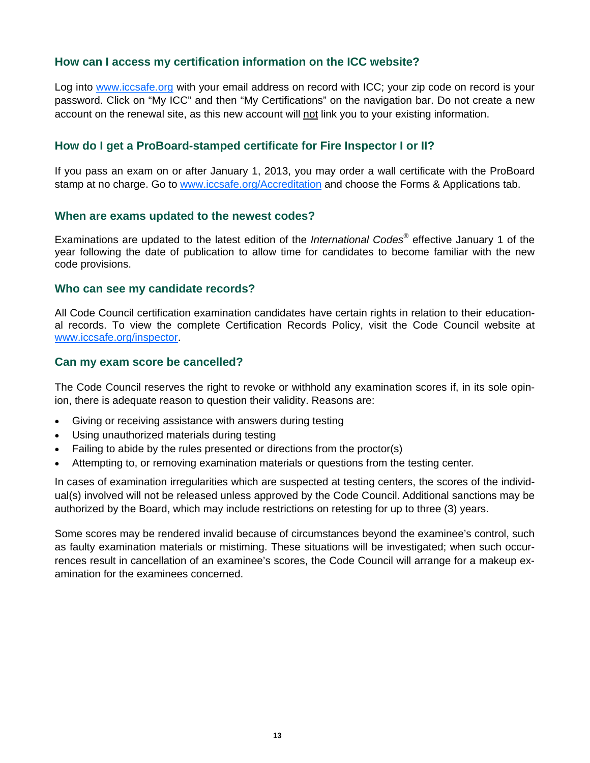### **How can I access my certification information on the ICC website?**

Log into www.iccsafe.org with your email address on record with ICC; your zip code on record is your password. Click on "My ICC" and then "My Certifications" on the navigation bar. Do not create a new account on the renewal site, as this new account will not link you to your existing information.

### **How do I get a ProBoard-stamped certificate for Fire Inspector I or II?**

If you pass an exam on or after January 1, 2013, you may order a wall certificate with the ProBoard stamp at no charge. Go to www.iccsafe.org/Accreditation and choose the Forms & Applications tab.

#### **When are exams updated to the newest codes?**

Examinations are updated to the latest edition of the *International Codes®* effective January 1 of the year following the date of publication to allow time for candidates to become familiar with the new code provisions.

#### **Who can see my candidate records?**

All Code Council certification examination candidates have certain rights in relation to their educational records. To view the complete Certification Records Policy, visit the Code Council website at www.iccsafe.org/inspector.

#### **Can my exam score be cancelled?**

The Code Council reserves the right to revoke or withhold any examination scores if, in its sole opinion, there is adequate reason to question their validity. Reasons are:

- Giving or receiving assistance with answers during testing
- Using unauthorized materials during testing
- Failing to abide by the rules presented or directions from the proctor(s)
- Attempting to, or removing examination materials or questions from the testing center.

In cases of examination irregularities which are suspected at testing centers, the scores of the individual(s) involved will not be released unless approved by the Code Council. Additional sanctions may be authorized by the Board, which may include restrictions on retesting for up to three (3) years.

Some scores may be rendered invalid because of circumstances beyond the examinee's control, such as faulty examination materials or mistiming. These situations will be investigated; when such occurrences result in cancellation of an examinee's scores, the Code Council will arrange for a makeup examination for the examinees concerned.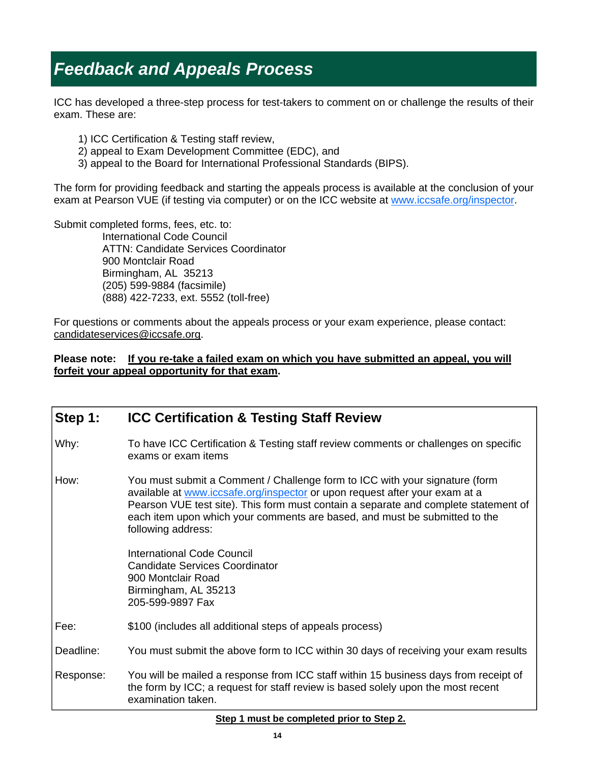# *Feedback and Appeals Process*

ICC has developed a three-step process for test-takers to comment on or challenge the results of their exam. These are:

- 1) ICC Certification & Testing staff review,
- 2) appeal to Exam Development Committee (EDC), and
- 3) appeal to the Board for International Professional Standards (BIPS).

The form for providing feedback and starting the appeals process is available at the conclusion of your exam at Pearson VUE (if testing via computer) or on the ICC website at www.iccsafe.org/inspector.

Submit completed forms, fees, etc. to: International Code Council ATTN: Candidate Services Coordinator 900 Montclair Road Birmingham, AL 35213 (205) 599-9884 (facsimile) (888) 422-7233, ext. 5552 (toll-free)

For questions or comments about the appeals process or your exam experience, please contact: candidateservices@iccsafe.org.

#### **Please note: If you re-take a failed exam on which you have submitted an appeal, you will forfeit your appeal opportunity for that exam.**

| Step 1:   | <b>ICC Certification &amp; Testing Staff Review</b>                                                                                                                                                                                                                                                                                                   |
|-----------|-------------------------------------------------------------------------------------------------------------------------------------------------------------------------------------------------------------------------------------------------------------------------------------------------------------------------------------------------------|
| Why:      | To have ICC Certification & Testing staff review comments or challenges on specific<br>exams or exam items                                                                                                                                                                                                                                            |
| How:      | You must submit a Comment / Challenge form to ICC with your signature (form<br>available at www.iccsafe.org/inspector or upon request after your exam at a<br>Pearson VUE test site). This form must contain a separate and complete statement of<br>each item upon which your comments are based, and must be submitted to the<br>following address: |
|           | <b>International Code Council</b><br><b>Candidate Services Coordinator</b><br>900 Montclair Road<br>Birmingham, AL 35213<br>205-599-9897 Fax                                                                                                                                                                                                          |
| Fee:      | \$100 (includes all additional steps of appeals process)                                                                                                                                                                                                                                                                                              |
| Deadline: | You must submit the above form to ICC within 30 days of receiving your exam results                                                                                                                                                                                                                                                                   |
| Response: | You will be mailed a response from ICC staff within 15 business days from receipt of<br>the form by ICC; a request for staff review is based solely upon the most recent<br>examination taken.                                                                                                                                                        |
|           |                                                                                                                                                                                                                                                                                                                                                       |

#### **Step 1 must be completed prior to Step 2.**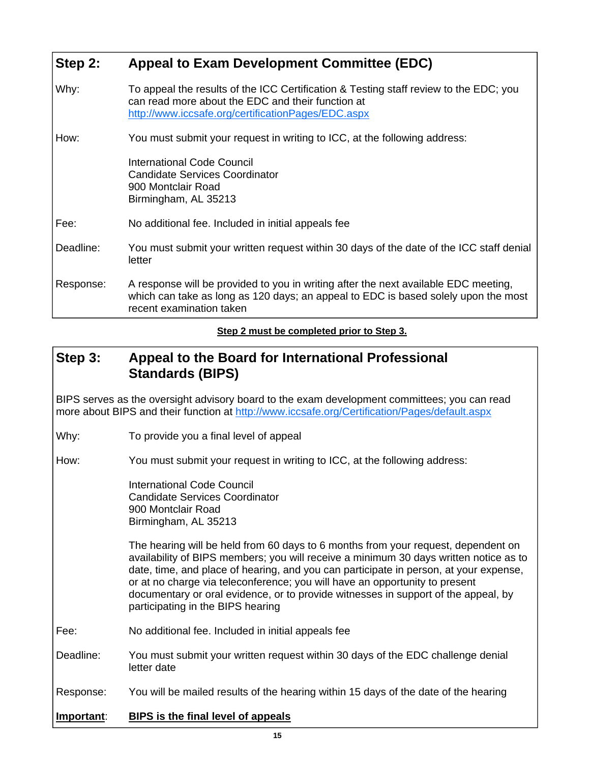# **Step 2: Appeal to Exam Development Committee (EDC)**

| Why:      | To appeal the results of the ICC Certification & Testing staff review to the EDC; you<br>can read more about the EDC and their function at<br>http://www.iccsafe.org/certificationPages/EDC.aspx      |
|-----------|-------------------------------------------------------------------------------------------------------------------------------------------------------------------------------------------------------|
| How:      | You must submit your request in writing to ICC, at the following address:<br>International Code Council<br><b>Candidate Services Coordinator</b><br>900 Montclair Road<br>Birmingham, AL 35213        |
| Fee:      | No additional fee. Included in initial appeals fee                                                                                                                                                    |
| Deadline: | You must submit your written request within 30 days of the date of the ICC staff denial<br>letter                                                                                                     |
| Response: | A response will be provided to you in writing after the next available EDC meeting,<br>which can take as long as 120 days; an appeal to EDC is based solely upon the most<br>recent examination taken |

### **Step 2 must be completed prior to Step 3.**

# **Step 3: Appeal to the Board for International Professional Standards (BIPS)**

BIPS serves as the oversight advisory board to the exam development committees; you can read more about BIPS and their function at http://www.iccsafe.org/Certification/Pages/default.aspx

Why: To provide you a final level of appeal

How: You must submit your request in writing to ICC, at the following address:

 International Code Council Candidate Services Coordinator 900 Montclair Road Birmingham, AL 35213

 The hearing will be held from 60 days to 6 months from your request, dependent on availability of BIPS members; you will receive a minimum 30 days written notice as to date, time, and place of hearing, and you can participate in person, at your expense, or at no charge via teleconference; you will have an opportunity to present documentary or oral evidence, or to provide witnesses in support of the appeal, by participating in the BIPS hearing

- Fee: No additional fee. Included in initial appeals fee
- Deadline: You must submit your written request within 30 days of the EDC challenge denial letter date

Response: You will be mailed results of the hearing within 15 days of the date of the hearing

#### **Important**: **BIPS is the final level of appeals**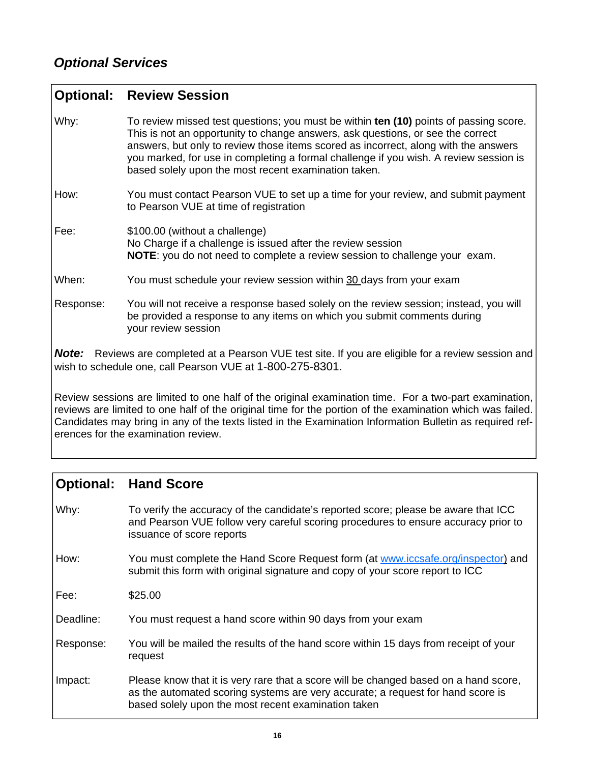| <b>Optional: Review Session</b> |  |
|---------------------------------|--|
|---------------------------------|--|

Why: To review missed test questions; you must be within **ten (10)** points of passing score. This is not an opportunity to change answers, ask questions, or see the correct answers, but only to review those items scored as incorrect, along with the answers you marked, for use in completing a formal challenge if you wish. A review session is based solely upon the most recent examination taken. How: You must contact Pearson VUE to set up a time for your review, and submit payment to Pearson VUE at time of registration Fee:  $$100.00$  (without a challenge) No Charge if a challenge is issued after the review session  **NOTE**: you do not need to complete a review session to challenge your exam. When: You must schedule your review session within 30 days from your exam Response: You will not receive a response based solely on the review session; instead, you will be provided a response to any items on which you submit comments during your review session

**Note:** Reviews are completed at a Pearson VUE test site. If you are eligible for a review session and wish to schedule one, call Pearson VUE at 1-800-275-8301.

Review sessions are limited to one half of the original examination time. For a two-part examination, reviews are limited to one half of the original time for the portion of the examination which was failed. Candidates may bring in any of the texts listed in the Examination Information Bulletin as required references for the examination review.

# **Optional: Hand Score**

Why: To verify the accuracy of the candidate's reported score; please be aware that ICC and Pearson VUE follow very careful scoring procedures to ensure accuracy prior to issuance of score reports

How: You must complete the Hand Score Request form (at www.iccsafe.org/inspector) and submit this form with original signature and copy of your score report to ICC

Fee: \$25.00

Deadline: You must request a hand score within 90 days from your exam

- Response: You will be mailed the results of the hand score within 15 days from receipt of your request
- Impact: Please know that it is very rare that a score will be changed based on a hand score, as the automated scoring systems are very accurate; a request for hand score is based solely upon the most recent examination taken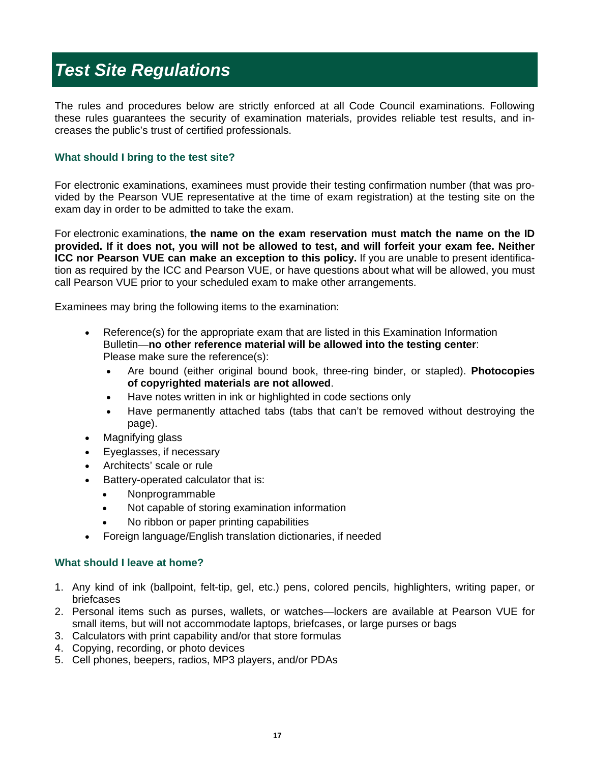# *Test Site Regulations*

The rules and procedures below are strictly enforced at all Code Council examinations. Following these rules guarantees the security of examination materials, provides reliable test results, and increases the public's trust of certified professionals.

#### **What should I bring to the test site?**

For electronic examinations, examinees must provide their testing confirmation number (that was provided by the Pearson VUE representative at the time of exam registration) at the testing site on the exam day in order to be admitted to take the exam.

For electronic examinations, **the name on the exam reservation must match the name on the ID provided. If it does not, you will not be allowed to test, and will forfeit your exam fee. Neither ICC nor Pearson VUE can make an exception to this policy.** If you are unable to present identification as required by the ICC and Pearson VUE, or have questions about what will be allowed, you must call Pearson VUE prior to your scheduled exam to make other arrangements.

Examinees may bring the following items to the examination:

- Reference(s) for the appropriate exam that are listed in this Examination Information Bulletin—**no other reference material will be allowed into the testing center**: Please make sure the reference(s):
	- Are bound (either original bound book, three-ring binder, or stapled). **Photocopies of copyrighted materials are not allowed**.
	- Have notes written in ink or highlighted in code sections only
	- Have permanently attached tabs (tabs that can't be removed without destroying the page).
- Magnifying glass
- Eyeglasses, if necessary
- Architects' scale or rule
- Battery-operated calculator that is:
	- Nonprogrammable
	- Not capable of storing examination information
	- No ribbon or paper printing capabilities
- Foreign language/English translation dictionaries, if needed

#### **What should I leave at home?**

- 1. Any kind of ink (ballpoint, felt-tip, gel, etc.) pens, colored pencils, highlighters, writing paper, or briefcases
- 2. Personal items such as purses, wallets, or watches—lockers are available at Pearson VUE for small items, but will not accommodate laptops, briefcases, or large purses or bags
- 3. Calculators with print capability and/or that store formulas
- 4. Copying, recording, or photo devices
- 5. Cell phones, beepers, radios, MP3 players, and/or PDAs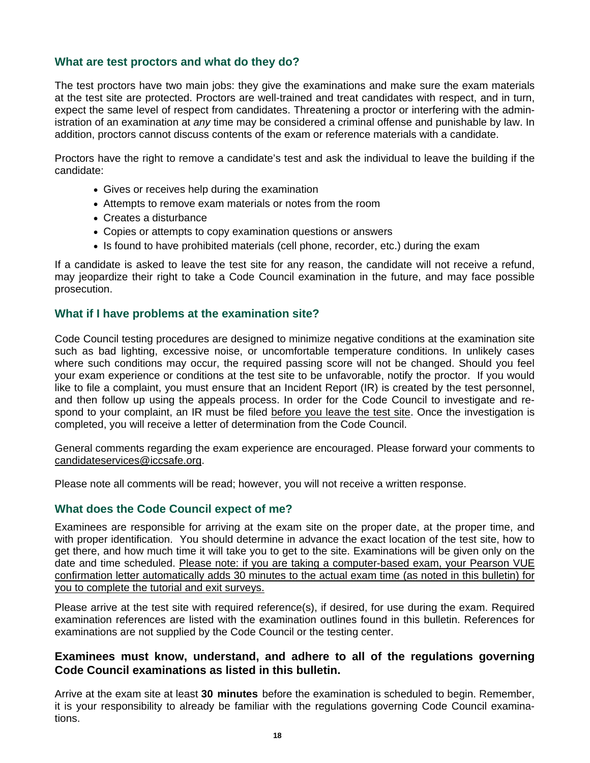#### **What are test proctors and what do they do?**

The test proctors have two main jobs: they give the examinations and make sure the exam materials at the test site are protected. Proctors are well-trained and treat candidates with respect, and in turn, expect the same level of respect from candidates. Threatening a proctor or interfering with the administration of an examination at *any* time may be considered a criminal offense and punishable by law. In addition, proctors cannot discuss contents of the exam or reference materials with a candidate.

Proctors have the right to remove a candidate's test and ask the individual to leave the building if the candidate:

- Gives or receives help during the examination
- Attempts to remove exam materials or notes from the room
- Creates a disturbance
- Copies or attempts to copy examination questions or answers
- Is found to have prohibited materials (cell phone, recorder, etc.) during the exam

If a candidate is asked to leave the test site for any reason, the candidate will not receive a refund, may jeopardize their right to take a Code Council examination in the future, and may face possible prosecution.

#### **What if I have problems at the examination site?**

Code Council testing procedures are designed to minimize negative conditions at the examination site such as bad lighting, excessive noise, or uncomfortable temperature conditions. In unlikely cases where such conditions may occur, the required passing score will not be changed. Should you feel your exam experience or conditions at the test site to be unfavorable, notify the proctor. If you would like to file a complaint, you must ensure that an Incident Report (IR) is created by the test personnel, and then follow up using the appeals process. In order for the Code Council to investigate and respond to your complaint, an IR must be filed before you leave the test site. Once the investigation is completed, you will receive a letter of determination from the Code Council.

General comments regarding the exam experience are encouraged. Please forward your comments to candidateservices@iccsafe.org.

Please note all comments will be read; however, you will not receive a written response.

#### **What does the Code Council expect of me?**

Examinees are responsible for arriving at the exam site on the proper date, at the proper time, and with proper identification. You should determine in advance the exact location of the test site, how to get there, and how much time it will take you to get to the site. Examinations will be given only on the date and time scheduled. Please note: if you are taking a computer-based exam, your Pearson VUE confirmation letter automatically adds 30 minutes to the actual exam time (as noted in this bulletin) for you to complete the tutorial and exit surveys.

Please arrive at the test site with required reference(s), if desired, for use during the exam. Required examination references are listed with the examination outlines found in this bulletin. References for examinations are not supplied by the Code Council or the testing center.

#### **Examinees must know, understand, and adhere to all of the regulations governing Code Council examinations as listed in this bulletin.**

Arrive at the exam site at least **30 minutes** before the examination is scheduled to begin. Remember, it is your responsibility to already be familiar with the regulations governing Code Council examinations.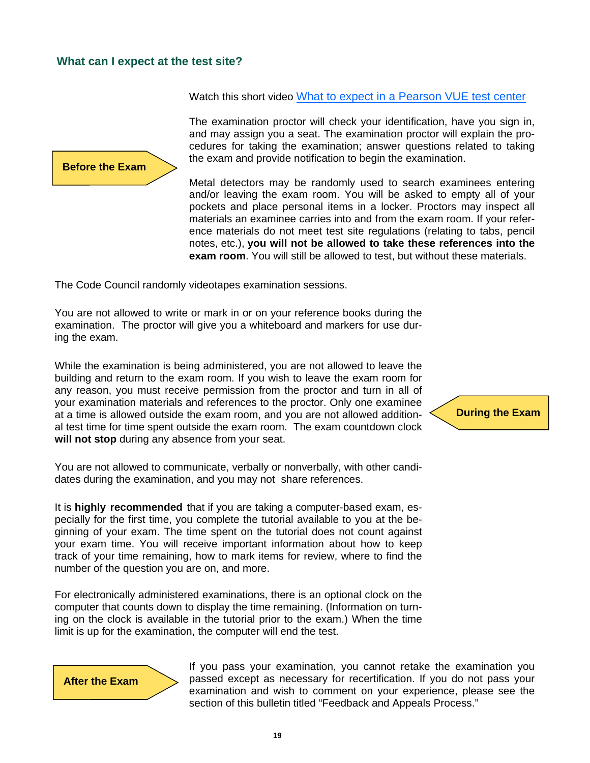### **What can I expect at the test site?**

Watch this short video What to expect in a Pearson VUE test center

**Before the Exam** 

The examination proctor will check your identification, have you sign in, and may assign you a seat. The examination proctor will explain the procedures for taking the examination; answer questions related to taking the exam and provide notification to begin the examination.

Metal detectors may be randomly used to search examinees entering and/or leaving the exam room. You will be asked to empty all of your pockets and place personal items in a locker. Proctors may inspect all materials an examinee carries into and from the exam room. If your reference materials do not meet test site regulations (relating to tabs, pencil notes, etc.), **you will not be allowed to take these references into the exam room**. You will still be allowed to test, but without these materials.

The Code Council randomly videotapes examination sessions.

You are not allowed to write or mark in or on your reference books during the examination. The proctor will give you a whiteboard and markers for use during the exam.

While the examination is being administered, you are not allowed to leave the building and return to the exam room. If you wish to leave the exam room for any reason, you must receive permission from the proctor and turn in all of your examination materials and references to the proctor. Only one examinee at a time is allowed outside the exam room, and you are not allowed additional test time for time spent outside the exam room. The exam countdown clock **will not stop** during any absence from your seat.

You are not allowed to communicate, verbally or nonverbally, with other candidates during the examination, and you may not share references.

It is **highly recommended** that if you are taking a computer-based exam, especially for the first time, you complete the tutorial available to you at the beginning of your exam. The time spent on the tutorial does not count against your exam time. You will receive important information about how to keep track of your time remaining, how to mark items for review, where to find the number of the question you are on, and more.

For electronically administered examinations, there is an optional clock on the computer that counts down to display the time remaining. (Information on turning on the clock is available in the tutorial prior to the exam.) When the time limit is up for the examination, the computer will end the test.



If you pass your examination, you cannot retake the examination you passed except as necessary for recertification. If you do not pass your examination and wish to comment on your experience, please see the section of this bulletin titled "Feedback and Appeals Process."

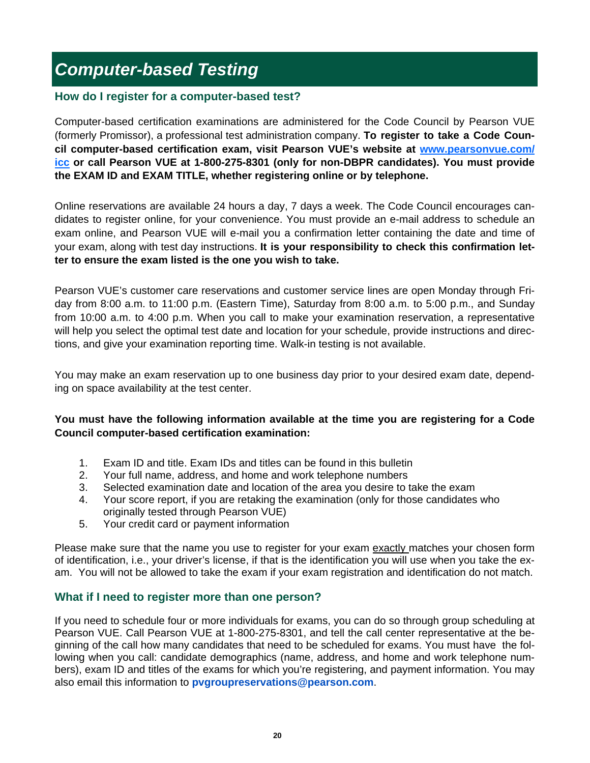# *Computer-based Testing*

### **How do I register for a computer-based test?**

Computer-based certification examinations are administered for the Code Council by Pearson VUE (formerly Promissor), a professional test administration company. **To register to take a Code Council computer-based certification exam, visit Pearson VUE's website at www.pearsonvue.com/ icc or call Pearson VUE at 1-800-275-8301 (only for non-DBPR candidates). You must provide the EXAM ID and EXAM TITLE, whether registering online or by telephone.** 

Online reservations are available 24 hours a day, 7 days a week. The Code Council encourages candidates to register online, for your convenience. You must provide an e-mail address to schedule an exam online, and Pearson VUE will e-mail you a confirmation letter containing the date and time of your exam, along with test day instructions. **It is your responsibility to check this confirmation letter to ensure the exam listed is the one you wish to take.**

Pearson VUE's customer care reservations and customer service lines are open Monday through Friday from 8:00 a.m. to 11:00 p.m. (Eastern Time), Saturday from 8:00 a.m. to 5:00 p.m., and Sunday from 10:00 a.m. to 4:00 p.m. When you call to make your examination reservation, a representative will help you select the optimal test date and location for your schedule, provide instructions and directions, and give your examination reporting time. Walk-in testing is not available.

You may make an exam reservation up to one business day prior to your desired exam date, depending on space availability at the test center.

### **You must have the following information available at the time you are registering for a Code Council computer-based certification examination:**

- 1. Exam ID and title. Exam IDs and titles can be found in this bulletin
- 2. Your full name, address, and home and work telephone numbers
- 3. Selected examination date and location of the area you desire to take the exam
- 4. Your score report, if you are retaking the examination (only for those candidates who originally tested through Pearson VUE)
- 5. Your credit card or payment information

Please make sure that the name you use to register for your exam exactly matches your chosen form of identification, i.e., your driver's license, if that is the identification you will use when you take the exam. You will not be allowed to take the exam if your exam registration and identification do not match.

#### **What if I need to register more than one person?**

If you need to schedule four or more individuals for exams, you can do so through group scheduling at Pearson VUE. Call Pearson VUE at 1-800-275-8301, and tell the call center representative at the beginning of the call how many candidates that need to be scheduled for exams. You must have the following when you call: candidate demographics (name, address, and home and work telephone numbers), exam ID and titles of the exams for which you're registering, and payment information. You may also email this information to **pvgroupreservations@pearson.com**.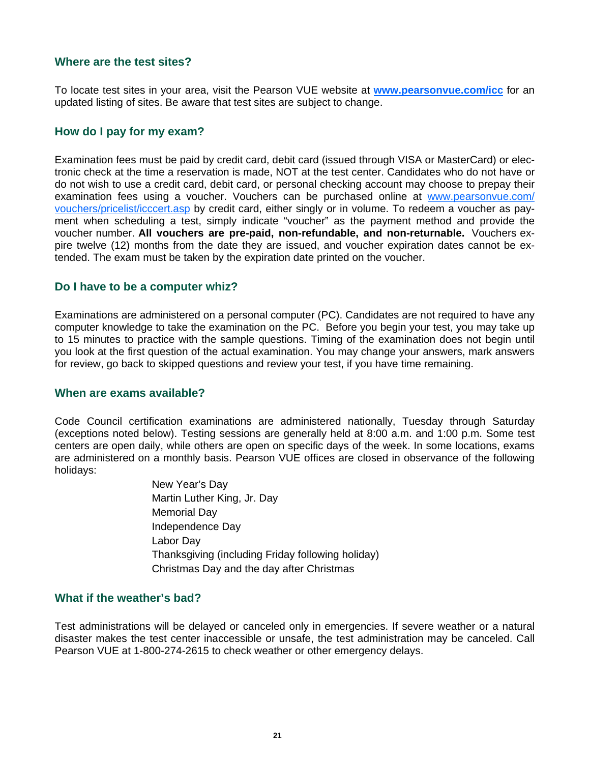#### **Where are the test sites?**

To locate test sites in your area, visit the Pearson VUE website at **www.pearsonvue.com/icc** for an updated listing of sites. Be aware that test sites are subject to change.

#### **How do I pay for my exam?**

Examination fees must be paid by credit card, debit card (issued through VISA or MasterCard) or electronic check at the time a reservation is made, NOT at the test center. Candidates who do not have or do not wish to use a credit card, debit card, or personal checking account may choose to prepay their examination fees using a voucher. Vouchers can be purchased online at www.pearsonvue.com/ vouchers/pricelist/icccert.asp by credit card, either singly or in volume. To redeem a voucher as payment when scheduling a test, simply indicate "voucher" as the payment method and provide the voucher number. **All vouchers are pre-paid, non-refundable, and non-returnable.** Vouchers expire twelve (12) months from the date they are issued, and voucher expiration dates cannot be extended. The exam must be taken by the expiration date printed on the voucher.

#### **Do I have to be a computer whiz?**

Examinations are administered on a personal computer (PC). Candidates are not required to have any computer knowledge to take the examination on the PC. Before you begin your test, you may take up to 15 minutes to practice with the sample questions. Timing of the examination does not begin until you look at the first question of the actual examination. You may change your answers, mark answers for review, go back to skipped questions and review your test, if you have time remaining.

#### **When are exams available?**

Code Council certification examinations are administered nationally, Tuesday through Saturday (exceptions noted below). Testing sessions are generally held at 8:00 a.m. and 1:00 p.m. Some test centers are open daily, while others are open on specific days of the week. In some locations, exams are administered on a monthly basis. Pearson VUE offices are closed in observance of the following holidays:

> New Year's Day Martin Luther King, Jr. Day Memorial Day Independence Day Labor Day Thanksgiving (including Friday following holiday) Christmas Day and the day after Christmas

#### **What if the weather's bad?**

Test administrations will be delayed or canceled only in emergencies. If severe weather or a natural disaster makes the test center inaccessible or unsafe, the test administration may be canceled. Call Pearson VUE at 1-800-274-2615 to check weather or other emergency delays.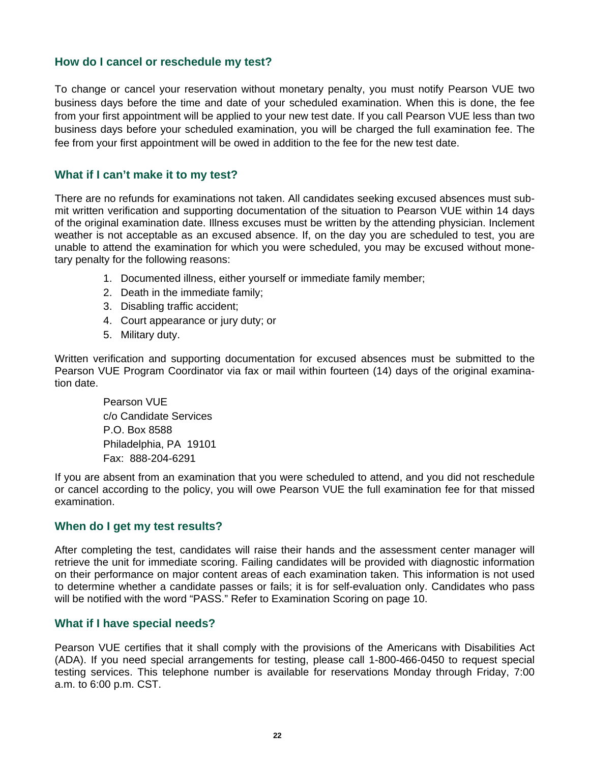#### **How do I cancel or reschedule my test?**

To change or cancel your reservation without monetary penalty, you must notify Pearson VUE two business days before the time and date of your scheduled examination. When this is done, the fee from your first appointment will be applied to your new test date. If you call Pearson VUE less than two business days before your scheduled examination, you will be charged the full examination fee. The fee from your first appointment will be owed in addition to the fee for the new test date.

#### **What if I can't make it to my test?**

There are no refunds for examinations not taken. All candidates seeking excused absences must submit written verification and supporting documentation of the situation to Pearson VUE within 14 days of the original examination date. Illness excuses must be written by the attending physician. Inclement weather is not acceptable as an excused absence. If, on the day you are scheduled to test, you are unable to attend the examination for which you were scheduled, you may be excused without monetary penalty for the following reasons:

- 1. Documented illness, either yourself or immediate family member;
- 2. Death in the immediate family;
- 3. Disabling traffic accident;
- 4. Court appearance or jury duty; or
- 5. Military duty.

Written verification and supporting documentation for excused absences must be submitted to the Pearson VUE Program Coordinator via fax or mail within fourteen (14) days of the original examination date.

Pearson VUE c/o Candidate Services P.O. Box 8588 Philadelphia, PA 19101 Fax: 888-204-6291

If you are absent from an examination that you were scheduled to attend, and you did not reschedule or cancel according to the policy, you will owe Pearson VUE the full examination fee for that missed examination.

#### **When do I get my test results?**

After completing the test, candidates will raise their hands and the assessment center manager will retrieve the unit for immediate scoring. Failing candidates will be provided with diagnostic information on their performance on major content areas of each examination taken. This information is not used to determine whether a candidate passes or fails; it is for self-evaluation only. Candidates who pass will be notified with the word "PASS." Refer to Examination Scoring on page 10.

#### **What if I have special needs?**

Pearson VUE certifies that it shall comply with the provisions of the Americans with Disabilities Act (ADA). If you need special arrangements for testing, please call 1-800-466-0450 to request special testing services. This telephone number is available for reservations Monday through Friday, 7:00 a.m. to 6:00 p.m. CST.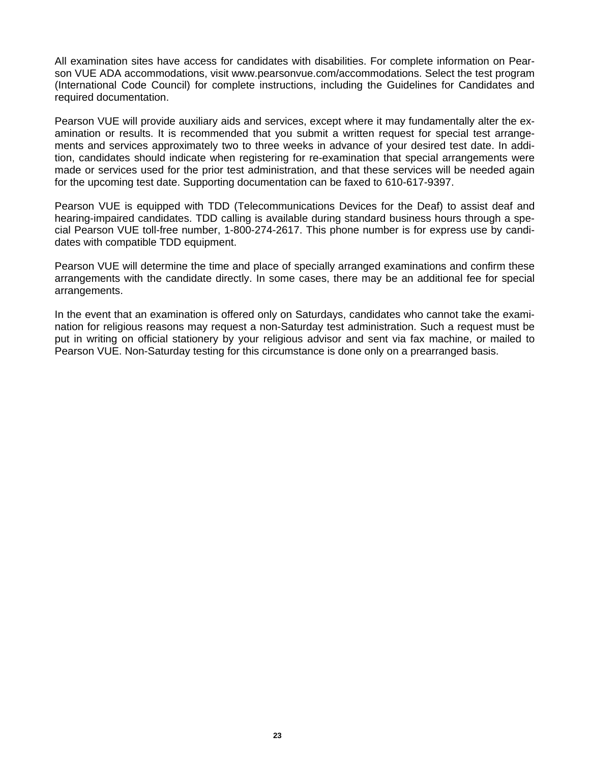All examination sites have access for candidates with disabilities. For complete information on Pearson VUE ADA accommodations, visit www.pearsonvue.com/accommodations. Select the test program (International Code Council) for complete instructions, including the Guidelines for Candidates and required documentation.

Pearson VUE will provide auxiliary aids and services, except where it may fundamentally alter the examination or results. It is recommended that you submit a written request for special test arrangements and services approximately two to three weeks in advance of your desired test date. In addition, candidates should indicate when registering for re-examination that special arrangements were made or services used for the prior test administration, and that these services will be needed again for the upcoming test date. Supporting documentation can be faxed to 610-617-9397.

Pearson VUE is equipped with TDD (Telecommunications Devices for the Deaf) to assist deaf and hearing-impaired candidates. TDD calling is available during standard business hours through a special Pearson VUE toll-free number, 1-800-274-2617. This phone number is for express use by candidates with compatible TDD equipment.

Pearson VUE will determine the time and place of specially arranged examinations and confirm these arrangements with the candidate directly. In some cases, there may be an additional fee for special arrangements.

In the event that an examination is offered only on Saturdays, candidates who cannot take the examination for religious reasons may request a non-Saturday test administration. Such a request must be put in writing on official stationery by your religious advisor and sent via fax machine, or mailed to Pearson VUE. Non-Saturday testing for this circumstance is done only on a prearranged basis.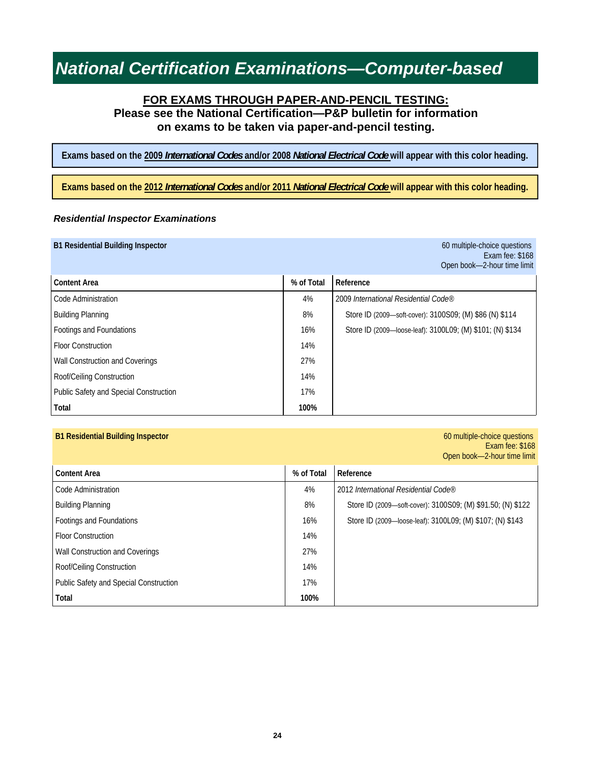## **FOR EXAMS THROUGH PAPER-AND-PENCIL TESTING: Please see the National Certification—P&P bulletin for information on exams to be taken via paper-and-pencil testing.**

**Exams based on the 2009** *International Codes* **and/or 2008** *National Electrical Code* **will appear with this color heading.** 

**Exams based on the 2012** *International Codes* **and/or 2011** *National Electrical Code* **will appear with this color heading.** 

#### *Residential Inspector Examinations*

| <b>B1 Residential Building Inspector</b> |            | 60 multiple-choice questions<br>Exam fee: \$168<br>Open book-2-hour time limit |
|------------------------------------------|------------|--------------------------------------------------------------------------------|
| <b>Content Area</b>                      | % of Total | Reference                                                                      |
| Code Administration                      | 4%         | 2009 International Residential Code®                                           |
| <b>Building Planning</b>                 | 8%         | Store ID (2009-soft-cover): 3100S09; (M) \$86 (N) \$114                        |
| Footings and Foundations                 | 16%        | Store ID (2009—loose-leaf): 3100L09; (M) \$101; (N) \$134                      |
| <b>Floor Construction</b>                | 14%        |                                                                                |
| Wall Construction and Coverings          | 27%        |                                                                                |
| Roof/Ceiling Construction                | 14%        |                                                                                |
| Public Safety and Special Construction   | 17%        |                                                                                |
| Total                                    | 100%       |                                                                                |

#### **B1 Residential Building Inspector** 60 multiple-choice questions

Exam fee: \$168 Open book—2-hour time limit

| <b>Content Area</b>                    | % of Total | Reference                                                   |
|----------------------------------------|------------|-------------------------------------------------------------|
| Code Administration                    | 4%         | 2012 International Residential Code®                        |
| <b>Building Planning</b>               | 8%         | Store ID (2009-soft-cover): 3100S09; (M) \$91.50; (N) \$122 |
| Footings and Foundations               | 16%        | Store ID (2009—loose-leaf): 3100L09; (M) \$107; (N) \$143   |
| <b>Floor Construction</b>              | 14%        |                                                             |
| Wall Construction and Coverings        | 27%        |                                                             |
| Roof/Ceiling Construction              | 14%        |                                                             |
| Public Safety and Special Construction | 17%        |                                                             |
| Total                                  | 100%       |                                                             |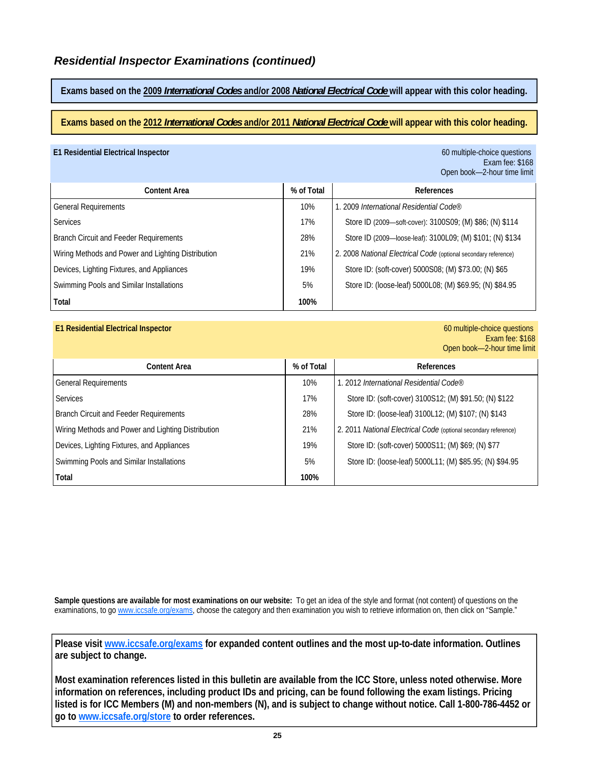**Exams based on the 2009** *International Codes* **and/or 2008** *National Electrical Code* **will appear with this color heading.** 

**Exams based on the 2012** *International Codes* **and/or 2011** *National Electrical Code* **will appear with this color heading.** 

#### **E1 Residential Electrical Inspector** 60 multiple-choice questions

# Exam fee: \$168 Open book—2-hour time limit

| <b>Content Area</b>                                | % of Total | References                                                      |
|----------------------------------------------------|------------|-----------------------------------------------------------------|
| <b>General Requirements</b>                        | 10%        | 1. 2009 International Residential Code®                         |
| Services                                           | 17%        | Store ID (2009—soft-cover): 3100S09; (M) \$86; (N) \$114        |
| <b>Branch Circuit and Feeder Requirements</b>      | 28%        | Store ID (2009—loose-leaf): 3100L09; (M) \$101; (N) \$134       |
| Wiring Methods and Power and Lighting Distribution | 21%        | 2. 2008 National Electrical Code (optional secondary reference) |
| Devices, Lighting Fixtures, and Appliances         | 19%        | Store ID: (soft-cover) 5000S08; (M) \$73.00; (N) \$65           |
| Swimming Pools and Similar Installations           | 5%         | Store ID: (loose-leaf) 5000L08; (M) \$69.95; (N) \$84.95        |
| Total                                              | 100%       |                                                                 |

#### **E1 Residential Electrical Inspector** 60 multiple-choice questions

Exam fee: \$168 Open book—2-hour time limit

| <b>Content Area</b>                                | % of Total | References                                                             |
|----------------------------------------------------|------------|------------------------------------------------------------------------|
| <b>General Requirements</b>                        | 10%        | 1. 2012 International Residential Code®                                |
| <b>Services</b>                                    | 17%        | Store ID: (soft-cover) 3100S12; (M) \$91.50; (N) \$122                 |
| <b>Branch Circuit and Feeder Requirements</b>      | 28%        | Store ID: (loose-leaf) 3100L12; (M) \$107; (N) \$143                   |
| Wiring Methods and Power and Lighting Distribution | 21%        | 2. 2011 <i>National Electrical Code</i> (optional secondary reference) |
| Devices, Lighting Fixtures, and Appliances         | 19%        | Store ID: (soft-cover) 5000S11; (M) \$69; (N) \$77                     |
| Swimming Pools and Similar Installations           | 5%         | Store ID: (loose-leaf) 5000L11; (M) \$85.95; (N) \$94.95               |
| Total                                              | 100%       |                                                                        |

**Sample questions are available for most examinations on our website:** To get an idea of the style and format (not content) of questions on the examinations, to go www.iccsafe.org/exams, choose the category and then examination you wish to retrieve information on, then click on "Sample."

**Please visit www.iccsafe.org/exams for expanded content outlines and the most up-to-date information. Outlines are subject to change.** 

**Most examination references listed in this bulletin are available from the ICC Store, unless noted otherwise. More information on references, including product IDs and pricing, can be found following the exam listings. Pricing listed is for ICC Members (M) and non-members (N), and is subject to change without notice. Call 1-800-786-4452 or go to www.iccsafe.org/store to order references.**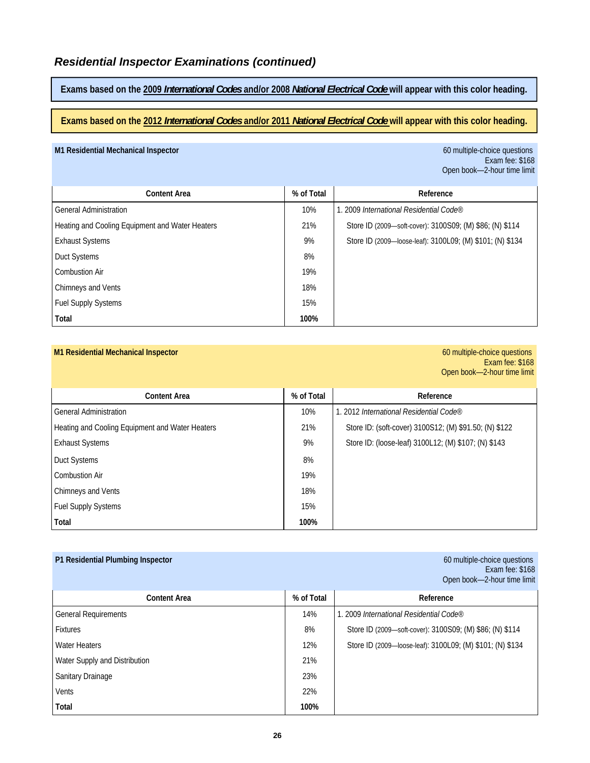**Exams based on the 2009** *International Codes* **and/or 2008** *National Electrical Code* **will appear with this color heading.** 

**Exams based on the 2012** *International Codes* **and/or 2011** *National Electrical Code* **will appear with this color heading.** 

#### **M1 Residential Mechanical Inspector** 60 multiple-choice questions

Exam fee: \$168 Open book—2-hour time limit

| <b>Content Area</b>                             | % of Total | Reference                                                 |
|-------------------------------------------------|------------|-----------------------------------------------------------|
| <b>General Administration</b>                   | 10%        | 1. 2009 International Residential Code®                   |
| Heating and Cooling Equipment and Water Heaters | 21%        | Store ID (2009—soft-cover): 3100S09; (M) \$86; (N) \$114  |
| <b>Exhaust Systems</b>                          | 9%         | Store ID (2009—loose-leaf): 3100L09; (M) \$101; (N) \$134 |
| Duct Systems                                    | 8%         |                                                           |
| <b>Combustion Air</b>                           | 19%        |                                                           |
| Chimneys and Vents                              | 18%        |                                                           |
| <b>Fuel Supply Systems</b>                      | 15%        |                                                           |
| Total                                           | 100%       |                                                           |

#### **M1 Residential Mechanical Inspector** 60 multiple-choice questions

Exam fee: \$168 Open book—2-hour time limit

| <b>Content Area</b>                             | % of Total | Reference                                              |
|-------------------------------------------------|------------|--------------------------------------------------------|
| <b>General Administration</b>                   | 10%        | l. 2012 International Residential Code®                |
| Heating and Cooling Equipment and Water Heaters | 21%        | Store ID: (soft-cover) 3100S12; (M) \$91.50; (N) \$122 |
| <b>Exhaust Systems</b>                          | 9%         | Store ID: (loose-leaf) 3100L12; (M) \$107; (N) \$143   |
| Duct Systems                                    | 8%         |                                                        |
| <b>Combustion Air</b>                           | 19%        |                                                        |
| Chimneys and Vents                              | 18%        |                                                        |
| <b>Fuel Supply Systems</b>                      | 15%        |                                                        |
| Total                                           | 100%       |                                                        |

| P1 Residential Plumbing Inspector |            | 60 multiple-choice questions<br>Exam fee: \$168<br>Open book-2-hour time limit |
|-----------------------------------|------------|--------------------------------------------------------------------------------|
| <b>Content Area</b>               | % of Total | Reference                                                                      |
| <b>General Requirements</b>       | 14%        | 1. 2009 International Residential Code®                                        |
| <b>Fixtures</b>                   | 8%         | Store ID (2009-soft-cover): 3100S09; (M) \$86; (N) \$114                       |
| <b>Water Heaters</b>              | 12%        | Store ID (2009—loose-leaf): 3100L09; (M) \$101; (N) \$134                      |
| Water Supply and Distribution     | 21%        |                                                                                |
| Sanitary Drainage                 | 23%        |                                                                                |
| Vents                             | 22%        |                                                                                |
| Total                             | 100%       |                                                                                |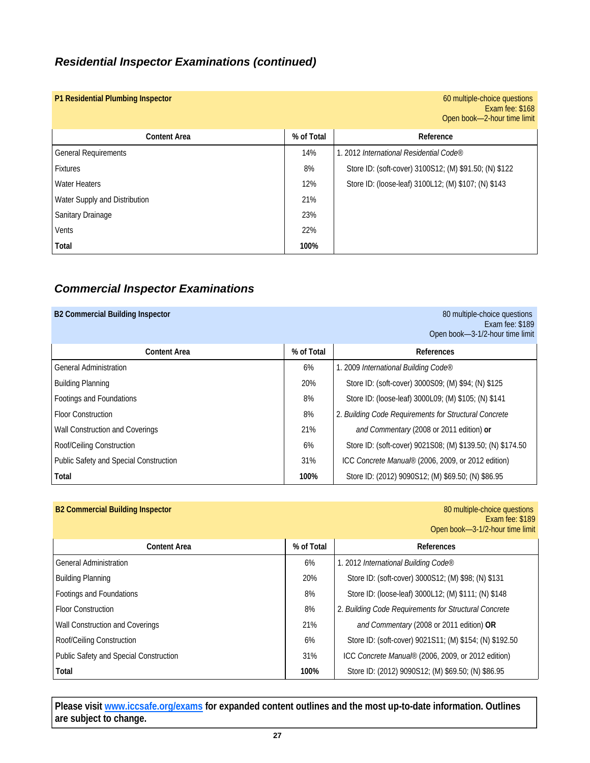# *Residential Inspector Examinations (continued)*

| P1 Residential Plumbing Inspector |            | 60 multiple-choice questions<br>Exam fee: \$168<br>Open book-2-hour time limit |
|-----------------------------------|------------|--------------------------------------------------------------------------------|
| <b>Content Area</b>               | % of Total | Reference                                                                      |
| <b>General Requirements</b>       | 14%        | 1. 2012 International Residential Code®                                        |
| <b>Fixtures</b>                   | 8%         | Store ID: (soft-cover) 3100S12; (M) \$91.50; (N) \$122                         |
| <b>Water Heaters</b>              | 12%        | Store ID: (loose-leaf) 3100L12; (M) \$107; (N) \$143                           |
| Water Supply and Distribution     | 21%        |                                                                                |
| <b>Sanitary Drainage</b>          | 23%        |                                                                                |
| Vents                             | 22%        |                                                                                |
| Total                             | 100%       |                                                                                |

# *Commercial Inspector Examinations*

# **B2 Commercial Building Inspector** 80 multiple-choice questions **80 multiple-choice questions** Exam fee: \$189 Open book—3-1/2-hour time limit **Content Area Content Area 1 % of Total <b>References** General Administration 6% 1. 2009 *International Building Code* Building Planning 20% Store ID: (soft-cover) 3000S09; (M) \$94; (N) \$125 Footings and Foundations **State ID: (loose-leaf) 3000L09;** (M) \$105; (N) \$141 Floor Construction 8% 2. *Building Code Requirements for Structural Concrete*  Wall Construction and Coverings 21% *and Commentary* (2008 or 2011 edition) **or** Roof/Ceiling Construction 6% Store ID: (soft-cover) 9021S08; (M) \$139.50; (N) \$174.50 Public Safety and Special Construction 31% **ICC** Concrete Manual® (2006, 2009, or 2012 edition) **Total 100%** Store ID: (2012) 9090S12; (M) \$69.50; (N) \$86.95

| <b>B2 Commercial Building Inspector</b> |            | 80 multiple-choice questions<br>Exam fee: \$189<br>Open book-3-1/2-hour time limit |
|-----------------------------------------|------------|------------------------------------------------------------------------------------|
| <b>Content Area</b>                     | % of Total | <b>References</b>                                                                  |
| <b>General Administration</b>           | 6%         | 1. 2012 International Building Code®                                               |
| <b>Building Planning</b>                | 20%        | Store ID: (soft-cover) 3000S12; (M) \$98; (N) \$131                                |
| Footings and Foundations                | 8%         | Store ID: (loose-leaf) 3000L12; (M) \$111; (N) \$148                               |
| <b>Floor Construction</b>               | 8%         | 2. Building Code Requirements for Structural Concrete                              |
| Wall Construction and Coverings         | 21%        | and Commentary (2008 or 2011 edition) OR                                           |
| Roof/Ceiling Construction               | 6%         | Store ID: (soft-cover) 9021S11; (M) \$154; (N) \$192.50                            |
| Public Safety and Special Construction  | 31%        | ICC Concrete Manual® (2006, 2009, or 2012 edition)                                 |
| Total                                   | 100%       | Store ID: (2012) 9090S12; (M) \$69.50; (N) \$86.95                                 |

**Please visit www.iccsafe.org/exams for expanded content outlines and the most up-to-date information. Outlines are subject to change.**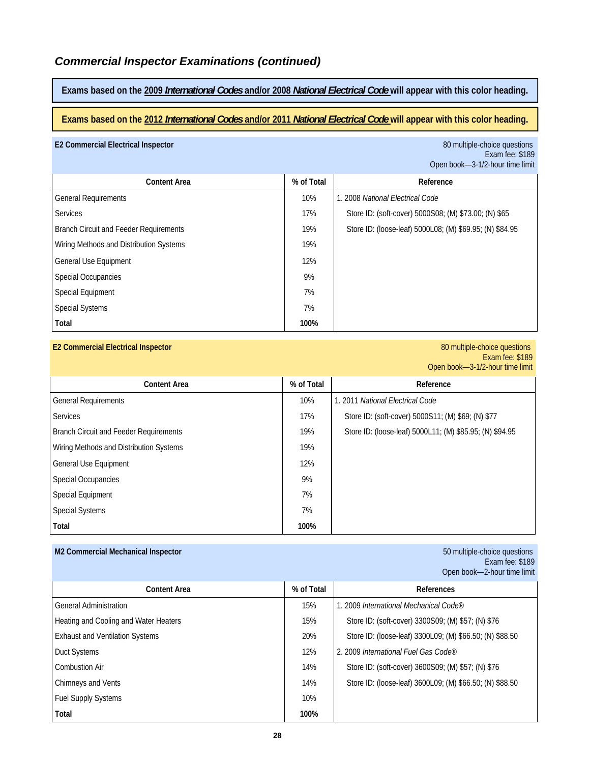# *Commercial Inspector Examinations (continued)*

**Exams based on the 2009** *International Codes* **and/or 2008** *National Electrical Code* **will appear with this color heading.** 

**Exams based on the 2012** *International Codes* **and/or 2011** *National Electrical Code* **will appear with this color heading.** 

#### **E2 Commercial Electrical Inspector** 80 multiple-choice questions

Exam fee: \$189 Open book—3-1/2-hour time limit

| <b>Content Area</b>                           | % of Total | Reference                                                |
|-----------------------------------------------|------------|----------------------------------------------------------|
| <b>General Requirements</b>                   | 10%        | 1. 2008 National Electrical Code                         |
| <b>Services</b>                               | 17%        | Store ID: (soft-cover) 5000S08; (M) \$73.00; (N) \$65    |
| <b>Branch Circuit and Feeder Requirements</b> | 19%        | Store ID: (loose-leaf) 5000L08; (M) \$69.95; (N) \$84.95 |
| Wiring Methods and Distribution Systems       | 19%        |                                                          |
| General Use Equipment                         | 12%        |                                                          |
| <b>Special Occupancies</b>                    | 9%         |                                                          |
| Special Equipment                             | 7%         |                                                          |
| <b>Special Systems</b>                        | 7%         |                                                          |
| Total                                         | 100%       |                                                          |

#### **E2 Commercial Electrical Inspector** 80 multiple-choice questions

Exam fee: \$189 Open book—3-1/2-hour time limit

| <b>Content Area</b>                           | % of Total | Reference                                                |
|-----------------------------------------------|------------|----------------------------------------------------------|
| <b>General Requirements</b>                   | 10%        | 1. 2011 National Electrical Code                         |
| <b>Services</b>                               | 17%        | Store ID: (soft-cover) 5000S11; (M) \$69; (N) \$77       |
| <b>Branch Circuit and Feeder Requirements</b> | 19%        | Store ID: (loose-leaf) 5000L11; (M) \$85.95; (N) \$94.95 |
| Wiring Methods and Distribution Systems       | 19%        |                                                          |
| General Use Equipment                         | 12%        |                                                          |
| <b>Special Occupancies</b>                    | 9%         |                                                          |
| <b>Special Equipment</b>                      | 7%         |                                                          |
| <b>Special Systems</b>                        | 7%         |                                                          |
| Total                                         | 100%       |                                                          |

| M2 Commercial Mechanical Inspector     |            | 50 multiple-choice questions<br>Exam fee: \$189<br>Open book-2-hour time limit |
|----------------------------------------|------------|--------------------------------------------------------------------------------|
| <b>Content Area</b>                    | % of Total | <b>References</b>                                                              |
| <b>General Administration</b>          | 15%        | 1. 2009 International Mechanical Code®                                         |
| Heating and Cooling and Water Heaters  | 15%        | Store ID: (soft-cover) 3300S09; (M) \$57; (N) \$76                             |
| <b>Exhaust and Ventilation Systems</b> | 20%        | Store ID: (loose-leaf) 3300L09; (M) \$66.50; (N) \$88.50                       |
| <b>Duct Systems</b>                    | 12%        | 2. 2009 International Fuel Gas Code®                                           |
| Combustion Air                         | 14%        | Store ID: (soft-cover) 3600S09; (M) \$57; (N) \$76                             |
| Chimneys and Vents                     | 14%        | Store ID: (loose-leaf) 3600L09; (M) \$66.50; (N) \$88.50                       |
| <b>Fuel Supply Systems</b>             | 10%        |                                                                                |
| Total                                  | 100%       |                                                                                |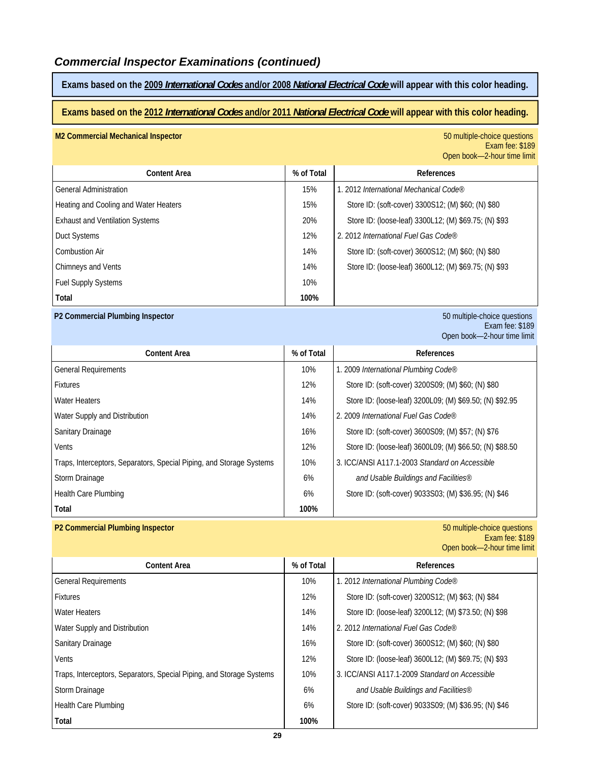# *Commercial Inspector Examinations (continued)*

**Exams based on the 2009** *International Codes* **and/or 2008** *National Electrical Code* **will appear with this color heading.** 

## **Exams based on the 2012** *International Codes* **and/or 2011** *National Electrical Code* **will appear with this color heading.**

| <b>M2 Commercial Mechanical Inspector</b> |            | 50 multiple-choice questions<br>Exam fee: \$189<br>Open book-2-hour time limit |
|-------------------------------------------|------------|--------------------------------------------------------------------------------|
| <b>Content Area</b>                       | % of Total | <b>References</b>                                                              |
| <b>General Administration</b>             | 15%        | 1. 2012 International Mechanical Code®                                         |
| Heating and Cooling and Water Heaters     | 15%        | Store ID: (soft-cover) 3300S12; (M) \$60; (N) \$80                             |
| <b>Exhaust and Ventilation Systems</b>    | 20%        | Store ID: (loose-leaf) 3300L12; (M) \$69.75; (N) \$93                          |
| Duct Systems                              | 12%        | 2. 2012 International Fuel Gas Code®                                           |
| <b>Combustion Air</b>                     | 14%        | Store ID: (soft-cover) 3600S12; (M) \$60; (N) \$80                             |
| Chimneys and Vents                        | 14%        | Store ID: (loose-leaf) 3600L12; (M) \$69.75; (N) \$93                          |
| <b>Fuel Supply Systems</b>                | 10%        |                                                                                |
| Total                                     | 100%       |                                                                                |

#### **P2 Commercial Plumbing Inspector** 50 multiple-choice questions

Exam fee: \$189 Open book—2-hour time limit

| <b>Content Area</b>                                                  | % of Total | References                                               |
|----------------------------------------------------------------------|------------|----------------------------------------------------------|
| <b>General Requirements</b>                                          | 10%        | 1. 2009 International Plumbing Code®                     |
| <b>Fixtures</b>                                                      | 12%        | Store ID: (soft-cover) 3200S09; (M) \$60; (N) \$80       |
| <b>Water Heaters</b>                                                 | 14%        | Store ID: (loose-leaf) 3200L09; (M) \$69.50; (N) \$92.95 |
| Water Supply and Distribution                                        | 14%        | 2. 2009 International Fuel Gas Code®                     |
| <b>Sanitary Drainage</b>                                             | 16%        | Store ID: (soft-cover) 3600S09; (M) \$57; (N) \$76       |
| Vents                                                                | 12%        | Store ID: (loose-leaf) 3600L09; (M) \$66.50; (N) \$88.50 |
| Traps, Interceptors, Separators, Special Piping, and Storage Systems | 10%        | 3. ICC/ANSI A117.1-2003 Standard on Accessible           |
| Storm Drainage                                                       | 6%         | and Usable Buildings and Facilities®                     |
| Health Care Plumbing                                                 | 6%         | Store ID: (soft-cover) 9033S03; (M) \$36.95; (N) \$46    |
| Total                                                                | 100%       |                                                          |

#### **P2 Commercial Plumbing Inspector** 50 multiple-choice questions

Exam fee: \$189 Open book—2-hour time limit

| <b>Content Area</b>                                                  | % of Total | References                                            |
|----------------------------------------------------------------------|------------|-------------------------------------------------------|
| <b>General Requirements</b>                                          | 10%        | 1. 2012 International Plumbing Code®                  |
| <b>Fixtures</b>                                                      | 12%        | Store ID: (soft-cover) 3200S12; (M) \$63; (N) \$84    |
| <b>Water Heaters</b>                                                 | 14%        | Store ID: (loose-leaf) 3200L12; (M) \$73.50; (N) \$98 |
| Water Supply and Distribution                                        | 14%        | 2. 2012 International Fuel Gas Code®                  |
| Sanitary Drainage                                                    | 16%        | Store ID: (soft-cover) 3600S12; (M) \$60; (N) \$80    |
| Vents                                                                | 12%        | Store ID: (loose-leaf) 3600L12; (M) \$69.75; (N) \$93 |
| Traps, Interceptors, Separators, Special Piping, and Storage Systems | 10%        | 3. ICC/ANSI A117.1-2009 Standard on Accessible        |
| Storm Drainage                                                       | 6%         | and Usable Buildings and Facilities®                  |
| <b>Health Care Plumbing</b>                                          | 6%         | Store ID: (soft-cover) 9033S09; (M) \$36.95; (N) \$46 |
| Total                                                                | 100%       |                                                       |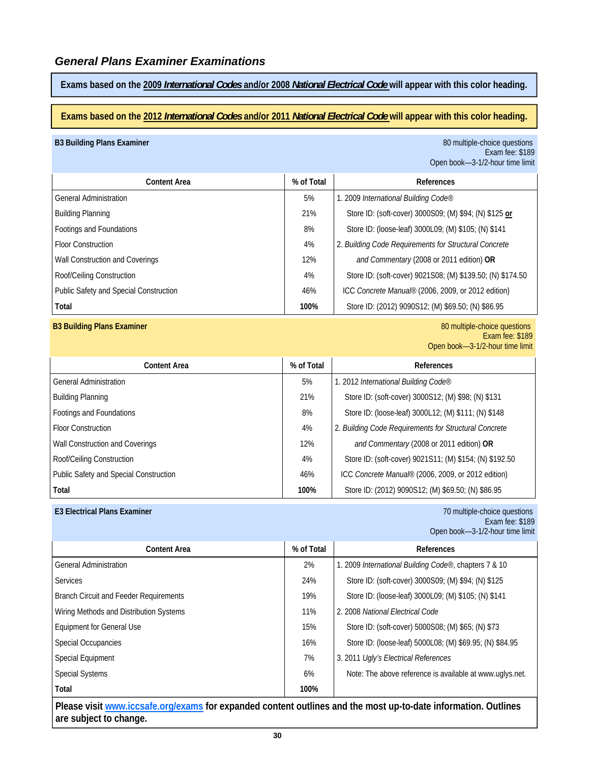**Exams based on the 2009** *International Codes* **and/or 2008** *National Electrical Code* **will appear with this color heading.** 

#### **Exams based on the 2012** *International Codes* **and/or 2011** *National Electrical Code* **will appear with this color heading.**

#### **B3 Building Plans Examiner Biographic Contract Contract Contract Contract Contract Contract Contract Contract Contract Contract Contract Contract Contract Contract Contract Contract Contract Contract Contract Contract C**

Exam fee: \$189 Open book—3-1/2-hour time limit

| <b>Content Area</b>                    | % of Total | References                                                 |
|----------------------------------------|------------|------------------------------------------------------------|
| <b>General Administration</b>          | 5%         | 1. 2009 International Building Code®                       |
| <b>Building Planning</b>               | 21%        | Store ID: (soft-cover) 3000S09; (M) \$94; (N) \$125 or     |
| Footings and Foundations               | 8%         | Store ID: (loose-leaf) 3000L09; (M) \$105; (N) \$141       |
| <b>Floor Construction</b>              | 4%         | 2. Building Code Requirements for Structural Concrete      |
| Wall Construction and Coverings        | 12%        | and Commentary (2008 or 2011 edition) OR                   |
| Roof/Ceiling Construction              | 4%         | Store ID: (soft-cover) 9021S08; (M) \$139.50; (N) \$174.50 |
| Public Safety and Special Construction | 46%        | ICC Concrete Manual® (2006, 2009, or 2012 edition)         |
| Total                                  | 100%       | Store ID: (2012) 9090S12; (M) \$69.50; (N) \$86.95         |

**B3 Building Plans Examiner** 80 multiple-choice questions and the state of the state of the state of the state of the state of the state of the state of the state of the state of the state of the state of the state of the Exam fee: \$189 Open book—3-1/2-hour time limit

| <b>Content Area</b>                    | % of Total | References                                              |
|----------------------------------------|------------|---------------------------------------------------------|
| <b>General Administration</b>          | 5%         | 1. 2012 International Building Code®                    |
| <b>Building Planning</b>               | 21%        | Store ID: (soft-cover) 3000S12; (M) \$98; (N) \$131     |
| Footings and Foundations               | 8%         | Store ID: (loose-leaf) 3000L12; (M) \$111; (N) \$148    |
| <b>Floor Construction</b>              | 4%         | 2. Building Code Requirements for Structural Concrete   |
| Wall Construction and Coverings        | 12%        | and Commentary (2008 or 2011 edition) OR                |
| Roof/Ceiling Construction              | 4%         | Store ID: (soft-cover) 9021S11; (M) \$154; (N) \$192.50 |
| Public Safety and Special Construction | 46%        | ICC Concrete Manual® (2006, 2009, or 2012 edition)      |
| Total                                  | 100%       | Store ID: (2012) 9090S12; (M) \$69.50; (N) \$86.95      |

**E3 Electrical Plans Examiner** 70 multiple-choice questions Exam fee: \$189 Open book—3-1/2-hour time limit

| <b>Content Area</b>                           | % of Total | References                                                    |
|-----------------------------------------------|------------|---------------------------------------------------------------|
| <b>General Administration</b>                 | 2%         | 1. 2009 <i>International Building Code®</i> , chapters 7 & 10 |
| <b>Services</b>                               | 24%        | Store ID: (soft-cover) 3000S09; (M) \$94; (N) \$125           |
| <b>Branch Circuit and Feeder Requirements</b> | 19%        | Store ID: (loose-leaf) 3000L09; (M) \$105; (N) \$141          |
| Wiring Methods and Distribution Systems       | 11%        | 2. 2008 National Electrical Code                              |
| <b>Equipment for General Use</b>              | 15%        | Store ID: (soft-cover) 5000S08; (M) \$65; (N) \$73            |
| <b>Special Occupancies</b>                    | 16%        | Store ID: (loose-leaf) 5000L08; (M) \$69.95; (N) \$84.95      |
| Special Equipment                             | 7%         | 3. 2011 Ugly's Electrical References                          |
| <b>Special Systems</b>                        | 6%         | Note: The above reference is available at www.uglys.net.      |
| Total                                         | 100%       |                                                               |

**Please visit www.iccsafe.org/exams for expanded content outlines and the most up-to-date information. Outlines are subject to change.**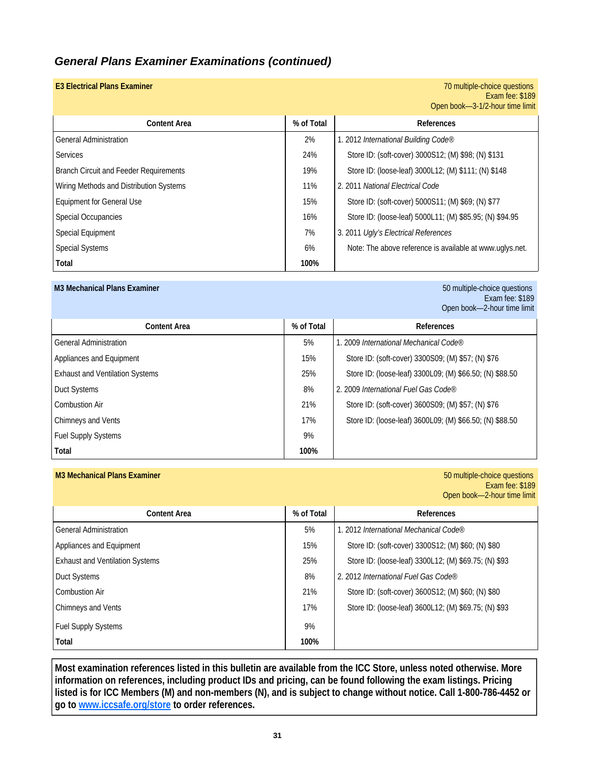# *General Plans Examiner Examinations (continued)*

| <b>E3 Electrical Plans Examiner</b>           |            | 70 multiple-choice questions<br>Exam fee: \$189          |
|-----------------------------------------------|------------|----------------------------------------------------------|
|                                               |            | Open book-3-1/2-hour time limit                          |
| <b>Content Area</b>                           | % of Total | References                                               |
| <b>General Administration</b>                 | 2%         | 1. 2012 International Building Code®                     |
| <b>Services</b>                               | 24%        | Store ID: (soft-cover) 3000S12; (M) \$98; (N) \$131      |
| <b>Branch Circuit and Feeder Requirements</b> | 19%        | Store ID: (loose-leaf) 3000L12; (M) \$111; (N) \$148     |
| Wiring Methods and Distribution Systems       | 11%        | 2. 2011 National Electrical Code                         |
| <b>Equipment for General Use</b>              | 15%        | Store ID: (soft-cover) 5000S11; (M) \$69; (N) \$77       |
| Special Occupancies                           | 16%        | Store ID: (loose-leaf) 5000L11; (M) \$85.95; (N) \$94.95 |
| Special Equipment                             | 7%         | 3. 2011 Ugly's Electrical References                     |
| <b>Special Systems</b>                        | 6%         | Note: The above reference is available at www.uglys.net. |
| Total                                         | 100%       |                                                          |

#### **M3 Mechanical Plans Examiner** 50 multiple-choice questions

Exam fee: \$189 Open book—2-hour time limit

| <b>Content Area</b>                    | % of Total | References                                               |
|----------------------------------------|------------|----------------------------------------------------------|
| <b>General Administration</b>          | 5%         | 1. 2009 International Mechanical Code®                   |
| Appliances and Equipment               | 15%        | Store ID: (soft-cover) 3300S09; (M) \$57; (N) \$76       |
| <b>Exhaust and Ventilation Systems</b> | 25%        | Store ID: (loose-leaf) 3300L09; (M) \$66.50; (N) \$88.50 |
| Duct Systems                           | 8%         | 2. 2009 International Fuel Gas Code®                     |
| Combustion Air                         | 21%        | Store ID: (soft-cover) 3600S09; (M) \$57; (N) \$76       |
| Chimneys and Vents                     | 17%        | Store ID: (loose-leaf) 3600L09; (M) \$66.50; (N) \$88.50 |
| <b>Fuel Supply Systems</b>             | 9%         |                                                          |
| Total                                  | 100%       |                                                          |

#### **M3 Mechanical Plans Examiner** 50 multiple-choice questions

Exam fee: \$189 Open book—2-hour time limit

| <b>Content Area</b>                    | % of Total | References                                            |
|----------------------------------------|------------|-------------------------------------------------------|
| <b>General Administration</b>          | 5%         | 1. 2012 International Mechanical Code®                |
| Appliances and Equipment               | 15%        | Store ID: (soft-cover) 3300S12; (M) \$60; (N) \$80    |
| <b>Exhaust and Ventilation Systems</b> | 25%        | Store ID: (loose-leaf) 3300L12; (M) \$69.75; (N) \$93 |
| <b>Duct Systems</b>                    | 8%         | 2. 2012 International Fuel Gas Code®                  |
| Combustion Air                         | 21%        | Store ID: (soft-cover) 3600S12; (M) \$60; (N) \$80    |
| Chimneys and Vents                     | 17%        | Store ID: (loose-leaf) 3600L12; (M) \$69.75; (N) \$93 |
| <b>Fuel Supply Systems</b>             | 9%         |                                                       |
| Total                                  | 100%       |                                                       |

**Most examination references listed in this bulletin are available from the ICC Store, unless noted otherwise. More information on references, including product IDs and pricing, can be found following the exam listings. Pricing listed is for ICC Members (M) and non-members (N), and is subject to change without notice. Call 1-800-786-4452 or go to www.iccsafe.org/store to order references.**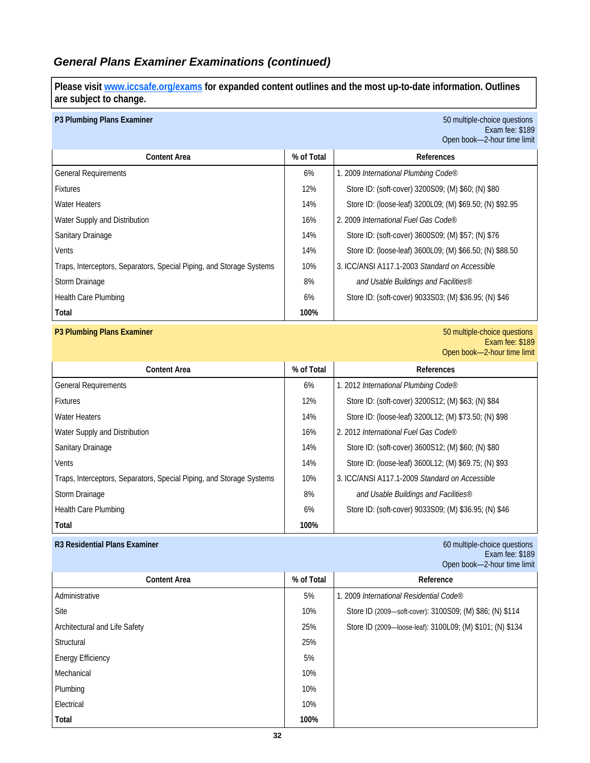# *General Plans Examiner Examinations (continued)*

**Please visit www.iccsafe.org/exams for expanded content outlines and the most up-to-date information. Outlines are subject to change.** 

#### **P3 Plumbing Plans Examiner** 50 multiple-choice questions

Exam fee: \$189 Open book—2-hour time limit

| <b>Content Area</b>                                                  | % of Total | References                                               |
|----------------------------------------------------------------------|------------|----------------------------------------------------------|
| <b>General Requirements</b>                                          | 6%         | 1. 2009 International Plumbing Code®                     |
| <b>Fixtures</b>                                                      | 12%        | Store ID: (soft-cover) 3200S09; (M) \$60; (N) \$80       |
| <b>Water Heaters</b>                                                 | 14%        | Store ID: (loose-leaf) 3200L09; (M) \$69.50; (N) \$92.95 |
| Water Supply and Distribution                                        | 16%        | 2.2009 International Fuel Gas Code®                      |
| Sanitary Drainage                                                    | 14%        | Store ID: (soft-cover) 3600S09; (M) \$57; (N) \$76       |
| Vents                                                                | 14%        | Store ID: (loose-leaf) 3600L09; (M) \$66.50; (N) \$88.50 |
| Traps, Interceptors, Separators, Special Piping, and Storage Systems | 10%        | 3. ICC/ANSLA117.1-2003 Standard on Accessible            |
| Storm Drainage                                                       | 8%         | and Usable Buildings and Facilities®                     |
| <b>Health Care Plumbing</b>                                          | 6%         | Store ID: (soft-cover) 9033S03; (M) \$36.95; (N) \$46    |
| Total                                                                | 100%       |                                                          |

#### **P3 Plumbing Plans Examiner** 50 multiple-choice questions

Exam fee: \$189 Open book—2-hour time limit

| <b>Content Area</b>                                                  | % of Total | References                                            |
|----------------------------------------------------------------------|------------|-------------------------------------------------------|
| <b>General Requirements</b>                                          | 6%         | 1. 2012 International Plumbing Code®                  |
| <b>Fixtures</b>                                                      | 12%        | Store ID: (soft-cover) 3200S12; (M) \$63; (N) \$84    |
| <b>Water Heaters</b>                                                 | 14%        | Store ID: (loose-leaf) 3200L12; (M) \$73.50; (N) \$98 |
| Water Supply and Distribution                                        | 16%        | 2. 2012 International Fuel Gas Code®                  |
| Sanitary Drainage                                                    | 14%        | Store ID: (soft-cover) 3600S12; (M) \$60; (N) \$80    |
| <b>Vents</b>                                                         | 14%        | Store ID: (loose-leaf) 3600L12; (M) \$69.75; (N) \$93 |
| Traps, Interceptors, Separators, Special Piping, and Storage Systems | 10%        | 3. ICC/ANSI A117.1-2009 Standard on Accessible        |
| Storm Drainage                                                       | 8%         | and Usable Buildings and Facilities®                  |
| <b>Health Care Plumbing</b>                                          | 6%         | Store ID: (soft-cover) 9033S09; (M) \$36.95; (N) \$46 |
| Total                                                                | 100%       |                                                       |

#### **R3 Residential Plans Examiner** 60 multiple-choice questions

Exam fee: \$189 Open book—2-hour time limit

| <b>Content Area</b>           | % of Total | Reference                                                 |
|-------------------------------|------------|-----------------------------------------------------------|
| Administrative                | 5%         | 1. 2009 International Residential Code®                   |
| Site                          | 10%        | Store ID (2009—soft-cover): 3100S09; (M) \$86; (N) \$114  |
| Architectural and Life Safety | 25%        | Store ID (2009—loose-leaf): 3100L09; (M) \$101; (N) \$134 |
| Structural                    | 25%        |                                                           |
| <b>Energy Efficiency</b>      | 5%         |                                                           |
| Mechanical                    | 10%        |                                                           |
| Plumbing                      | 10%        |                                                           |
| Electrical                    | 10%        |                                                           |
| Total                         | 100%       |                                                           |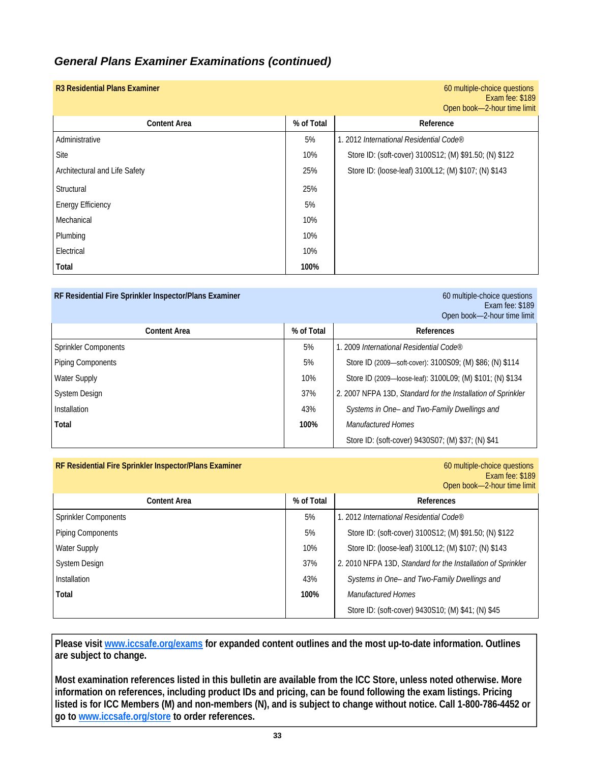# *General Plans Examiner Examinations (continued)*

| <b>R3 Residential Plans Examiner</b> |            | 60 multiple-choice questions<br>Exam fee: \$189<br>Open book-2-hour time limit |
|--------------------------------------|------------|--------------------------------------------------------------------------------|
| <b>Content Area</b>                  | % of Total | Reference                                                                      |
| Administrative                       | 5%         | 1. 2012 International Residential Code®                                        |
| Site                                 | 10%        | Store ID: (soft-cover) 3100S12; (M) \$91.50; (N) \$122                         |
| Architectural and Life Safety        | 25%        | Store ID: (loose-leaf) 3100L12; (M) \$107; (N) \$143                           |
| Structural                           | 25%        |                                                                                |
| <b>Energy Efficiency</b>             | 5%         |                                                                                |
| Mechanical                           | 10%        |                                                                                |
| Plumbing                             | 10%        |                                                                                |
| Electrical                           | 10%        |                                                                                |
| Total                                | 100%       |                                                                                |

| RF Residential Fire Sprinkler Inspector/Plans Examiner |            | 60 multiple-choice questions<br>Exam fee: \$189<br>Open book-2-hour time limit |
|--------------------------------------------------------|------------|--------------------------------------------------------------------------------|
| <b>Content Area</b>                                    | % of Total | References                                                                     |
| Sprinkler Components                                   | 5%         | 1. 2009 International Residential Code®                                        |
| <b>Piping Components</b>                               | 5%         | Store ID (2009—soft-cover): 3100S09; (M) \$86; (N) \$114                       |
| <b>Water Supply</b>                                    | 10%        | Store ID (2009—loose-leaf): 3100L09; (M) \$101; (N) \$134                      |
| <b>System Design</b>                                   | 37%        | 2. 2007 NFPA 13D, Standard for the Installation of Sprinkler                   |
| Installation                                           | 43%        | Systems in One- and Two-Family Dwellings and                                   |
| Total                                                  | 100%       | <b>Manufactured Homes</b>                                                      |
|                                                        |            | Store ID: (soft-cover) 9430S07; (M) \$37; (N) \$41                             |

| RF Residential Fire Sprinkler Inspector/Plans Examiner | 60 multiple-choice questions |
|--------------------------------------------------------|------------------------------|
|--------------------------------------------------------|------------------------------|

Exam fee: \$189

|                             |            | Open book-2-hour time limit                                  |
|-----------------------------|------------|--------------------------------------------------------------|
| <b>Content Area</b>         | % of Total | References                                                   |
| <b>Sprinkler Components</b> | 5%         | 1. 2012 International Residential Code®                      |
| Piping Components           | 5%         | Store ID: (soft-cover) 3100S12; (M) \$91.50; (N) \$122       |
| <b>Water Supply</b>         | 10%        | Store ID: (loose-leaf) 3100L12; (M) \$107; (N) \$143         |
| <b>System Design</b>        | 37%        | 2. 2010 NFPA 13D, Standard for the Installation of Sprinkler |
| Installation                | 43%        | Systems in One- and Two-Family Dwellings and                 |
| Total                       | 100%       | <b>Manufactured Homes</b>                                    |
|                             |            | Store ID: (soft-cover) 9430S10; (M) \$41; (N) \$45           |

**Please visit www.iccsafe.org/exams for expanded content outlines and the most up-to-date information. Outlines are subject to change.** 

**Most examination references listed in this bulletin are available from the ICC Store, unless noted otherwise. More information on references, including product IDs and pricing, can be found following the exam listings. Pricing listed is for ICC Members (M) and non-members (N), and is subject to change without notice. Call 1-800-786-4452 or go to www.iccsafe.org/store to order references.**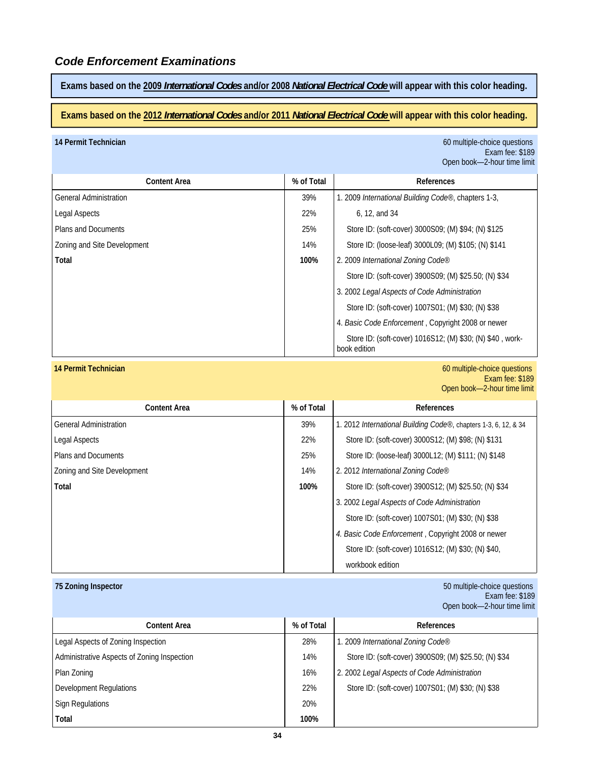**Exams based on the 2009** *International Codes* **and/or 2008** *National Electrical Code* **will appear with this color heading.** 

#### **Exams based on the 2012** *International Codes* **and/or 2011** *National Electrical Code* **will appear with this color heading.**

**14 Permit Technician** 60 multiple-choice questions Exam fee: \$189 Open book—2-hour time limit

| <b>Content Area</b>           | % of Total | References                                                                |
|-------------------------------|------------|---------------------------------------------------------------------------|
| <b>General Administration</b> | 39%        | 1. 2009 International Building Code®, chapters 1-3,                       |
| <b>Legal Aspects</b>          | 22%        | 6, 12, and 34                                                             |
| <b>Plans and Documents</b>    | 25%        | Store ID: (soft-cover) 3000S09; (M) \$94; (N) \$125                       |
| Zoning and Site Development   | 14%        | Store ID: (loose-leaf) 3000L09; (M) \$105; (N) \$141                      |
| Total                         | 100%       | 2. 2009 International Zoning Code®                                        |
|                               |            | Store ID: (soft-cover) 3900S09; (M) \$25.50; (N) \$34                     |
|                               |            | 3. 2002 Legal Aspects of Code Administration                              |
|                               |            | Store ID: (soft-cover) 1007S01; (M) \$30; (N) \$38                        |
|                               |            | 4. Basic Code Enforcement, Copyright 2008 or newer                        |
|                               |            | Store ID: (soft-cover) 1016S12; (M) \$30; (N) \$40, work-<br>book edition |

**14 Permit Technician** 60 multiple-choice questions Exam fee: \$189 Open book—2-hour time limit

| <b>Content Area</b>           | % of Total | References                                                      |
|-------------------------------|------------|-----------------------------------------------------------------|
| <b>General Administration</b> | 39%        | 1. 2012 International Building Code®, chapters 1-3, 6, 12, & 34 |
| Legal Aspects                 | 22%        | Store ID: (soft-cover) 3000S12; (M) \$98; (N) \$131             |
| Plans and Documents           | 25%        | Store ID: (loose-leaf) 3000L12; (M) \$111; (N) \$148            |
| Zoning and Site Development   | 14%        | 2. 2012 International Zoning Code®                              |
| Total                         | 100%       | Store ID: (soft-cover) 3900S12; (M) \$25.50; (N) \$34           |
|                               |            | 3. 2002 Legal Aspects of Code Administration                    |
|                               |            | Store ID: (soft-cover) 1007S01; (M) \$30; (N) \$38              |
|                               |            | 4. Basic Code Enforcement, Copyright 2008 or newer              |
|                               |            | Store ID: (soft-cover) 1016S12; (M) \$30; (N) \$40,             |
|                               |            | workbook edition                                                |

**75 Zoning Inspector** 50 multiple-choice questions Exam fee: \$189 Open book—2-hour time limit

| Content Area                                | % of Total | References                                            |
|---------------------------------------------|------------|-------------------------------------------------------|
| Legal Aspects of Zoning Inspection          | 28%        | 1. 2009 International Zoning Code®                    |
| Administrative Aspects of Zoning Inspection | 14%        | Store ID: (soft-cover) 3900S09; (M) \$25.50; (N) \$34 |
| Plan Zoning                                 | 16%        | 2. 2002 Legal Aspects of Code Administration          |
| Development Regulations                     | 22%        | Store ID: (soft-cover) 1007S01; (M) \$30; (N) \$38    |
| <b>Sign Regulations</b>                     | 20%        |                                                       |
| Total                                       | 100%       |                                                       |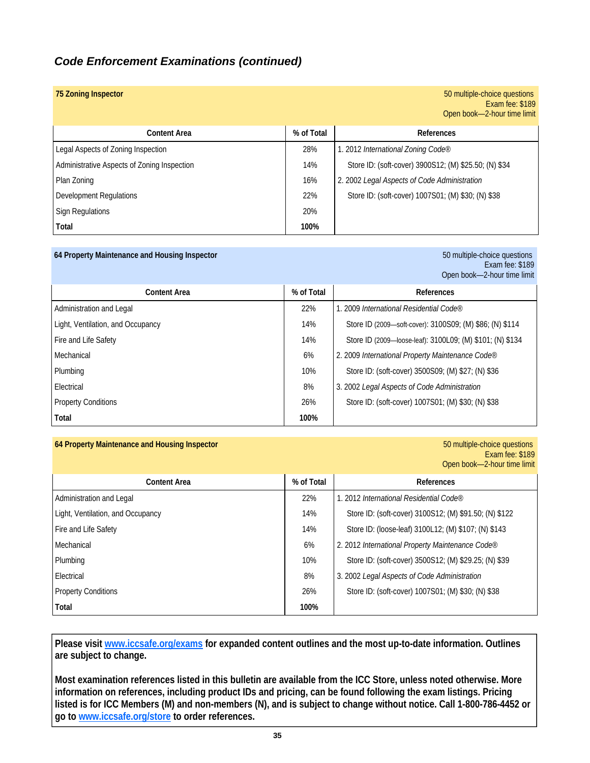# *Code Enforcement Examinations (continued)*

| 75 Zoning Inspector                         |            | 50 multiple-choice questions<br>Exam fee: \$189<br>Open book-2-hour time limit |
|---------------------------------------------|------------|--------------------------------------------------------------------------------|
| <b>Content Area</b>                         | % of Total | References                                                                     |
| Legal Aspects of Zoning Inspection          | 28%        | 1. 2012 International Zoning Code®                                             |
| Administrative Aspects of Zoning Inspection | 14%        | Store ID: (soft-cover) 3900S12; (M) \$25.50; (N) \$34                          |
| Plan Zoning                                 | 16%        | 2. 2002 Legal Aspects of Code Administration                                   |
| Development Regulations                     | 22%        | Store ID: (soft-cover) 1007S01; (M) \$30; (N) \$38                             |
| <b>Sign Regulations</b>                     | 20%        |                                                                                |
| Total                                       | 100%       |                                                                                |

#### **64 Property Maintenance and Housing Inspector** 50 multiple-choice questions

Exam fee: \$189 Open book—2-hour time limit

| <b>Content Area</b>               | % of Total | References                                                |
|-----------------------------------|------------|-----------------------------------------------------------|
| Administration and Legal          | 22%        | 1. 2009 International Residential Code®                   |
| Light, Ventilation, and Occupancy | 14%        | Store ID (2009—soft-cover): 3100S09; (M) \$86; (N) \$114  |
| Fire and Life Safety              | 14%        | Store ID (2009-loose-leaf): 3100L09; (M) \$101; (N) \$134 |
| Mechanical                        | 6%         | 2. 2009 International Property Maintenance Code®          |
| Plumbing                          | 10%        | Store ID: (soft-cover) 3500S09; (M) \$27; (N) \$36        |
| Electrical                        | 8%         | 3. 2002 Legal Aspects of Code Administration              |
| <b>Property Conditions</b>        | 26%        | Store ID: (soft-cover) 1007S01; (M) \$30; (N) \$38        |
| Total                             | 100%       |                                                           |

#### **64 Property Maintenance and Housing Inspector** 50 multiple-choice questions

## Exam fee: \$189 Open book—2-hour time limit

| <b>Content Area</b>               | % of Total | <b>References</b>                                      |
|-----------------------------------|------------|--------------------------------------------------------|
| Administration and Legal          | 22%        | 1. 2012 International Residential Code®                |
| Light, Ventilation, and Occupancy | 14%        | Store ID: (soft-cover) 3100S12; (M) \$91.50; (N) \$122 |
| Fire and Life Safety              | 14%        | Store ID: (loose-leaf) 3100L12; (M) \$107; (N) \$143   |
| Mechanical                        | 6%         | 2. 2012 International Property Maintenance Code®       |
| Plumbing                          | 10%        | Store ID: (soft-cover) 3500S12; (M) \$29.25; (N) \$39  |
| Electrical                        | 8%         | 3. 2002 Legal Aspects of Code Administration           |
| <b>Property Conditions</b>        | 26%        | Store ID: (soft-cover) 1007S01; (M) \$30; (N) \$38     |
| Total                             | 100%       |                                                        |

**Please visit www.iccsafe.org/exams for expanded content outlines and the most up-to-date information. Outlines are subject to change.** 

**Most examination references listed in this bulletin are available from the ICC Store, unless noted otherwise. More information on references, including product IDs and pricing, can be found following the exam listings. Pricing listed is for ICC Members (M) and non-members (N), and is subject to change without notice. Call 1-800-786-4452 or go to www.iccsafe.org/store to order references.**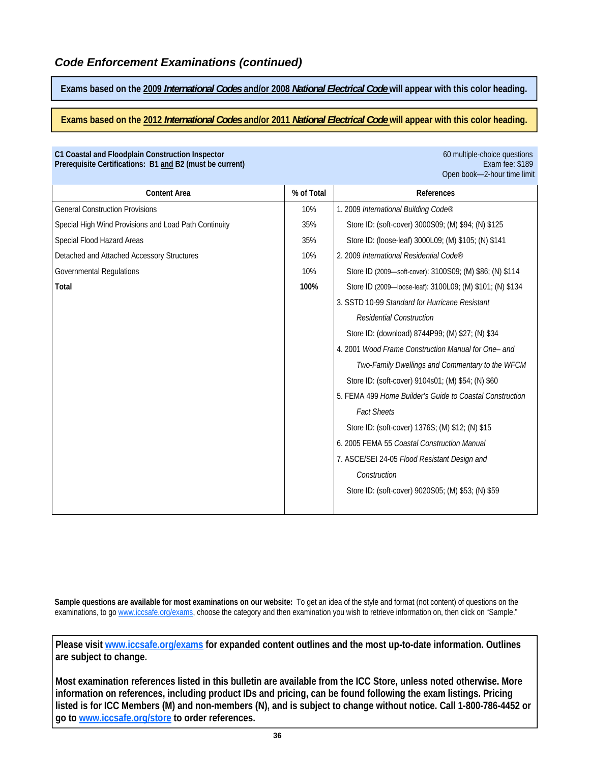Prerequisite Certifications: B1 and B2 (must be current)

**Exams based on the 2009** *International Codes* **and/or 2008** *National Electrical Code* **will appear with this color heading.** 

**Exams based on the 2012** *International Codes* **and/or 2011** *National Electrical Code* **will appear with this color heading.** 

**C1 Coastal and Floodplain Construction Inspector** 60 multiple-choice questions

|                                                       |            | Open book-2-hour time limit                               |
|-------------------------------------------------------|------------|-----------------------------------------------------------|
| <b>Content Area</b>                                   | % of Total | References                                                |
| <b>General Construction Provisions</b>                | 10%        | 1. 2009 International Building Code®                      |
| Special High Wind Provisions and Load Path Continuity | 35%        | Store ID: (soft-cover) 3000S09; (M) \$94; (N) \$125       |
| Special Flood Hazard Areas                            | 35%        | Store ID: (loose-leaf) 3000L09; (M) \$105; (N) \$141      |
| Detached and Attached Accessory Structures            | 10%        | 2. 2009 International Residential Code®                   |
| <b>Governmental Regulations</b>                       | 10%        | Store ID (2009—soft-cover): 3100S09; (M) \$86; (N) \$114  |
| Total                                                 | 100%       | Store ID (2009-loose-leaf): 3100L09; (M) \$101; (N) \$134 |
|                                                       |            | 3. SSTD 10-99 Standard for Hurricane Resistant            |
|                                                       |            | <b>Residential Construction</b>                           |
|                                                       |            | Store ID: (download) 8744P99; (M) \$27; (N) \$34          |
|                                                       |            | 4. 2001 Wood Frame Construction Manual for One- and       |
|                                                       |            | Two-Family Dwellings and Commentary to the WFCM           |
|                                                       |            | Store ID: (soft-cover) 9104s01; (M) \$54; (N) \$60        |
|                                                       |            | 5. FEMA 499 Home Builder's Guide to Coastal Construction  |
|                                                       |            | <b>Fact Sheets</b>                                        |
|                                                       |            | Store ID: (soft-cover) 1376S; (M) \$12; (N) \$15          |
|                                                       |            | 6. 2005 FEMA 55 Coastal Construction Manual               |
|                                                       |            | 7. ASCE/SEI 24-05 Flood Resistant Design and              |
|                                                       |            | Construction                                              |
|                                                       |            | Store ID: (soft-cover) 9020S05; (M) \$53; (N) \$59        |

**Sample questions are available for most examinations on our website:** To get an idea of the style and format (not content) of questions on the examinations, to go www.iccsafe.org/exams, choose the category and then examination you wish to retrieve information on, then click on "Sample."

**Please visit www.iccsafe.org/exams for expanded content outlines and the most up-to-date information. Outlines are subject to change.** 

**Most examination references listed in this bulletin are available from the ICC Store, unless noted otherwise. More information on references, including product IDs and pricing, can be found following the exam listings. Pricing listed is for ICC Members (M) and non-members (N), and is subject to change without notice. Call 1-800-786-4452 or go to www.iccsafe.org/store to order references.**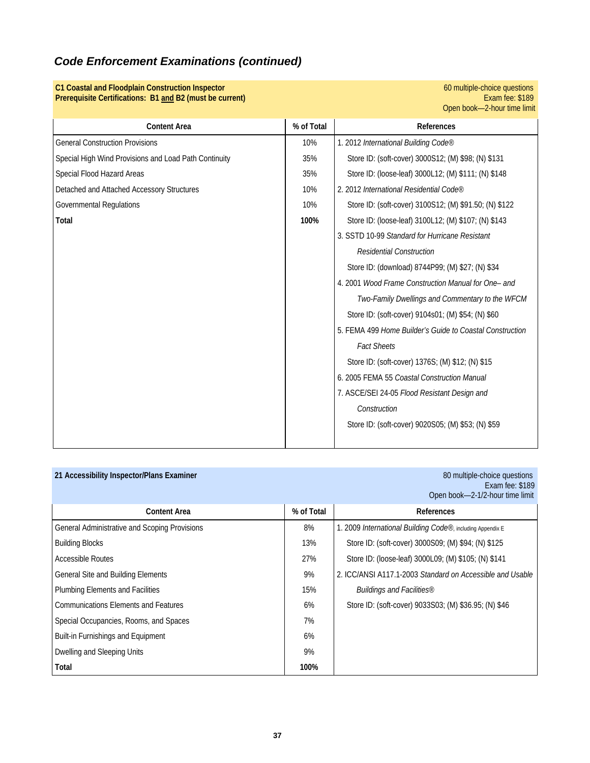| C1 Coastal and Floodplain Construction Inspector<br>Prerequisite Certifications: B1 and B2 (must be current) |            | 60 multiple-choice questions<br>Exam fee: \$189<br>Open book-2-hour time limit |
|--------------------------------------------------------------------------------------------------------------|------------|--------------------------------------------------------------------------------|
| <b>Content Area</b>                                                                                          | % of Total | References                                                                     |
| <b>General Construction Provisions</b>                                                                       | 10%        | 1. 2012 International Building Code®                                           |
| Special High Wind Provisions and Load Path Continuity                                                        | 35%        | Store ID: (soft-cover) 3000S12; (M) \$98; (N) \$131                            |
| Special Flood Hazard Areas                                                                                   | 35%        | Store ID: (loose-leaf) 3000L12; (M) \$111; (N) \$148                           |
| Detached and Attached Accessory Structures                                                                   | 10%        | 2. 2012 International Residential Code®                                        |
| <b>Governmental Regulations</b>                                                                              | 10%        | Store ID: (soft-cover) 3100S12; (M) \$91.50; (N) \$122                         |
| Total                                                                                                        | 100%       | Store ID: (loose-leaf) 3100L12; (M) \$107; (N) \$143                           |
|                                                                                                              |            | 3. SSTD 10-99 Standard for Hurricane Resistant                                 |
|                                                                                                              |            | <b>Residential Construction</b>                                                |
|                                                                                                              |            | Store ID: (download) 8744P99; (M) \$27; (N) \$34                               |
|                                                                                                              |            | 4. 2001 Wood Frame Construction Manual for One- and                            |
|                                                                                                              |            | Two-Family Dwellings and Commentary to the WFCM                                |
|                                                                                                              |            | Store ID: (soft-cover) 9104s01; (M) \$54; (N) \$60                             |
|                                                                                                              |            | 5. FEMA 499 Home Builder's Guide to Coastal Construction                       |
|                                                                                                              |            | <b>Fact Sheets</b>                                                             |
|                                                                                                              |            | Store ID: (soft-cover) 1376S; (M) \$12; (N) \$15                               |
|                                                                                                              |            | 6. 2005 FEMA 55 Coastal Construction Manual                                    |
|                                                                                                              |            | 7. ASCE/SEI 24-05 Flood Resistant Design and                                   |
|                                                                                                              |            | Construction                                                                   |
|                                                                                                              |            | Store ID: (soft-cover) 9020S05; (M) \$53; (N) \$59                             |
|                                                                                                              |            |                                                                                |

| 21 Accessibility Inspector/Plans Examiner     |            | 80 multiple-choice questions<br>Exam fee: \$189<br>Open book-2-1/2-hour time limit |
|-----------------------------------------------|------------|------------------------------------------------------------------------------------|
| <b>Content Area</b>                           | % of Total | References                                                                         |
| General Administrative and Scoping Provisions | 8%         | 1. 2009 International Building Code®, including Appendix E                         |
| <b>Building Blocks</b>                        | 13%        | Store ID: (soft-cover) 3000S09; (M) \$94; (N) \$125                                |
| <b>Accessible Routes</b>                      | 27%        | Store ID: (loose-leaf) 3000L09; (M) \$105; (N) \$141                               |
| General Site and Building Elements            | 9%         | 2. ICC/ANSI A117.1-2003 Standard on Accessible and Usable                          |
| <b>Plumbing Elements and Facilities</b>       | 15%        | Buildings and Facilities®                                                          |
| <b>Communications Elements and Features</b>   | 6%         | Store ID: (soft-cover) 9033S03; (M) \$36.95; (N) \$46                              |
| Special Occupancies, Rooms, and Spaces        | 7%         |                                                                                    |
| <b>Built-in Furnishings and Equipment</b>     | 6%         |                                                                                    |
| Dwelling and Sleeping Units                   | 9%         |                                                                                    |
| Total                                         | 100%       |                                                                                    |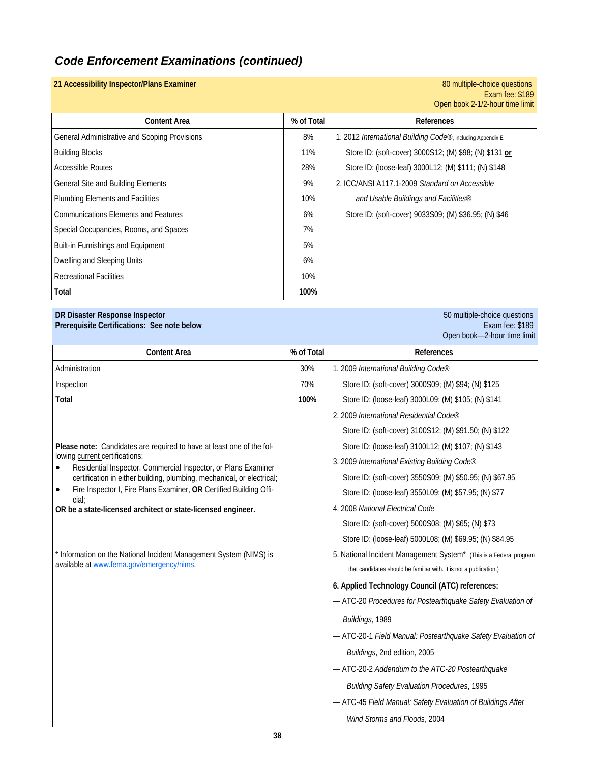### **21 Accessibility Inspector/Plans Examiner**

### Exam fee: \$189 Open book 2-1/2-hour time limit

|                                               |            | <b>ONCH DOOR Z-1/Z-HOUL HILIC IIIIIII</b>                  |
|-----------------------------------------------|------------|------------------------------------------------------------|
| <b>Content Area</b>                           | % of Total | <b>References</b>                                          |
| General Administrative and Scoping Provisions | 8%         | 1. 2012 International Building Code®, including Appendix E |
| <b>Building Blocks</b>                        | 11%        | Store ID: (soft-cover) 3000S12; (M) \$98; (N) \$131 or     |
| <b>Accessible Routes</b>                      | 28%        | Store ID: (loose-leaf) 3000L12; (M) \$111; (N) \$148       |
| General Site and Building Elements            | 9%         | 2. ICC/ANSI A117.1-2009 Standard on Accessible             |
| Plumbing Elements and Facilities              | 10%        | and Usable Buildings and Facilities®                       |
| <b>Communications Elements and Features</b>   | 6%         | Store ID: (soft-cover) 9033S09; (M) \$36.95; (N) \$46      |
| Special Occupancies, Rooms, and Spaces        | 7%         |                                                            |
| Built-in Furnishings and Equipment            | 5%         |                                                            |
| Dwelling and Sleeping Units                   | 6%         |                                                            |
| <b>Recreational Facilities</b>                | 10%        |                                                            |
| Total                                         | 100%       |                                                            |

### **DR Disaster Response Inspector** 50 multiple-choice questions

### **Prerequisite Certifications: See note below** Exam fee: \$189

|                                                                                                                 |            | Open book-2-hour time limit                                        |
|-----------------------------------------------------------------------------------------------------------------|------------|--------------------------------------------------------------------|
| <b>Content Area</b>                                                                                             | % of Total | <b>References</b>                                                  |
| Administration                                                                                                  | 30%        | 1. 2009 International Building Code®                               |
| Inspection                                                                                                      | 70%        | Store ID: (soft-cover) 3000S09; (M) \$94; (N) \$125                |
| Total                                                                                                           | 100%       | Store ID: (loose-leaf) 3000L09; (M) \$105; (N) \$141               |
|                                                                                                                 |            | 2. 2009 International Residential Code®                            |
|                                                                                                                 |            | Store ID: (soft-cover) 3100S12; (M) \$91.50; (N) \$122             |
| Please note: Candidates are required to have at least one of the fol-                                           |            | Store ID: (loose-leaf) 3100L12; (M) \$107; (N) \$143               |
| lowing current certifications:<br>Residential Inspector, Commercial Inspector, or Plans Examiner                |            | 3. 2009 International Existing Building Code®                      |
| certification in either building, plumbing, mechanical, or electrical;                                          |            | Store ID: (soft-cover) 3550S09; (M) \$50.95; (N) \$67.95           |
| Fire Inspector I, Fire Plans Examiner, OR Certified Building Offi-<br>$\bullet$<br>cial:                        |            | Store ID: (loose-leaf) 3550L09; (M) \$57.95; (N) \$77              |
| OR be a state-licensed architect or state-licensed engineer.                                                    |            | 4. 2008 National Electrical Code                                   |
|                                                                                                                 |            | Store ID: (soft-cover) 5000S08; (M) \$65; (N) \$73                 |
|                                                                                                                 |            | Store ID: (loose-leaf) 5000L08; (M) \$69.95; (N) \$84.95           |
| * Information on the National Incident Management System (NIMS) is<br>available at www.fema.gov/emergency/nims. |            | 5. National Incident Management System* (This is a Federal program |
|                                                                                                                 |            | that candidates should be familiar with. It is not a publication.) |
|                                                                                                                 |            | 6. Applied Technology Council (ATC) references:                    |
|                                                                                                                 |            | - ATC-20 Procedures for Postearthquake Safety Evaluation of        |
|                                                                                                                 |            | Buildings, 1989                                                    |
|                                                                                                                 |            | - ATC-20-1 Field Manual: Postearthquake Safety Evaluation of       |
|                                                                                                                 |            | Buildings, 2nd edition, 2005                                       |
|                                                                                                                 |            | - ATC-20-2 Addendum to the ATC-20 Postearthquake                   |
|                                                                                                                 |            | <b>Building Safety Evaluation Procedures, 1995</b>                 |
|                                                                                                                 |            | - ATC-45 Field Manual: Safety Evaluation of Buildings After        |
|                                                                                                                 |            | Wind Storms and Floods, 2004                                       |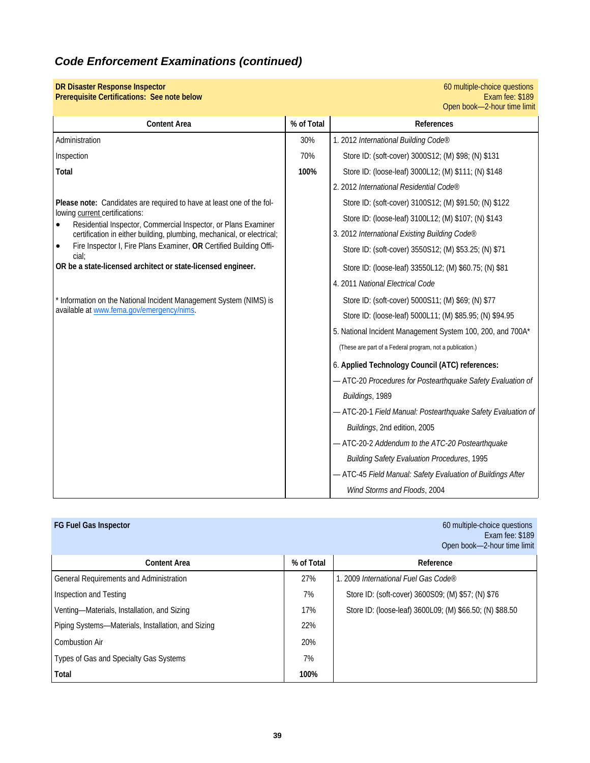| <b>DR Disaster Response Inspector</b><br>Prerequisite Certifications: See note below                          |            | 60 multiple-choice questions<br>Exam fee: \$189<br>Open book-2-hour time limit |
|---------------------------------------------------------------------------------------------------------------|------------|--------------------------------------------------------------------------------|
| <b>Content Area</b>                                                                                           | % of Total | References                                                                     |
| Administration                                                                                                | 30%        | 1. 2012 International Building Code®                                           |
| Inspection                                                                                                    | 70%        | Store ID: (soft-cover) 3000S12; (M) \$98; (N) \$131                            |
| Total                                                                                                         | 100%       | Store ID: (loose-leaf) 3000L12; (M) \$111; (N) \$148                           |
|                                                                                                               |            | 2. 2012 International Residential Code®                                        |
| Please note: Candidates are required to have at least one of the fol-                                         |            | Store ID: (soft-cover) 3100S12; (M) \$91.50; (N) \$122                         |
| lowing current certifications:<br>Residential Inspector, Commercial Inspector, or Plans Examiner              |            | Store ID: (loose-leaf) 3100L12; (M) \$107; (N) \$143                           |
| certification in either building, plumbing, mechanical, or electrical;                                        |            | 3. 2012 International Existing Building Code®                                  |
| Fire Inspector I, Fire Plans Examiner, OR Certified Building Offi-<br>$\bullet$<br>cial:                      |            | Store ID: (soft-cover) 3550S12; (M) \$53.25; (N) \$71                          |
| OR be a state-licensed architect or state-licensed engineer.                                                  |            | Store ID: (loose-leaf) 33550L12; (M) \$60.75; (N) \$81                         |
|                                                                                                               |            | 4. 2011 National Electrical Code                                               |
| Information on the National Incident Management System (NIMS) is<br>available at www.fema.gov/emergency/nims. |            | Store ID: (soft-cover) 5000S11; (M) \$69; (N) \$77                             |
|                                                                                                               |            | Store ID: (loose-leaf) 5000L11; (M) \$85.95; (N) \$94.95                       |
|                                                                                                               |            | 5. National Incident Management System 100, 200, and 700A*                     |
|                                                                                                               |            | (These are part of a Federal program, not a publication.)                      |
|                                                                                                               |            | 6. Applied Technology Council (ATC) references:                                |
|                                                                                                               |            | - ATC-20 Procedures for Postearthquake Safety Evaluation of                    |
|                                                                                                               |            | Buildings, 1989                                                                |
|                                                                                                               |            | - ATC-20-1 Field Manual: Postearthquake Safety Evaluation of                   |
|                                                                                                               |            | Buildings, 2nd edition, 2005                                                   |
|                                                                                                               |            | - ATC-20-2 Addendum to the ATC-20 Postearthquake                               |
|                                                                                                               |            | <b>Building Safety Evaluation Procedures, 1995</b>                             |
|                                                                                                               |            | - ATC-45 Field Manual: Safety Evaluation of Buildings After                    |
|                                                                                                               |            | Wind Storms and Floods, 2004                                                   |

| <b>FG Fuel Gas Inspector</b>                       |            | 60 multiple-choice questions<br>Exam fee: \$189<br>Open book-2-hour time limit |
|----------------------------------------------------|------------|--------------------------------------------------------------------------------|
| <b>Content Area</b>                                | % of Total | Reference                                                                      |
| General Requirements and Administration            | 27%        | 1. 2009 International Fuel Gas Code®                                           |
| Inspection and Testing                             | 7%         | Store ID: (soft-cover) 3600S09; (M) \$57; (N) \$76                             |
| Venting-Materials, Installation, and Sizing        | 17%        | Store ID: (loose-leaf) 3600L09; (M) \$66.50; (N) \$88.50                       |
| Piping Systems—Materials, Installation, and Sizing | 22%        |                                                                                |
| <b>Combustion Air</b>                              | 20%        |                                                                                |
| Types of Gas and Specialty Gas Systems             | 7%         |                                                                                |
| Total                                              | 100%       |                                                                                |

**39**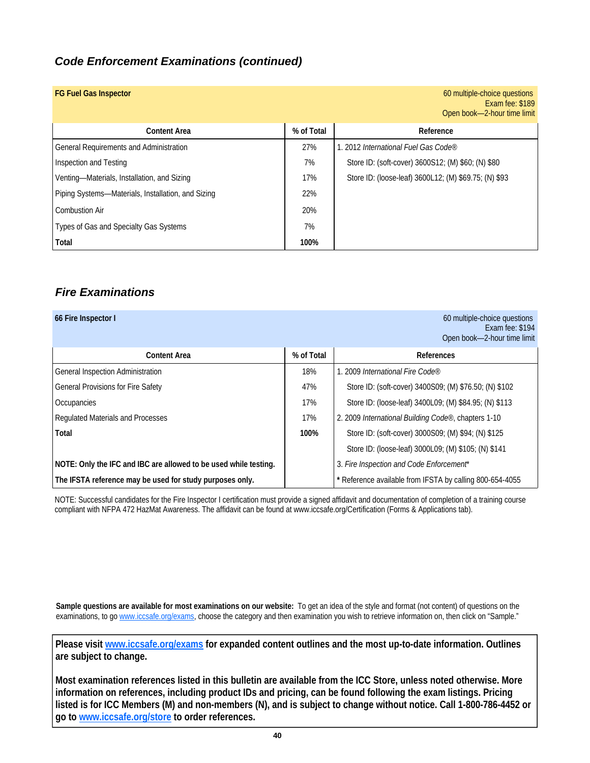| <b>FG Fuel Gas Inspector</b>                       |            | 60 multiple-choice questions<br>Exam fee: \$189<br>Open book-2-hour time limit |
|----------------------------------------------------|------------|--------------------------------------------------------------------------------|
| <b>Content Area</b>                                | % of Total | Reference                                                                      |
| General Requirements and Administration            | 27%        | 1. 2012 International Fuel Gas Code®                                           |
| Inspection and Testing                             | 7%         | Store ID: (soft-cover) 3600S12; (M) \$60; (N) \$80                             |
| Venting-Materials, Installation, and Sizing        | 17%        | Store ID: (loose-leaf) 3600L12; (M) \$69.75; (N) \$93                          |
| Piping Systems-Materials, Installation, and Sizing | 22%        |                                                                                |
| <b>Combustion Air</b>                              | 20%        |                                                                                |
| Types of Gas and Specialty Gas Systems             | 7%         |                                                                                |
| Total                                              | 100%       |                                                                                |

## *Fire Examinations*

### **66 Fire Inspector I 60 multiple-choice questions 60 multiple-choice questions** Exam fee: \$194 Open book—2-hour time limit

| <b>Content Area</b>                                              | % of Total | References                                               |  |
|------------------------------------------------------------------|------------|----------------------------------------------------------|--|
| General Inspection Administration                                | 18%        | 1. 2009 International Fire Code®                         |  |
| <b>General Provisions for Fire Safety</b>                        | 47%        | Store ID: (soft-cover) 3400S09; (M) \$76.50; (N) \$102   |  |
| Occupancies                                                      | 17%        | Store ID: (loose-leaf) 3400L09; (M) \$84.95; (N) \$113   |  |
| Regulated Materials and Processes                                | 17%        | 2. 2009 International Building Code®, chapters 1-10      |  |
| Total                                                            | 100%       | Store ID: (soft-cover) 3000S09; (M) \$94; (N) \$125      |  |
|                                                                  |            | Store ID: (loose-leaf) 3000L09; (M) \$105; (N) \$141     |  |
| NOTE: Only the IFC and IBC are allowed to be used while testing. |            | 3. Fire Inspection and Code Enforcement*                 |  |
| The IFSTA reference may be used for study purposes only.         |            | * Reference available from IFSTA by calling 800-654-4055 |  |

NOTE: Successful candidates for the Fire Inspector I certification must provide a signed affidavit and documentation of completion of a training course compliant with NFPA 472 HazMat Awareness. The affidavit can be found at www.iccsafe.org/Certification (Forms & Applications tab).

**Sample questions are available for most examinations on our website:** To get an idea of the style and format (not content) of questions on the examinations, to go www.iccsafe.org/exams, choose the category and then examination you wish to retrieve information on, then click on "Sample."

**Please visit www.iccsafe.org/exams for expanded content outlines and the most up-to-date information. Outlines are subject to change.** 

**Most examination references listed in this bulletin are available from the ICC Store, unless noted otherwise. More information on references, including product IDs and pricing, can be found following the exam listings. Pricing listed is for ICC Members (M) and non-members (N), and is subject to change without notice. Call 1-800-786-4452 or go to www.iccsafe.org/store to order references.**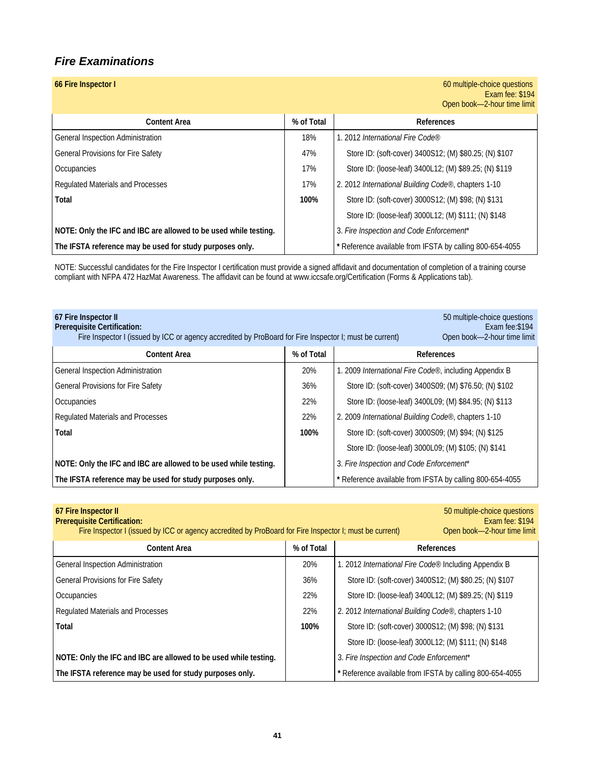### *Fire Examinations*

| 66 Fire Inspector I                                              |            | 60 multiple-choice questions<br>Exam fee: \$194<br>Open book-2-hour time limit |
|------------------------------------------------------------------|------------|--------------------------------------------------------------------------------|
| <b>Content Area</b>                                              | % of Total | References                                                                     |
| General Inspection Administration                                | 18%        | 1. 2012 International Fire Code®                                               |
| <b>General Provisions for Fire Safety</b>                        | 47%        | Store ID: (soft-cover) 3400S12; (M) \$80.25; (N) \$107                         |
| Occupancies                                                      | 17%        | Store ID: (loose-leaf) 3400L12; (M) \$89.25; (N) \$119                         |
| Regulated Materials and Processes                                | 17%        | 2. 2012 International Building Code®, chapters 1-10                            |
| Total                                                            | 100%       | Store ID: (soft-cover) 3000S12; (M) \$98; (N) \$131                            |
|                                                                  |            | Store ID: (loose-leaf) 3000L12; (M) \$111; (N) \$148                           |
| NOTE: Only the IFC and IBC are allowed to be used while testing. |            | 3. Fire Inspection and Code Enforcement*                                       |

NOTE: Successful candidates for the Fire Inspector I certification must provide a signed affidavit and documentation of completion of a training course compliant with NFPA 472 HazMat Awareness. The affidavit can be found at www.iccsafe.org/Certification (Forms & Applications tab).

**The IFSTA reference may be used for study purposes only. The Reference available from IFSTA by calling 800-654-4055** 

| 67 Fire Inspector II<br><b>Prerequisite Certification:</b><br>Fire Inspector I (issued by ICC or agency accredited by ProBoard for Fire Inspector I; must be current) | 50 multiple-choice questions<br>Exam fee: \$194<br>Open book-2-hour time limit |                                                          |  |
|-----------------------------------------------------------------------------------------------------------------------------------------------------------------------|--------------------------------------------------------------------------------|----------------------------------------------------------|--|
| <b>Content Area</b>                                                                                                                                                   | % of Total                                                                     | References                                               |  |
| General Inspection Administration                                                                                                                                     | 20%                                                                            | 1. 2009 International Fire Code®, including Appendix B   |  |
| <b>General Provisions for Fire Safety</b>                                                                                                                             | 36%                                                                            | Store ID: (soft-cover) 3400S09; (M) \$76.50; (N) \$102   |  |
| Occupancies                                                                                                                                                           | 22%                                                                            | Store ID: (loose-leaf) 3400L09; (M) \$84.95; (N) \$113   |  |
| Regulated Materials and Processes                                                                                                                                     | 22%                                                                            | 2. 2009 International Building Code®, chapters 1-10      |  |
| Total                                                                                                                                                                 | 100%                                                                           | Store ID: (soft-cover) 3000S09; (M) \$94; (N) \$125      |  |
|                                                                                                                                                                       |                                                                                | Store ID: (loose-leaf) 3000L09; (M) \$105; (N) \$141     |  |
| NOTE: Only the IFC and IBC are allowed to be used while testing.                                                                                                      |                                                                                | 3. Fire Inspection and Code Enforcement*                 |  |
| The IFSTA reference may be used for study purposes only.                                                                                                              |                                                                                | * Reference available from IFSTA by calling 800-654-4055 |  |

| 67 Fire Inspector II<br><b>Prerequisite Certification:</b><br>Fire Inspector I (issued by ICC or agency accredited by ProBoard for Fire Inspector I; must be current) |      | 50 multiple-choice questions<br>Exam fee: \$194<br>Open book-2-hour time limit |  |
|-----------------------------------------------------------------------------------------------------------------------------------------------------------------------|------|--------------------------------------------------------------------------------|--|
| % of Total<br><b>Content Area</b>                                                                                                                                     |      | <b>References</b>                                                              |  |
| General Inspection Administration                                                                                                                                     | 20%  | 1. 2012 <i>International Fire Code</i> <sup>®</sup> Including Appendix B       |  |
| <b>General Provisions for Fire Safety</b>                                                                                                                             | 36%  | Store ID: (soft-cover) 3400S12; (M) \$80.25; (N) \$107                         |  |
| Occupancies                                                                                                                                                           | 22%  | Store ID: (loose-leaf) 3400L12; (M) \$89.25; (N) \$119                         |  |
| Regulated Materials and Processes                                                                                                                                     | 22%  | 2. 2012 International Building Code®, chapters 1-10                            |  |
| Total                                                                                                                                                                 | 100% | Store ID: (soft-cover) 3000S12; (M) \$98; (N) \$131                            |  |
|                                                                                                                                                                       |      | Store ID: (loose-leaf) 3000L12; (M) \$111; (N) \$148                           |  |
| NOTE: Only the IFC and IBC are allowed to be used while testing.                                                                                                      |      | 3. Fire Inspection and Code Enforcement*                                       |  |
| The IFSTA reference may be used for study purposes only.                                                                                                              |      | * Reference available from IFSTA by calling 800-654-4055                       |  |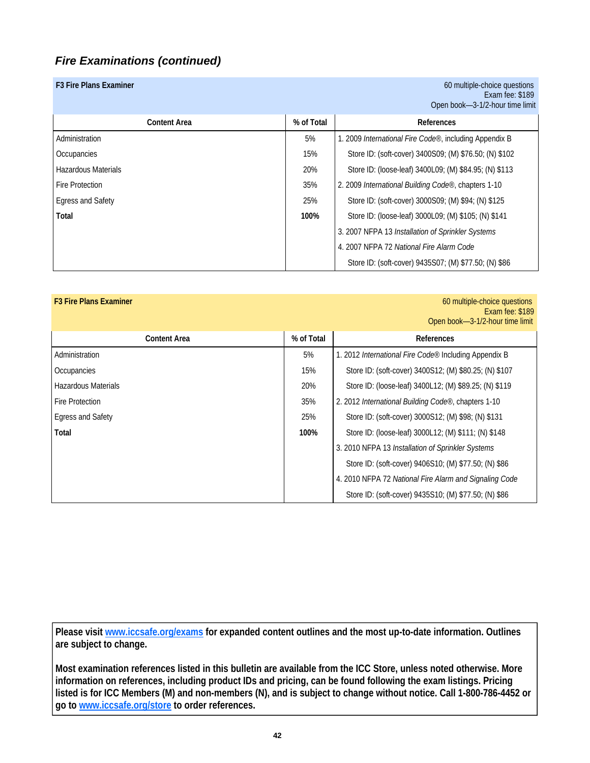| F3 Fire Plans Examiner     |            | 60 multiple-choice questions<br>Exam fee: $$189$<br>Open book-3-1/2-hour time limit |
|----------------------------|------------|-------------------------------------------------------------------------------------|
| <b>Content Area</b>        | % of Total | References                                                                          |
| Administration             | 5%         | 1. 2009 <i>International Fire Code®</i> , including Appendix B                      |
| Occupancies                | 15%        | Store ID: (soft-cover) 3400S09; (M) \$76.50; (N) \$102                              |
| <b>Hazardous Materials</b> | 20%        | Store ID: (loose-leaf) 3400L09; (M) \$84.95; (N) \$113                              |
| Fire Protection            | 35%        | 2. 2009 International Building Code®, chapters 1-10                                 |
| <b>Egress and Safety</b>   | 25%        | Store ID: (soft-cover) 3000S09; (M) \$94; (N) \$125                                 |
| Total                      | 100%       | Store ID: (loose-leaf) 3000L09; (M) \$105; (N) \$141                                |
|                            |            | 3. 2007 NFPA 13 Installation of Sprinkler Systems                                   |
|                            |            | 4. 2007 NFPA 72 National Fire Alarm Code                                            |
|                            |            | Store ID: (soft-cover) 9435S07; (M) \$77.50; (N) \$86                               |

| <b>F3 Fire Plans Examiner</b> |            | 60 multiple-choice questions<br>Exam fee: \$189<br>Open book-3-1/2-hour time limit |
|-------------------------------|------------|------------------------------------------------------------------------------------|
| <b>Content Area</b>           | % of Total | References                                                                         |
| Administration                | 5%         | 1. 2012 International Fire Code® Including Appendix B                              |
| Occupancies                   | 15%        | Store ID: (soft-cover) 3400S12; (M) \$80.25; (N) \$107                             |
| Hazardous Materials           | 20%        | Store ID: (loose-leaf) 3400L12; (M) \$89.25; (N) \$119                             |
| <b>Fire Protection</b>        | 35%        | 2. 2012 International Building Code®, chapters 1-10                                |
| <b>Egress and Safety</b>      | 25%        | Store ID: (soft-cover) 3000S12; (M) \$98; (N) \$131                                |
| Total                         | 100%       | Store ID: (loose-leaf) 3000L12; (M) \$111; (N) \$148                               |
|                               |            | 3. 2010 NFPA 13 Installation of Sprinkler Systems                                  |
|                               |            | Store ID: (soft-cover) 9406S10; (M) \$77.50; (N) \$86                              |
|                               |            | 4. 2010 NFPA 72 National Fire Alarm and Signaling Code                             |
|                               |            | Store ID: (soft-cover) 9435S10; (M) \$77.50; (N) \$86                              |

**Please visit www.iccsafe.org/exams for expanded content outlines and the most up-to-date information. Outlines are subject to change.** 

**Most examination references listed in this bulletin are available from the ICC Store, unless noted otherwise. More information on references, including product IDs and pricing, can be found following the exam listings. Pricing listed is for ICC Members (M) and non-members (N), and is subject to change without notice. Call 1-800-786-4452 or go to www.iccsafe.org/store to order references.**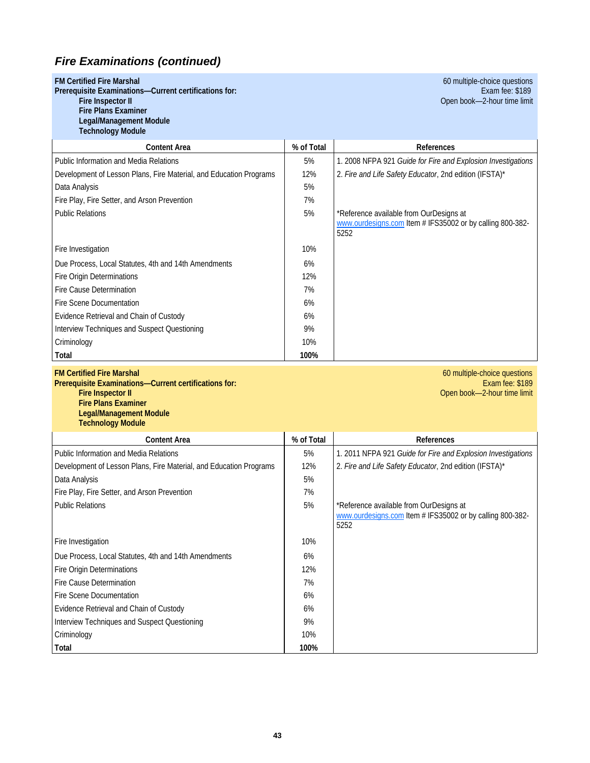|  | <b>FM Certified Fire Marshal</b> |  |  |  |
|--|----------------------------------|--|--|--|
|--|----------------------------------|--|--|--|

**Prerequisite Examinations—Current certifications for:**<br>Fire Inspector II

 **Fire Plans Examiner** 

 **Legal/Management Module Technology Module**

**60 multiple-choice questions**<br>**Exam fee: \$189** Open book-2-hour time limit

| 1001110101911110000101                                             |            |                                                                                                              |
|--------------------------------------------------------------------|------------|--------------------------------------------------------------------------------------------------------------|
| <b>Content Area</b>                                                | % of Total | References                                                                                                   |
| Public Information and Media Relations                             | 5%         | 1. 2008 NFPA 921 Guide for Fire and Explosion Investigations                                                 |
| Development of Lesson Plans, Fire Material, and Education Programs | 12%        | 2. Fire and Life Safety Educator, 2nd edition (IFSTA)*                                                       |
| Data Analysis                                                      | 5%         |                                                                                                              |
| Fire Play, Fire Setter, and Arson Prevention                       | 7%         |                                                                                                              |
| <b>Public Relations</b>                                            | 5%         | *Reference available from OurDesigns at<br>www.ourdesigns.com Item # IFS35002 or by calling 800-382-<br>5252 |
| Fire Investigation                                                 | 10%        |                                                                                                              |
| Due Process, Local Statutes, 4th and 14th Amendments               | 6%         |                                                                                                              |
| Fire Origin Determinations                                         | 12%        |                                                                                                              |
| Fire Cause Determination                                           | 7%         |                                                                                                              |
| Fire Scene Documentation                                           | 6%         |                                                                                                              |
| Evidence Retrieval and Chain of Custody                            | 6%         |                                                                                                              |
| Interview Techniques and Suspect Questioning                       | 9%         |                                                                                                              |
| Criminology                                                        | 10%        |                                                                                                              |
| Total                                                              | 100%       |                                                                                                              |

**Prerequisite Examinations—Current certifications for:**<br>Fire Inspector II  **Fire Plans Examiner Legal/Management Module Technology Module**

**FM Certified Fire Marshal** 60 multiple-choice questions Open book-2-hour time limit

| <b>Content Area</b>                                                | % of Total | References                                                                                                   |
|--------------------------------------------------------------------|------------|--------------------------------------------------------------------------------------------------------------|
| Public Information and Media Relations                             | 5%         | 1. 2011 NFPA 921 Guide for Fire and Explosion Investigations                                                 |
| Development of Lesson Plans, Fire Material, and Education Programs | 12%        | 2. Fire and Life Safety Educator, 2nd edition (IFSTA)*                                                       |
| Data Analysis                                                      | 5%         |                                                                                                              |
| Fire Play, Fire Setter, and Arson Prevention                       | 7%         |                                                                                                              |
| <b>Public Relations</b>                                            | 5%         | *Reference available from OurDesigns at<br>www.ourdesigns.com Item # IFS35002 or by calling 800-382-<br>5252 |
| Fire Investigation                                                 | 10%        |                                                                                                              |
| Due Process, Local Statutes, 4th and 14th Amendments               | 6%         |                                                                                                              |
| Fire Origin Determinations                                         | 12%        |                                                                                                              |
| Fire Cause Determination                                           | 7%         |                                                                                                              |
| Fire Scene Documentation                                           | 6%         |                                                                                                              |
| Evidence Retrieval and Chain of Custody                            | 6%         |                                                                                                              |
| Interview Techniques and Suspect Questioning                       | 9%         |                                                                                                              |
| Criminology                                                        | 10%        |                                                                                                              |
| Total                                                              | 100%       |                                                                                                              |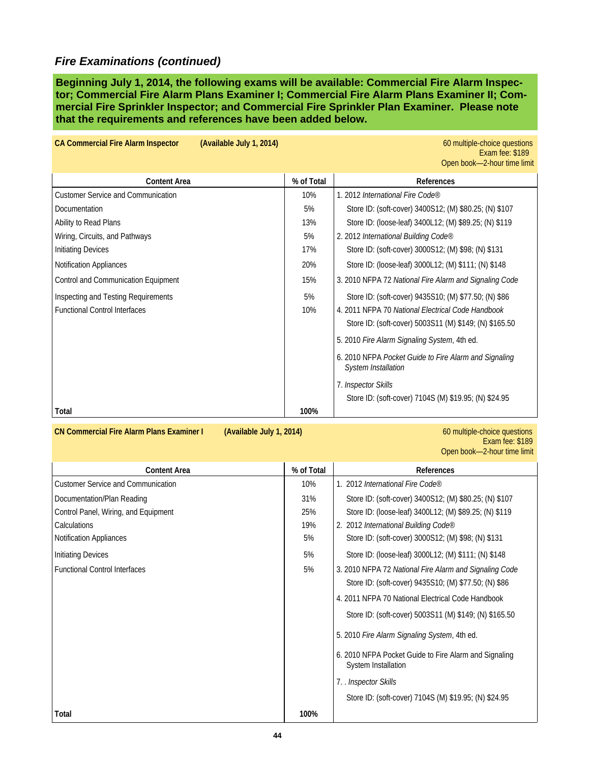**Beginning July 1, 2014, the following exams will be available: Commercial Fire Alarm Inspector; Commercial Fire Alarm Plans Examiner I; Commercial Fire Alarm Plans Examiner II; Commercial Fire Sprinkler Inspector; and Commercial Fire Sprinkler Plan Examiner. Please note that the requirements and references have been added below.** 

| <b>CA Commercial Fire Alarm Inspector</b><br>(Available July 1, 2014) |            | 60 multiple-choice questions<br>Exam fee: \$189<br>Open book-2-hour time limit      |
|-----------------------------------------------------------------------|------------|-------------------------------------------------------------------------------------|
| <b>Content Area</b>                                                   | % of Total | References                                                                          |
| <b>Customer Service and Communication</b>                             | 10%        | 1. 2012 International Fire Code®                                                    |
| Documentation                                                         | 5%         | Store ID: (soft-cover) 3400S12; (M) \$80.25; (N) \$107                              |
| Ability to Read Plans                                                 | 13%        | Store ID: (loose-leaf) 3400L12; (M) \$89.25; (N) \$119                              |
| Wiring, Circuits, and Pathways                                        | 5%         | 2. 2012 International Building Code®                                                |
| <b>Initiating Devices</b>                                             | 17%        | Store ID: (soft-cover) 3000S12; (M) \$98; (N) \$131                                 |
| <b>Notification Appliances</b>                                        | 20%        | Store ID: (loose-leaf) 3000L12; (M) \$111; (N) \$148                                |
| Control and Communication Equipment                                   | 15%        | 3. 2010 NFPA 72 National Fire Alarm and Signaling Code                              |
| Inspecting and Testing Requirements                                   | 5%         | Store ID: (soft-cover) 9435S10; (M) \$77.50; (N) \$86                               |
| <b>Functional Control Interfaces</b>                                  | 10%        | 4. 2011 NFPA 70 National Electrical Code Handbook                                   |
|                                                                       |            | Store ID: (soft-cover) 5003S11 (M) \$149; (N) \$165.50                              |
|                                                                       |            | 5. 2010 Fire Alarm Signaling System, 4th ed.                                        |
|                                                                       |            | 6. 2010 NFPA Pocket Guide to Fire Alarm and Signaling<br><b>System Installation</b> |
|                                                                       |            | 7. Inspector Skills                                                                 |
|                                                                       |            | Store ID: (soft-cover) 7104S (M) \$19.95; (N) \$24.95                               |
| Total                                                                 | 100%       |                                                                                     |

### **CN Commercial Fire Alarm Plans Examiner I** (Available July 1, 2014) **60 multiple-choice questions**<br>Exam fee: \$189 Exam fee: \$189 Open book—2-hour time limit

| <b>Content Area</b>                       | % of Total | <b>References</b>                                                            |
|-------------------------------------------|------------|------------------------------------------------------------------------------|
| <b>Customer Service and Communication</b> | 10%        | 1. 2012 International Fire Code®                                             |
| Documentation/Plan Reading                | 31%        | Store ID: (soft-cover) 3400S12; (M) \$80.25; (N) \$107                       |
| Control Panel, Wiring, and Equipment      | 25%        | Store ID: (loose-leaf) 3400L12; (M) \$89.25; (N) \$119                       |
| Calculations                              | 19%        | 2. 2012 International Building Code®                                         |
| <b>Notification Appliances</b>            | 5%         | Store ID: (soft-cover) 3000S12; (M) \$98; (N) \$131                          |
| <b>Initiating Devices</b>                 | 5%         | Store ID: (loose-leaf) 3000L12; (M) \$111; (N) \$148                         |
| <b>Functional Control Interfaces</b>      | 5%         | 3. 2010 NFPA 72 National Fire Alarm and Signaling Code                       |
|                                           |            | Store ID: (soft-cover) 9435S10; (M) \$77.50; (N) \$86                        |
|                                           |            | 4. 2011 NFPA 70 National Electrical Code Handbook                            |
|                                           |            | Store ID: (soft-cover) 5003S11 (M) \$149; (N) \$165.50                       |
|                                           |            | 5. 2010 Fire Alarm Signaling System, 4th ed.                                 |
|                                           |            | 6. 2010 NFPA Pocket Guide to Fire Alarm and Signaling<br>System Installation |
|                                           |            | 7. . Inspector Skills                                                        |
|                                           |            | Store ID: (soft-cover) 7104S (M) \$19.95; (N) \$24.95                        |
| Total                                     | 100%       |                                                                              |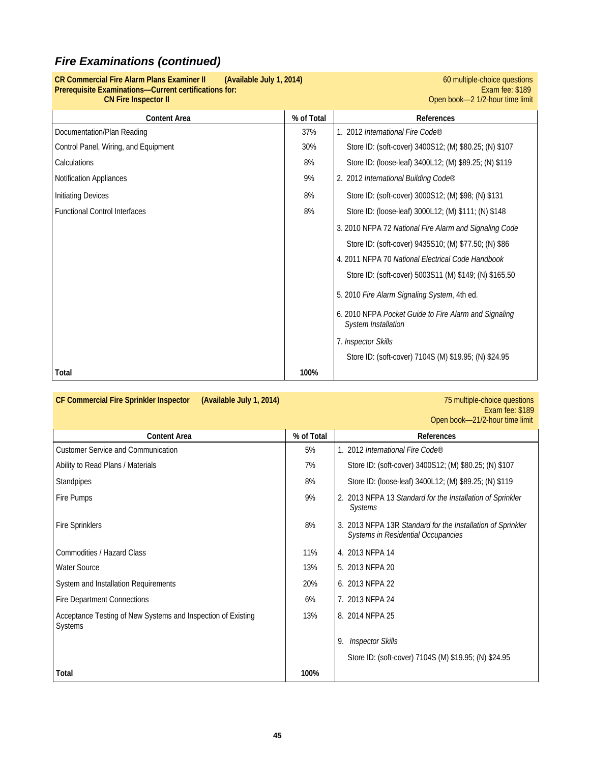## **CR Commercial Fire Alarm Plans Examiner II (Available July 1, 2014) 11. Commercial Fire Alarm Plans Examiner I**<br>Prerequisite Examinations—Current certifications for: Exam fee: \$189 **Prerequisite Examinations—Current certifications for:**<br>CN Fire Inspector II

Open book-2 1/2-hour time limit

| <b>Content Area</b>                  | % of Total | References                                                                          |
|--------------------------------------|------------|-------------------------------------------------------------------------------------|
| Documentation/Plan Reading           | 37%        | 1. 2012 International Fire Code®                                                    |
| Control Panel, Wiring, and Equipment | 30%        | Store ID: (soft-cover) 3400S12; (M) \$80.25; (N) \$107                              |
| Calculations                         | 8%         | Store ID: (loose-leaf) 3400L12; (M) \$89.25; (N) \$119                              |
| <b>Notification Appliances</b>       | 9%         | 2. 2012 International Building Code®                                                |
| <b>Initiating Devices</b>            | 8%         | Store ID: (soft-cover) 3000S12; (M) \$98; (N) \$131                                 |
| <b>Functional Control Interfaces</b> | 8%         | Store ID: (loose-leaf) 3000L12; (M) \$111; (N) \$148                                |
|                                      |            | 3. 2010 NFPA 72 National Fire Alarm and Signaling Code                              |
|                                      |            | Store ID: (soft-cover) 9435S10; (M) \$77.50; (N) \$86                               |
|                                      |            | 4. 2011 NFPA 70 National Electrical Code Handbook                                   |
|                                      |            | Store ID: (soft-cover) 5003S11 (M) \$149; (N) \$165.50                              |
|                                      |            | 5. 2010 Fire Alarm Signaling System, 4th ed.                                        |
|                                      |            | 6. 2010 NFPA Pocket Guide to Fire Alarm and Signaling<br><b>System Installation</b> |
|                                      |            | 7. Inspector Skills                                                                 |
|                                      |            | Store ID: (soft-cover) 7104S (M) \$19.95; (N) \$24.95                               |
| Total                                | 100%       |                                                                                     |

### **CF Commercial Fire Sprinkler Inspector (Available July 1, 2014)** 75 multiple-choice questions

**Exam fee: \$189** Open book—21/2-hour time limit

| <b>Content Area</b>                                                     | % of Total | <b>References</b>                                                                                    |
|-------------------------------------------------------------------------|------------|------------------------------------------------------------------------------------------------------|
| <b>Customer Service and Communication</b>                               | 5%         | 1. 2012 International Fire Code®                                                                     |
| Ability to Read Plans / Materials                                       | 7%         | Store ID: (soft-cover) 3400S12; (M) \$80.25; (N) \$107                                               |
| Standpipes                                                              | 8%         | Store ID: (loose-leaf) 3400L12; (M) \$89.25; (N) \$119                                               |
| Fire Pumps                                                              | 9%         | 2. 2013 NFPA 13 Standard for the Installation of Sprinkler<br>Systems                                |
| <b>Fire Sprinklers</b>                                                  | 8%         | 2013 NFPA 13R Standard for the Installation of Sprinkler<br>3.<br>Systems in Residential Occupancies |
| Commodities / Hazard Class                                              | 11%        | 4. 2013 NFPA 14                                                                                      |
| <b>Water Source</b>                                                     | 13%        | 5. 2013 NFPA 20                                                                                      |
| System and Installation Requirements                                    | 20%        | 6. 2013 NFPA 22                                                                                      |
| <b>Fire Department Connections</b>                                      | 6%         | 7. 2013 NFPA 24                                                                                      |
| Acceptance Testing of New Systems and Inspection of Existing<br>Systems | 13%        | 8. 2014 NFPA 25                                                                                      |
|                                                                         |            | <b>Inspector Skills</b><br>9.                                                                        |
|                                                                         |            | Store ID: (soft-cover) 7104S (M) \$19.95; (N) \$24.95                                                |
| Total                                                                   | 100%       |                                                                                                      |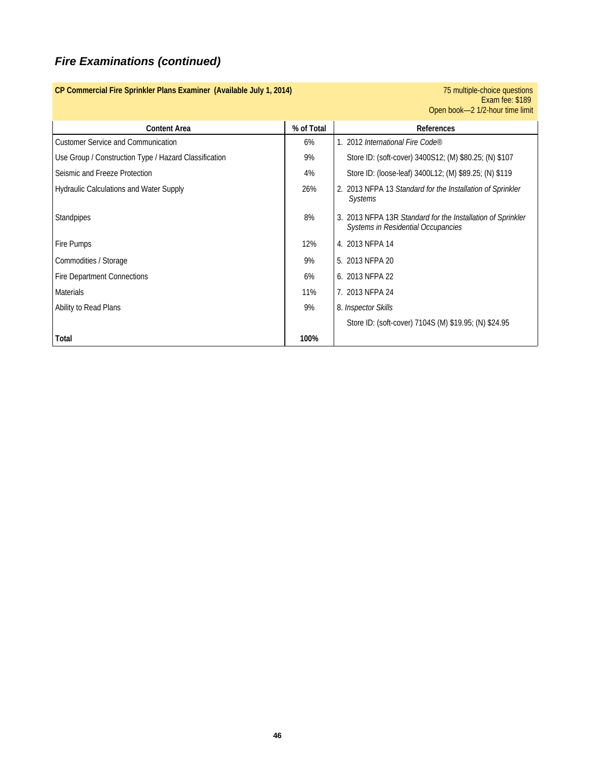|                                                       |            | Exam fee: \$189<br>Open book-2 1/2-hour time limit                                                       |
|-------------------------------------------------------|------------|----------------------------------------------------------------------------------------------------------|
| <b>Content Area</b>                                   | % of Total | References                                                                                               |
| <b>Customer Service and Communication</b>             | 6%         | 1. 2012 International Fire Code®                                                                         |
| Use Group / Construction Type / Hazard Classification | 9%         | Store ID: (soft-cover) 3400S12; (M) \$80.25; (N) \$107                                                   |
| Seismic and Freeze Protection                         | 4%         | Store ID: (loose-leaf) 3400L12; (M) \$89.25; (N) \$119                                                   |
| <b>Hydraulic Calculations and Water Supply</b>        | 26%        | 2. 2013 NFPA 13 Standard for the Installation of Sprinkler<br><b>Systems</b>                             |
| Standpipes                                            | 8%         | 3. 2013 NFPA 13R Standard for the Installation of Sprinkler<br><b>Systems in Residential Occupancies</b> |
| Fire Pumps                                            | 12%        | 4. 2013 NFPA 14                                                                                          |
| Commodities / Storage                                 | 9%         | 5. 2013 NFPA 20                                                                                          |
| <b>Fire Department Connections</b>                    | 6%         | 6. 2013 NFPA 22                                                                                          |
| <b>Materials</b>                                      | 11%        | 7. 2013 NFPA 24                                                                                          |
| Ability to Read Plans                                 | 9%         | 8. Inspector Skills                                                                                      |
|                                                       |            | Store ID: (soft-cover) 7104S (M) \$19.95; (N) \$24.95                                                    |
| Total                                                 | 100%       |                                                                                                          |

**CP Commercial Fire Sprinkler Plans Examiner (Available July 1, 2014)** *CP Commercial Fire Sprinkler Plans Examiner (Available July 1, 2014)**75 multiple-choice questions*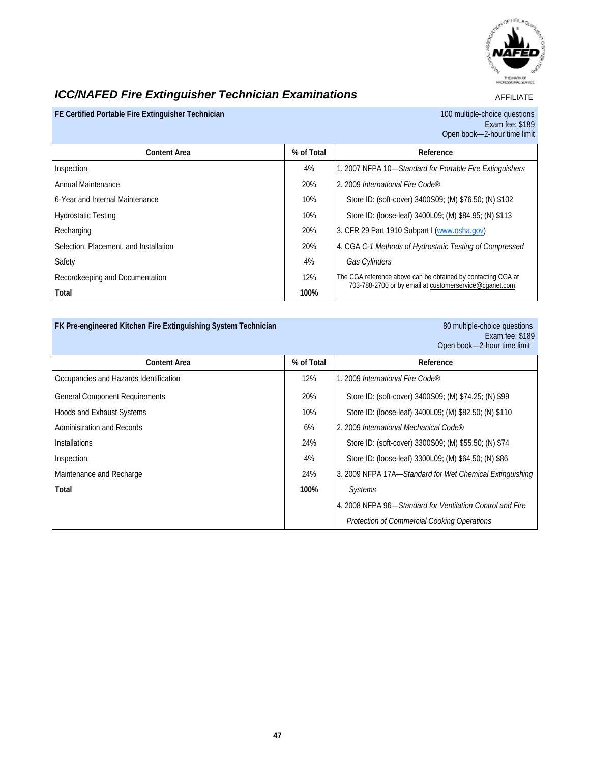

## *ICC/NAFED Fire Extinguisher Technician Examinations*

AFFILIATE

### **FE Certified Portable Fire Extinguisher Technician** 100 multiple-choice questions

Exam fee: \$189 Open book—2-hour time limit

| <b>Content Area</b>                    | % of Total | Reference                                                    |
|----------------------------------------|------------|--------------------------------------------------------------|
| Inspection                             | 4%         | 1. 2007 NFPA 10-Standard for Portable Fire Extinguishers     |
| Annual Maintenance                     | 20%        | 2. 2009 International Fire Code®                             |
| 6-Year and Internal Maintenance        | 10%        | Store ID: (soft-cover) 3400S09; (M) \$76.50; (N) \$102       |
| <b>Hydrostatic Testing</b>             | 10%        | Store ID: (loose-leaf) 3400L09; (M) \$84.95; (N) \$113       |
| Recharging                             | 20%        | 3. CFR 29 Part 1910 Subpart I (www.osha.gov)                 |
| Selection, Placement, and Installation | 20%        | 4. CGA C-1 Methods of Hydrostatic Testing of Compressed      |
| Safety                                 | 4%         | Gas Cylinders                                                |
| Recordkeeping and Documentation        | 12%        | The CGA reference above can be obtained by contacting CGA at |
| Total                                  | 100%       | 703-788-2700 or by email at customerservice@cganet.com.      |

### FK Pre-engineered Kitchen Fire Extinguishing System Technician

80 multiple-choice questions<br>Exam fee: \$189 Open book—2-hour time limit

| <b>Content Area</b>                    | % of Total | Reference                                                 |
|----------------------------------------|------------|-----------------------------------------------------------|
| Occupancies and Hazards Identification | 12%        | 1. 2009 International Fire Code®                          |
| <b>General Component Requirements</b>  | 20%        | Store ID: (soft-cover) 3400S09; (M) \$74.25; (N) \$99     |
| Hoods and Exhaust Systems              | 10%        | Store ID: (loose-leaf) 3400L09; (M) \$82.50; (N) \$110    |
| Administration and Records             | 6%         | 2. 2009 International Mechanical Code®                    |
| <b>Installations</b>                   | 24%        | Store ID: (soft-cover) 3300S09; (M) \$55.50; (N) \$74     |
| Inspection                             | 4%         | Store ID: (loose-leaf) 3300L09; (M) \$64.50; (N) \$86     |
| Maintenance and Recharge               | 24%        | 3. 2009 NFPA 17A-Standard for Wet Chemical Extinguishing  |
| Total                                  | 100%       | <b>Systems</b>                                            |
|                                        |            | 4. 2008 NFPA 96-Standard for Ventilation Control and Fire |
|                                        |            | <b>Protection of Commercial Cooking Operations</b>        |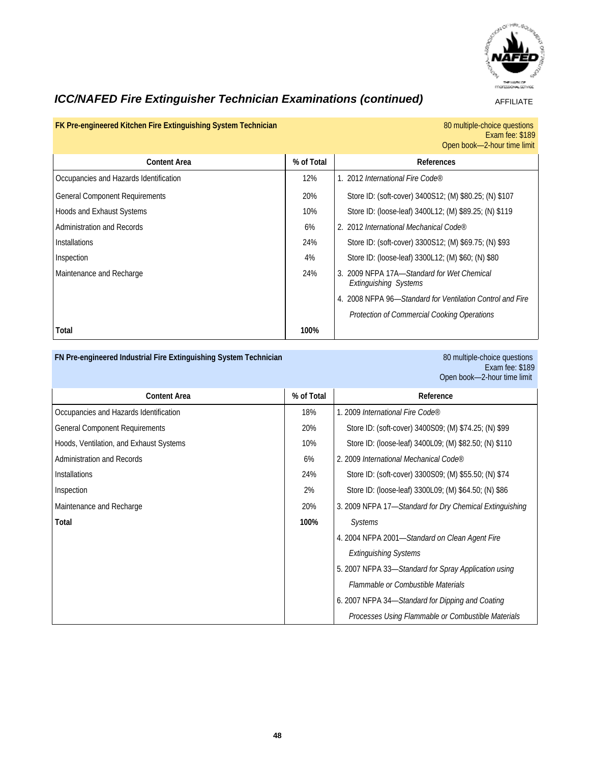

## *ICC/NAFED Fire Extinguisher Technician Examinations (continued)* **AFFILIATE**

# 80 multiple-choice questions<br>Exam fee: \$189

|                                        |            | Open book-2-hour time limit                                             |
|----------------------------------------|------------|-------------------------------------------------------------------------|
| <b>Content Area</b>                    | % of Total | References                                                              |
| Occupancies and Hazards Identification | 12%        | 1. 2012 International Fire Code®                                        |
| <b>General Component Requirements</b>  | 20%        | Store ID: (soft-cover) 3400S12; (M) \$80.25; (N) \$107                  |
| <b>Hoods and Exhaust Systems</b>       | 10%        | Store ID: (loose-leaf) 3400L12; (M) \$89.25; (N) \$119                  |
| Administration and Records             | 6%         | 2. 2012 International Mechanical Code®                                  |
| <b>Installations</b>                   | 24%        | Store ID: (soft-cover) 3300S12; (M) \$69.75; (N) \$93                   |
| Inspection                             | 4%         | Store ID: (loose-leaf) 3300L12; (M) \$60; (N) \$80                      |
| Maintenance and Recharge               | 24%        | 2009 NFPA 17A-Standard for Wet Chemical<br><b>Extinguishing Systems</b> |
|                                        |            | 2008 NFPA 96-Standard for Ventilation Control and Fire                  |
|                                        |            | Protection of Commercial Cooking Operations                             |
| Total                                  | 100%       |                                                                         |

### **FN Pre-engineered Industrial Fire Extinguishing System Technician 30 multiple-choice questions** 80 multiple-choice questions

FK Pre-engineered Kitchen Fire Extinguishing System Technician

Exam fee: \$189 Open book—2-hour time limit

| <b>Content Area</b>                     | % of Total | Reference                                               |
|-----------------------------------------|------------|---------------------------------------------------------|
| Occupancies and Hazards Identification  | 18%        | 1. 2009 International Fire Code®                        |
| <b>General Component Requirements</b>   | 20%        | Store ID: (soft-cover) 3400S09; (M) \$74.25; (N) \$99   |
| Hoods, Ventilation, and Exhaust Systems | 10%        | Store ID: (loose-leaf) 3400L09; (M) \$82.50; (N) \$110  |
| Administration and Records              | 6%         | 2. 2009 International Mechanical Code®                  |
| <b>Installations</b>                    | 24%        | Store ID: (soft-cover) 3300S09; (M) \$55.50; (N) \$74   |
| Inspection                              | 2%         | Store ID: (loose-leaf) 3300L09; (M) \$64.50; (N) \$86   |
| Maintenance and Recharge                | 20%        | 3. 2009 NFPA 17-Standard for Dry Chemical Extinguishing |
| Total                                   | 100%       | <b>Systems</b>                                          |
|                                         |            | 4. 2004 NFPA 2001-Standard on Clean Agent Fire          |
|                                         |            | <b>Extinguishing Systems</b>                            |
|                                         |            | 5. 2007 NFPA 33—Standard for Spray Application using    |
|                                         |            | Flammable or Combustible Materials                      |
|                                         |            | 6. 2007 NFPA 34-Standard for Dipping and Coating        |
|                                         |            | Processes Using Flammable or Combustible Materials      |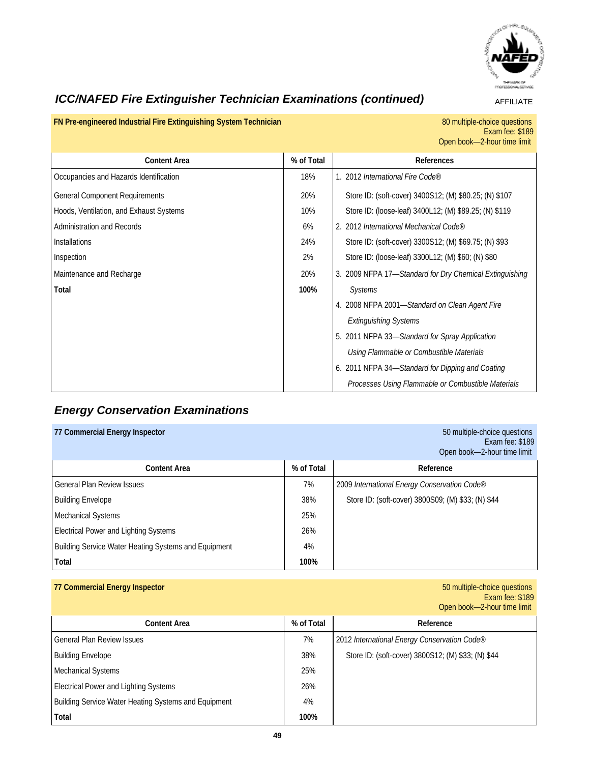

## *ICC/NAFED Fire Extinguisher Technician Examinations (continued)* **AFFILIATE**

**FN Pre-engineered Industrial Fire Extinguishing System Technician** 

80 multiple-choice questions<br>Exam fee: \$189 Open book—2-hour time limit

| <b>Content Area</b>                     | % of Total | References                                              |
|-----------------------------------------|------------|---------------------------------------------------------|
| Occupancies and Hazards Identification  | 18%        | 1. 2012 International Fire Code®                        |
| <b>General Component Requirements</b>   | 20%        | Store ID: (soft-cover) 3400S12; (M) \$80.25; (N) \$107  |
| Hoods, Ventilation, and Exhaust Systems | 10%        | Store ID: (loose-leaf) 3400L12; (M) \$89.25; (N) \$119  |
| <b>Administration and Records</b>       | 6%         | 2. 2012 International Mechanical Code®                  |
| <b>Installations</b>                    | 24%        | Store ID: (soft-cover) 3300S12; (M) \$69.75; (N) \$93   |
| Inspection                              | 2%         | Store ID: (loose-leaf) 3300L12; (M) \$60; (N) \$80      |
| Maintenance and Recharge                | 20%        | 3. 2009 NFPA 17-Standard for Dry Chemical Extinguishing |
| Total                                   | 100%       | <b>Systems</b>                                          |
|                                         |            | 4. 2008 NFPA 2001-Standard on Clean Agent Fire          |
|                                         |            | <b>Extinguishing Systems</b>                            |
|                                         |            | 5. 2011 NFPA 33-Standard for Spray Application          |
|                                         |            | Using Flammable or Combustible Materials                |
|                                         |            | 6. 2011 NFPA 34-Standard for Dipping and Coating        |
|                                         |            | Processes Using Flammable or Combustible Materials      |

## *Energy Conservation Examinations*

| 77 Commercial Energy Inspector                       |            | 50 multiple-choice questions<br>Exam fee: \$189<br>Open book-2-hour time limit |
|------------------------------------------------------|------------|--------------------------------------------------------------------------------|
| <b>Content Area</b>                                  | % of Total | Reference                                                                      |
| <b>General Plan Review Issues</b>                    | 7%         | 2009 International Energy Conservation Code®                                   |
| <b>Building Envelope</b>                             | 38%        | Store ID: (soft-cover) 3800S09; (M) \$33; (N) \$44                             |
| <b>Mechanical Systems</b>                            | 25%        |                                                                                |
| Electrical Power and Lighting Systems                | 26%        |                                                                                |
| Building Service Water Heating Systems and Equipment | 4%         |                                                                                |
| Total                                                | 100%       |                                                                                |

### **77 Commercial Energy Inspector**

Exam fee: \$189 Open book—2-hour time limit

| Content Area                                         | % of Total | Reference                                          |
|------------------------------------------------------|------------|----------------------------------------------------|
| General Plan Review Issues                           | 7%         | 2012 International Energy Conservation Code®       |
| <b>Building Envelope</b>                             | 38%        | Store ID: (soft-cover) 3800S12; (M) \$33; (N) \$44 |
| Mechanical Systems                                   | 25%        |                                                    |
| <b>Electrical Power and Lighting Systems</b>         | 26%        |                                                    |
| Building Service Water Heating Systems and Equipment | 4%         |                                                    |
| Total                                                | 100%       |                                                    |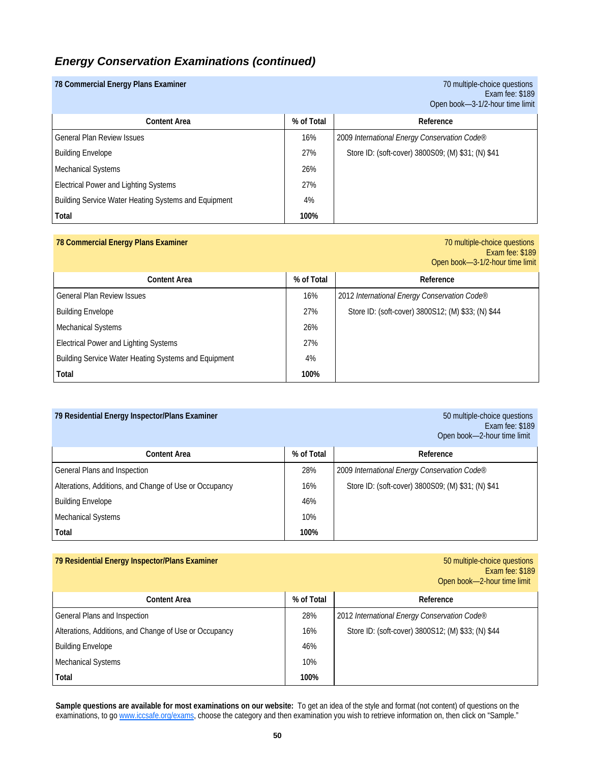### *Energy Conservation Examinations (continued)*

| 78 Commercial Energy Plans Examiner                  |            | 70 multiple-choice questions<br>Exam fee: \$189<br>Open book-3-1/2-hour time limit |
|------------------------------------------------------|------------|------------------------------------------------------------------------------------|
| <b>Content Area</b>                                  | % of Total | Reference                                                                          |
| General Plan Review Issues                           | 16%        | 2009 International Energy Conservation Code®                                       |
| <b>Building Envelope</b>                             | 27%        | Store ID: (soft-cover) 3800S09; (M) \$31; (N) \$41                                 |
| <b>Mechanical Systems</b>                            | 26%        |                                                                                    |
| <b>Electrical Power and Lighting Systems</b>         | 27%        |                                                                                    |
| Building Service Water Heating Systems and Equipment | 4%         |                                                                                    |
| Total                                                | 100%       |                                                                                    |

### **78 Commercial Energy Plans Examiner** 70 multiple-choice questions

Exam fee: \$189 Open book—3-1/2-hour time limit

| Content Area                                         | % of Total | Reference                                          |
|------------------------------------------------------|------------|----------------------------------------------------|
| <b>General Plan Review Issues</b>                    | 16%        | 2012 International Energy Conservation Code®       |
| <b>Building Envelope</b>                             | 27%        | Store ID: (soft-cover) 3800S12; (M) \$33; (N) \$44 |
| Mechanical Systems                                   | 26%        |                                                    |
| <b>Electrical Power and Lighting Systems</b>         | 27%        |                                                    |
| Building Service Water Heating Systems and Equipment | 4%         |                                                    |
| Total                                                | 100%       |                                                    |

| 79 Residential Energy Inspector/Plans Examiner         |            | 50 multiple-choice questions<br>Exam fee: \$189<br>Open book-2-hour time limit |
|--------------------------------------------------------|------------|--------------------------------------------------------------------------------|
| <b>Content Area</b>                                    | % of Total | Reference                                                                      |
| General Plans and Inspection                           | 28%        | 2009 International Energy Conservation Code®                                   |
| Alterations, Additions, and Change of Use or Occupancy | 16%        | Store ID: (soft-cover) 3800S09; (M) \$31; (N) \$41                             |
| <b>Building Envelope</b>                               | 46%        |                                                                                |
| <b>Mechanical Systems</b>                              | 10%        |                                                                                |
| Total                                                  | 100%       |                                                                                |

## **79 Residential Energy Inspector/Plans Examiner** 6 and the state of the state of the state of the state of the state of the state of the state of the state of the state of the state of the state of the state of the state o

Exam fee: \$189 Open book—2-hour time limit

| Content Area                                           | % of Total | Reference                                          |
|--------------------------------------------------------|------------|----------------------------------------------------|
| General Plans and Inspection                           | 28%        | 2012 International Energy Conservation Code®       |
| Alterations, Additions, and Change of Use or Occupancy | 16%        | Store ID: (soft-cover) 3800S12; (M) \$33; (N) \$44 |
| <b>Building Envelope</b>                               | 46%        |                                                    |
| Mechanical Systems                                     | 10%        |                                                    |
| Total                                                  | 100%       |                                                    |

**Sample questions are available for most examinations on our website:** To get an idea of the style and format (not content) of questions on the examinations, to go www.iccsafe.org/exams, choose the category and then examination you wish to retrieve information on, then click on "Sample."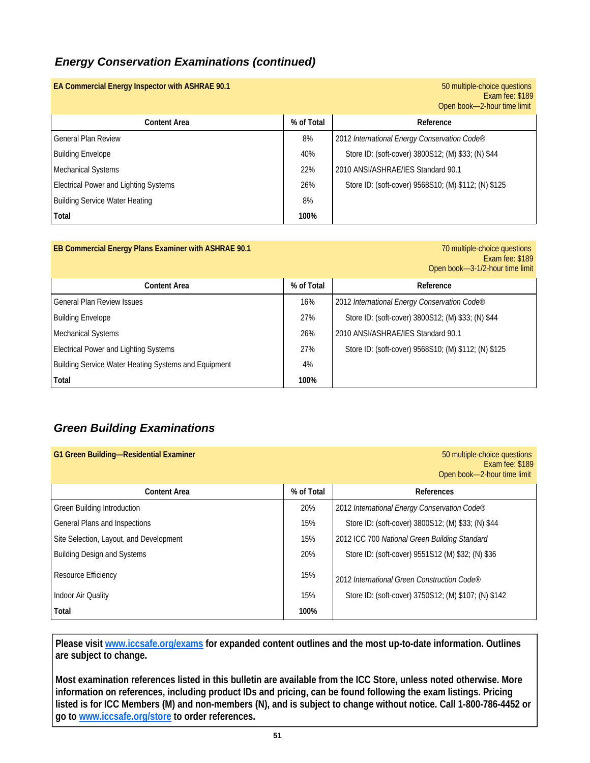## *Energy Conservation Examinations (continued)*

| EA Commercial Energy Inspector with ASHRAE 90.1 |            | 50 multiple-choice questions<br>Exam fee: \$189<br>Open book-2-hour time limit |
|-------------------------------------------------|------------|--------------------------------------------------------------------------------|
| <b>Content Area</b>                             | % of Total | Reference                                                                      |
| <b>General Plan Review</b>                      | 8%         | 2012 International Energy Conservation Code®                                   |
| <b>Building Envelope</b>                        | 40%        | Store ID: (soft-cover) 3800S12; (M) \$33; (N) \$44                             |
| Mechanical Systems                              | 22%        | 2010 ANSI/ASHRAE/IES Standard 90.1                                             |
| <b>Electrical Power and Lighting Systems</b>    | 26%        | Store ID: (soft-cover) 9568S10; (M) \$112; (N) \$125                           |
| <b>Building Service Water Heating</b>           | 8%         |                                                                                |
| Total                                           | 100%       |                                                                                |

| EB Commercial Energy Plans Examiner with ASHRAE 90.1 |            | 70 multiple-choice questions<br>Exam fee: \$189<br>Open book-3-1/2-hour time limit |
|------------------------------------------------------|------------|------------------------------------------------------------------------------------|
| <b>Content Area</b>                                  | % of Total | Reference                                                                          |
| <b>General Plan Review Issues</b>                    | 16%        | 2012 International Energy Conservation Code®                                       |
| <b>Building Envelope</b>                             | 27%        | Store ID: (soft-cover) 3800S12; (M) \$33; (N) \$44                                 |
| <b>Mechanical Systems</b>                            | 26%        | 2010 ANSI/ASHRAE/IES Standard 90.1                                                 |
| <b>Electrical Power and Lighting Systems</b>         | 27%        | Store ID: (soft-cover) 9568S10; (M) \$112; (N) \$125                               |
| Building Service Water Heating Systems and Equipment | 4%         |                                                                                    |
| Total                                                | 100%       |                                                                                    |

## *Green Building Examinations*

| G1 Green Building-Residential Examiner  |            | 50 multiple-choice questions<br>Exam fee: \$189<br>Open book-2-hour time limit |
|-----------------------------------------|------------|--------------------------------------------------------------------------------|
| <b>Content Area</b>                     | % of Total | References                                                                     |
| <b>Green Building Introduction</b>      | 20%        | 2012 International Energy Conservation Code®                                   |
| <b>General Plans and Inspections</b>    | 15%        | Store ID: (soft-cover) 3800S12; (M) \$33; (N) \$44                             |
| Site Selection, Layout, and Development | 15%        | 2012 ICC 700 National Green Building Standard                                  |
| <b>Building Design and Systems</b>      | 20%        | Store ID: (soft-cover) 9551S12 (M) \$32; (N) \$36                              |
| Resource Efficiency                     | 15%        | 2012 International Green Construction Code®                                    |
| <b>Indoor Air Quality</b>               | 15%        | Store ID: (soft-cover) 3750S12; (M) \$107; (N) \$142                           |
| Total                                   | 100%       |                                                                                |

**Please visit www.iccsafe.org/exams for expanded content outlines and the most up-to-date information. Outlines are subject to change.** 

**Most examination references listed in this bulletin are available from the ICC Store, unless noted otherwise. More information on references, including product IDs and pricing, can be found following the exam listings. Pricing listed is for ICC Members (M) and non-members (N), and is subject to change without notice. Call 1-800-786-4452 or go to www.iccsafe.org/store to order references.**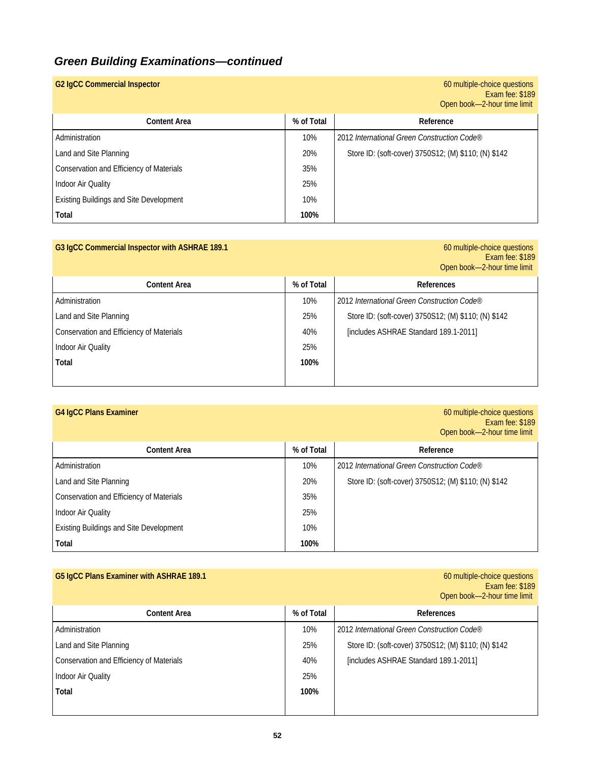## *Green Building Examinations—continued*

| <b>G2 IgCC Commercial Inspector</b>            |            | 60 multiple-choice questions<br>Exam fee: \$189<br>Open book-2-hour time limit |
|------------------------------------------------|------------|--------------------------------------------------------------------------------|
| <b>Content Area</b>                            | % of Total | Reference                                                                      |
| Administration                                 | 10%        | 2012 International Green Construction Code®                                    |
| Land and Site Planning                         | 20%        | Store ID: (soft-cover) 3750S12; (M) \$110; (N) \$142                           |
| Conservation and Efficiency of Materials       | 35%        |                                                                                |
| Indoor Air Quality                             | 25%        |                                                                                |
| <b>Existing Buildings and Site Development</b> | 10%        |                                                                                |
| Total                                          | 100%       |                                                                                |

| G3 IgCC Commercial Inspector with ASHRAE 189.1 |            | 60 multiple-choice questions<br>Exam fee: \$189<br>Open book-2-hour time limit |
|------------------------------------------------|------------|--------------------------------------------------------------------------------|
| <b>Content Area</b>                            | % of Total | <b>References</b>                                                              |
| Administration                                 | 10%        | 2012 International Green Construction Code®                                    |
| Land and Site Planning                         | 25%        | Store ID: (soft-cover) 3750S12; (M) \$110; (N) \$142                           |
| Conservation and Efficiency of Materials       | 40%        | [includes ASHRAE Standard 189.1-2011]                                          |
| Indoor Air Quality                             | 25%        |                                                                                |
| Total                                          | 100%       |                                                                                |

| <b>G4 IgCC Plans Examiner</b>                  |            | 60 multiple-choice questions<br>Exam fee: \$189<br>Open book-2-hour time limit |
|------------------------------------------------|------------|--------------------------------------------------------------------------------|
| <b>Content Area</b>                            | % of Total | Reference                                                                      |
| Administration                                 | 10%        | 2012 International Green Construction Code®                                    |
| Land and Site Planning                         | 20%        | Store ID: (soft-cover) 3750S12; (M) \$110; (N) \$142                           |
| Conservation and Efficiency of Materials       | 35%        |                                                                                |
| Indoor Air Quality                             | 25%        |                                                                                |
| <b>Existing Buildings and Site Development</b> | 10%        |                                                                                |
| Total                                          | 100%       |                                                                                |

## **G5 IgCC Plans Examiner with ASHRAE 189.1**

60 multiple-choice questions<br>Exam fee: \$189 Open book—2-hour time limit

| <b>Content Area</b>                      | % of Total | References                                           |
|------------------------------------------|------------|------------------------------------------------------|
| Administration                           | 10%        | 2012 International Green Construction Code®          |
| Land and Site Planning                   | 25%        | Store ID: (soft-cover) 3750S12; (M) \$110; (N) \$142 |
| Conservation and Efficiency of Materials | 40%        | [includes ASHRAE Standard 189.1-2011]                |
| Indoor Air Quality                       | 25%        |                                                      |
| Total                                    | 100%       |                                                      |
|                                          |            |                                                      |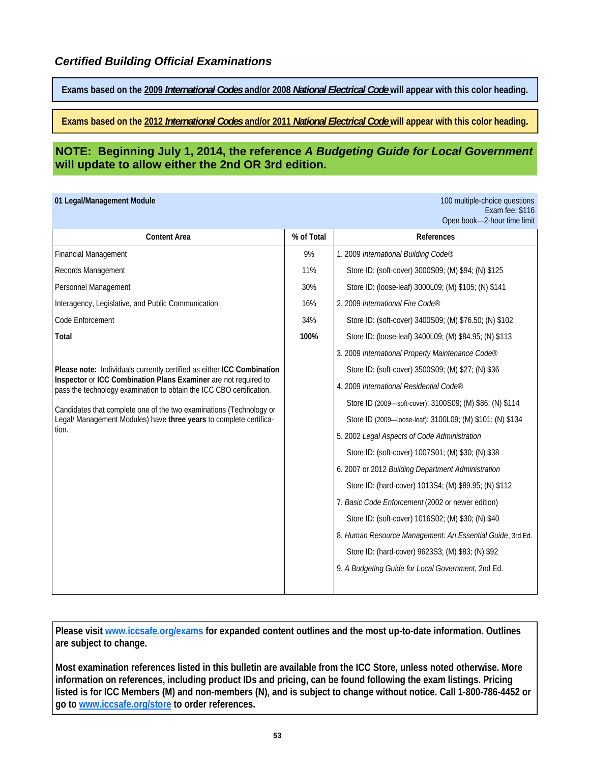**Exams based on the 2009** *International Codes* **and/or 2008** *National Electrical Code* **will appear with this color heading.** 

**Exams based on the 2012** *International Codes* **and/or 2011** *National Electrical Code* **will appear with this color heading.** 

### **NOTE: Beginning July 1, 2014, the reference** *A Budgeting Guide for Local Government*  **will update to allow either the 2nd OR 3rd edition.**

|  |  |  | 01 Legal/Management Module |
|--|--|--|----------------------------|
|--|--|--|----------------------------|

100 multiple-choice questions Exam fee: \$116 Open book—2-hour time limit

| <b>Content Area</b>                                                                                                                     | % of Total | References                                                |
|-----------------------------------------------------------------------------------------------------------------------------------------|------------|-----------------------------------------------------------|
| <b>Financial Management</b>                                                                                                             | 9%         | 1. 2009 International Building Code®                      |
| Records Management                                                                                                                      | 11%        | Store ID: (soft-cover) 3000S09; (M) \$94; (N) \$125       |
| Personnel Management                                                                                                                    | 30%        | Store ID: (loose-leaf) 3000L09; (M) \$105; (N) \$141      |
| Interagency, Legislative, and Public Communication                                                                                      | 16%        | 2. 2009 International Fire Code®                          |
| Code Enforcement                                                                                                                        | 34%        | Store ID: (soft-cover) 3400S09; (M) \$76.50; (N) \$102    |
| Total                                                                                                                                   | 100%       | Store ID: (loose-leaf) 3400L09; (M) \$84.95; (N) \$113    |
|                                                                                                                                         |            | 3. 2009 International Property Maintenance Code®          |
| Please note: Individuals currently certified as either ICC Combination                                                                  |            | Store ID: (soft-cover) 3500S09; (M) \$27; (N) \$36        |
| Inspector or ICC Combination Plans Examiner are not required to<br>pass the technology examination to obtain the ICC CBO certification. |            | 4. 2009 International Residential Code®                   |
| Candidates that complete one of the two examinations (Technology or                                                                     |            | Store ID (2009—soft-cover): 3100S09; (M) \$86; (N) \$114  |
| Legal/ Management Modules) have three years to complete certifica-<br>tion.                                                             |            | Store ID (2009-loose-leaf): 3100L09; (M) \$101; (N) \$134 |
|                                                                                                                                         |            | 5. 2002 Legal Aspects of Code Administration              |
|                                                                                                                                         |            | Store ID: (soft-cover) 1007S01; (M) \$30; (N) \$38        |
|                                                                                                                                         |            | 6. 2007 or 2012 Building Department Administration        |
|                                                                                                                                         |            | Store ID: (hard-cover) 1013S4; (M) \$89.95; (N) \$112     |
|                                                                                                                                         |            | 7. Basic Code Enforcement (2002 or newer edition)         |
|                                                                                                                                         |            | Store ID: (soft-cover) 1016S02; (M) \$30; (N) \$40        |
|                                                                                                                                         |            | 8. Human Resource Management: An Essential Guide, 3rd Ed. |
|                                                                                                                                         |            | Store ID: (hard-cover) 9623S3; (M) \$83; (N) \$92         |
|                                                                                                                                         |            | 9. A Budgeting Guide for Local Government, 2nd Ed.        |
|                                                                                                                                         |            |                                                           |

**Please visit www.iccsafe.org/exams for expanded content outlines and the most up-to-date information. Outlines are subject to change.** 

**Most examination references listed in this bulletin are available from the ICC Store, unless noted otherwise. More information on references, including product IDs and pricing, can be found following the exam listings. Pricing listed is for ICC Members (M) and non-members (N), and is subject to change without notice. Call 1-800-786-4452 or go to www.iccsafe.org/store to order references.**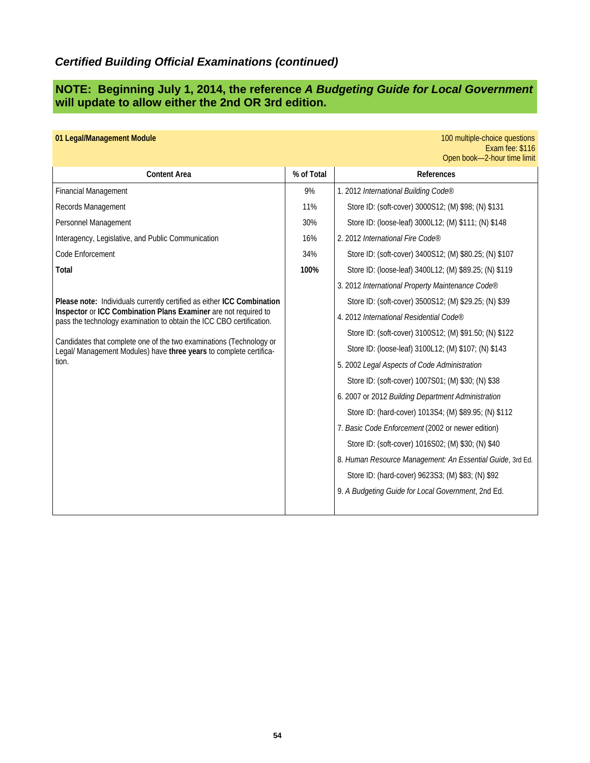## *Certified Building Official Examinations (continued)*

### **NOTE: Beginning July 1, 2014, the reference** *A Budgeting Guide for Local Government*  **will update to allow either the 2nd OR 3rd edition.**

| 01 Legal/Management Module                                                                                                                                                                                                                                                                                                                                                                                                                                                                                                              |                                        | 100 multiple-choice questions<br>Exam fee: \$116                                                                                                                                                                                                                                                                                                                                                                                                                                                                                                                                                                                                                                                                                                                                                                                                                                                                                                     |
|-----------------------------------------------------------------------------------------------------------------------------------------------------------------------------------------------------------------------------------------------------------------------------------------------------------------------------------------------------------------------------------------------------------------------------------------------------------------------------------------------------------------------------------------|----------------------------------------|------------------------------------------------------------------------------------------------------------------------------------------------------------------------------------------------------------------------------------------------------------------------------------------------------------------------------------------------------------------------------------------------------------------------------------------------------------------------------------------------------------------------------------------------------------------------------------------------------------------------------------------------------------------------------------------------------------------------------------------------------------------------------------------------------------------------------------------------------------------------------------------------------------------------------------------------------|
| <b>Content Area</b>                                                                                                                                                                                                                                                                                                                                                                                                                                                                                                                     | % of Total                             | References                                                                                                                                                                                                                                                                                                                                                                                                                                                                                                                                                                                                                                                                                                                                                                                                                                                                                                                                           |
| <b>Financial Management</b><br>Records Management<br>Personnel Management<br>Interagency, Legislative, and Public Communication<br>Code Enforcement<br>Total<br>Please note: Individuals currently certified as either ICC Combination<br>Inspector or ICC Combination Plans Examiner are not required to<br>pass the technology examination to obtain the ICC CBO certification.<br>Candidates that complete one of the two examinations (Technology or<br>Legal/ Management Modules) have three years to complete certifica-<br>tion. | 9%<br>11%<br>30%<br>16%<br>34%<br>100% | Open book-2-hour time limit<br>1. 2012 International Building Code®<br>Store ID: (soft-cover) 3000S12; (M) \$98; (N) \$131<br>Store ID: (loose-leaf) 3000L12; (M) \$111; (N) \$148<br>2. 2012 International Fire Code®<br>Store ID: (soft-cover) 3400S12; (M) \$80.25; (N) \$107<br>Store ID: (loose-leaf) 3400L12; (M) \$89.25; (N) \$119<br>3. 2012 International Property Maintenance Code®<br>Store ID: (soft-cover) 3500S12; (M) \$29.25; (N) \$39<br>4. 2012 International Residential Code®<br>Store ID: (soft-cover) 3100S12; (M) \$91.50; (N) \$122<br>Store ID: (loose-leaf) 3100L12; (M) \$107; (N) \$143<br>5. 2002 Legal Aspects of Code Administration<br>Store ID: (soft-cover) 1007S01; (M) \$30; (N) \$38<br>6. 2007 or 2012 Building Department Administration<br>Store ID: (hard-cover) 1013S4; (M) \$89.95; (N) \$112<br>7. Basic Code Enforcement (2002 or newer edition)<br>Store ID: (soft-cover) 1016S02; (M) \$30; (N) \$40 |
|                                                                                                                                                                                                                                                                                                                                                                                                                                                                                                                                         |                                        | 8. Human Resource Management: An Essential Guide, 3rd Ed.<br>Store ID: (hard-cover) 9623S3; (M) \$83; (N) \$92<br>9. A Budgeting Guide for Local Government, 2nd Ed.                                                                                                                                                                                                                                                                                                                                                                                                                                                                                                                                                                                                                                                                                                                                                                                 |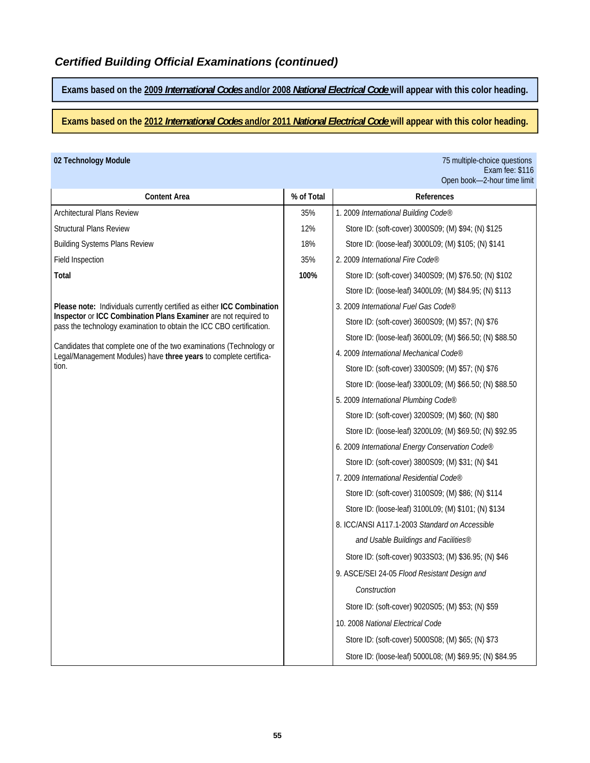**Exams based on the 2009** *International Codes* **and/or 2008** *National Electrical Code* **will appear with this color heading.** 

**Exams based on the 2012** *International Codes* **and/or 2011** *National Electrical Code* **will appear with this color heading.** 

**02 Technology Module** 75 multiple-choice questions Exam fee: \$116 Open book—2-hour time limit

| 35%  | 1. 2009 International Building Code®                     |
|------|----------------------------------------------------------|
| 12%  | Store ID: (soft-cover) 3000S09; (M) \$94; (N) \$125      |
| 18%  | Store ID: (loose-leaf) 3000L09; (M) \$105; (N) \$141     |
| 35%  | 2. 2009 International Fire Code®                         |
| 100% | Store ID: (soft-cover) 3400S09; (M) \$76.50; (N) \$102   |
|      | Store ID: (loose-leaf) 3400L09; (M) \$84.95; (N) \$113   |
|      | 3. 2009 International Fuel Gas Code®                     |
|      | Store ID: (soft-cover) 3600S09; (M) \$57; (N) \$76       |
|      | Store ID: (loose-leaf) 3600L09; (M) \$66.50; (N) \$88.50 |
|      | 4. 2009 International Mechanical Code®                   |
|      | Store ID: (soft-cover) 3300S09; (M) \$57; (N) \$76       |
|      | Store ID: (loose-leaf) 3300L09; (M) \$66.50; (N) \$88.50 |
|      | 5. 2009 International Plumbing Code®                     |
|      | Store ID: (soft-cover) 3200S09; (M) \$60; (N) \$80       |
|      | Store ID: (loose-leaf) 3200L09; (M) \$69.50; (N) \$92.95 |
|      | 6. 2009 International Energy Conservation Code®          |
|      | Store ID: (soft-cover) 3800S09; (M) \$31; (N) \$41       |
|      | 7. 2009 International Residential Code®                  |
|      | Store ID: (soft-cover) 3100S09; (M) \$86; (N) \$114      |
|      | Store ID: (loose-leaf) 3100L09; (M) \$101; (N) \$134     |
|      | 8. ICC/ANSI A117.1-2003 Standard on Accessible           |
|      | and Usable Buildings and Facilities®                     |
|      | Store ID: (soft-cover) 9033S03; (M) \$36.95; (N) \$46    |
|      | 9. ASCE/SEI 24-05 Flood Resistant Design and             |
|      | Construction                                             |
|      | Store ID: (soft-cover) 9020S05; (M) \$53; (N) \$59       |
|      | 10. 2008 National Electrical Code                        |
|      | Store ID: (soft-cover) 5000S08; (M) \$65; (N) \$73       |
|      | Store ID: (loose-leaf) 5000L08; (M) \$69.95; (N) \$84.95 |
|      |                                                          |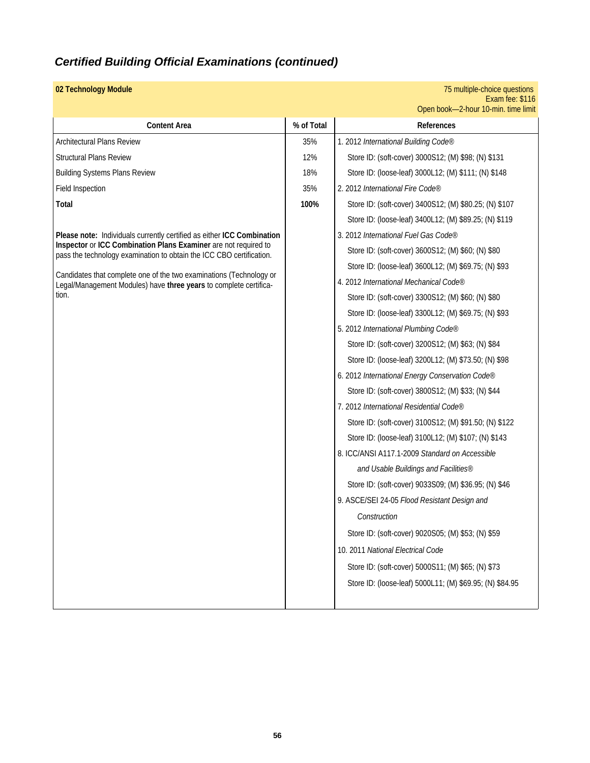## *Certified Building Official Examinations (continued)*

| 02 Technology Module                                                                                                                     |            | 75 multiple-choice questions<br>Exam fee: \$116<br>Open book-2-hour 10-min. time limit |
|------------------------------------------------------------------------------------------------------------------------------------------|------------|----------------------------------------------------------------------------------------|
| <b>Content Area</b>                                                                                                                      | % of Total | References                                                                             |
| <b>Architectural Plans Review</b>                                                                                                        | 35%        | 1. 2012 International Building Code®                                                   |
| <b>Structural Plans Review</b>                                                                                                           | 12%        | Store ID: (soft-cover) 3000S12; (M) \$98; (N) \$131                                    |
| <b>Building Systems Plans Review</b>                                                                                                     | 18%        | Store ID: (loose-leaf) 3000L12; (M) \$111; (N) \$148                                   |
| Field Inspection                                                                                                                         | 35%        | 2. 2012 International Fire Code®                                                       |
| <b>Total</b>                                                                                                                             | 100%       | Store ID: (soft-cover) 3400S12; (M) \$80.25; (N) \$107                                 |
|                                                                                                                                          |            | Store ID: (loose-leaf) 3400L12; (M) \$89.25; (N) \$119                                 |
| Please note: Individuals currently certified as either ICC Combination                                                                   |            | 3. 2012 International Fuel Gas Code®                                                   |
| Inspector or ICC Combination Plans Examiner are not required to<br>pass the technology examination to obtain the ICC CBO certification.  |            | Store ID: (soft-cover) 3600S12; (M) \$60; (N) \$80                                     |
|                                                                                                                                          |            | Store ID: (loose-leaf) 3600L12; (M) \$69.75; (N) \$93                                  |
| Candidates that complete one of the two examinations (Technology or<br>Legal/Management Modules) have three years to complete certifica- |            | 4. 2012 International Mechanical Code®                                                 |
| tion.                                                                                                                                    |            | Store ID: (soft-cover) 3300S12; (M) \$60; (N) \$80                                     |
|                                                                                                                                          |            | Store ID: (loose-leaf) 3300L12; (M) \$69.75; (N) \$93                                  |
|                                                                                                                                          |            | 5. 2012 International Plumbing Code®                                                   |
|                                                                                                                                          |            | Store ID: (soft-cover) 3200S12; (M) \$63; (N) \$84                                     |
|                                                                                                                                          |            | Store ID: (loose-leaf) 3200L12; (M) \$73.50; (N) \$98                                  |
|                                                                                                                                          |            | 6. 2012 International Energy Conservation Code®                                        |
|                                                                                                                                          |            | Store ID: (soft-cover) 3800S12; (M) \$33; (N) \$44                                     |
|                                                                                                                                          |            | 7. 2012 International Residential Code®                                                |
|                                                                                                                                          |            | Store ID: (soft-cover) 3100S12; (M) \$91.50; (N) \$122                                 |
|                                                                                                                                          |            | Store ID: (loose-leaf) 3100L12; (M) \$107; (N) \$143                                   |
|                                                                                                                                          |            | 8. ICC/ANSI A117.1-2009 Standard on Accessible                                         |
|                                                                                                                                          |            | and Usable Buildings and Facilities®                                                   |
|                                                                                                                                          |            | Store ID: (soft-cover) 9033S09; (M) \$36.95; (N) \$46                                  |
|                                                                                                                                          |            | 9. ASCE/SEI 24-05 Flood Resistant Design and                                           |
|                                                                                                                                          |            | Construction                                                                           |
|                                                                                                                                          |            | Store ID: (soft-cover) 9020S05; (M) \$53; (N) \$59                                     |
|                                                                                                                                          |            | 10. 2011 National Electrical Code                                                      |
|                                                                                                                                          |            | Store ID: (soft-cover) 5000S11; (M) \$65; (N) \$73                                     |
|                                                                                                                                          |            | Store ID: (loose-leaf) 5000L11; (M) \$69.95; (N) \$84.95                               |
|                                                                                                                                          |            |                                                                                        |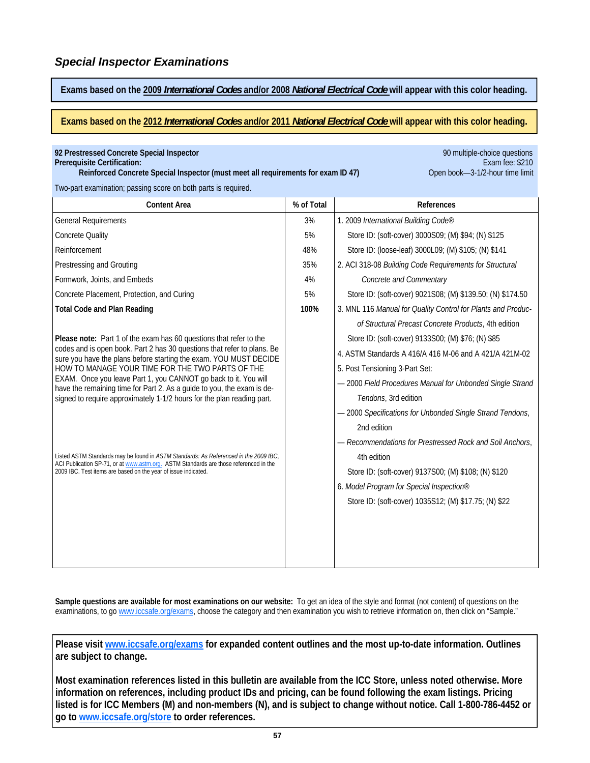**Exams based on the 2009** *International Codes* **and/or 2008** *National Electrical Code* **will appear with this color heading.** 

**Exams based on the 2012** *International Codes* **and/or 2011** *National Electrical Code* **will appear with this color heading.** 

| 92 Prestressed Concrete Special Inspector<br>Prerequisite Certification:<br>Reinforced Concrete Special Inspector (must meet all requirements for exam ID 47)                 |            | 90 multiple-choice questions<br>Exam fee: \$210<br>Open book-3-1/2-hour time limit |
|-------------------------------------------------------------------------------------------------------------------------------------------------------------------------------|------------|------------------------------------------------------------------------------------|
| Two-part examination; passing score on both parts is required.                                                                                                                |            |                                                                                    |
| <b>Content Area</b>                                                                                                                                                           | % of Total | References                                                                         |
| <b>General Requirements</b>                                                                                                                                                   | 3%         | 1. 2009 International Building Code®                                               |
| <b>Concrete Quality</b>                                                                                                                                                       | 5%         | Store ID: (soft-cover) 3000S09; (M) \$94; (N) \$125                                |
| Reinforcement                                                                                                                                                                 | 48%        | Store ID: (loose-leaf) 3000L09; (M) \$105; (N) \$141                               |
| Prestressing and Grouting                                                                                                                                                     | 35%        | 2. ACI 318-08 Building Code Requirements for Structural                            |
| Formwork, Joints, and Embeds                                                                                                                                                  | 4%         | Concrete and Commentary                                                            |
| Concrete Placement, Protection, and Curing                                                                                                                                    | 5%         | Store ID: (soft-cover) 9021S08; (M) \$139.50; (N) \$174.50                         |
| <b>Total Code and Plan Reading</b>                                                                                                                                            | 100%       | 3. MNL 116 Manual for Quality Control for Plants and Produc-                       |
|                                                                                                                                                                               |            | of Structural Precast Concrete Products, 4th edition                               |
| Please note: Part 1 of the exam has 60 questions that refer to the                                                                                                            |            | Store ID: (soft-cover) 9133S00; (M) \$76; (N) \$85                                 |
| codes and is open book. Part 2 has 30 questions that refer to plans. Be<br>sure you have the plans before starting the exam. YOU MUST DECIDE                                  |            | 4. ASTM Standards A 416/A 416 M-06 and A 421/A 421M-02                             |
| HOW TO MANAGE YOUR TIME FOR THE TWO PARTS OF THE                                                                                                                              |            | 5. Post Tensioning 3-Part Set:                                                     |
| EXAM. Once you leave Part 1, you CANNOT go back to it. You will<br>have the remaining time for Part 2. As a guide to you, the exam is de-                                     |            | - 2000 Field Procedures Manual for Unbonded Single Strand                          |
| signed to require approximately 1-1/2 hours for the plan reading part.                                                                                                        |            | Tendons, 3rd edition                                                               |
|                                                                                                                                                                               |            | - 2000 Specifications for Unbonded Single Strand Tendons,                          |
|                                                                                                                                                                               |            | 2nd edition                                                                        |
|                                                                                                                                                                               |            | - Recommendations for Prestressed Rock and Soil Anchors,                           |
| Listed ASTM Standards may be found in ASTM Standards: As Referenced in the 2009 IBC,<br>ACI Publication SP-71, or at www.astm.org. ASTM Standards are those referenced in the |            | 4th edition                                                                        |
| 2009 IBC. Test items are based on the year of issue indicated.                                                                                                                |            | Store ID: (soft-cover) 9137S00; (M) \$108; (N) \$120                               |
|                                                                                                                                                                               |            | 6. Model Program for Special Inspection®                                           |
|                                                                                                                                                                               |            | Store ID: (soft-cover) 1035S12; (M) \$17.75; (N) \$22                              |
|                                                                                                                                                                               |            |                                                                                    |
|                                                                                                                                                                               |            |                                                                                    |
|                                                                                                                                                                               |            |                                                                                    |
|                                                                                                                                                                               |            |                                                                                    |

**Sample questions are available for most examinations on our website:** To get an idea of the style and format (not content) of questions on the examinations, to go www.iccsafe.org/exams, choose the category and then examination you wish to retrieve information on, then click on "Sample."

**Please visit www.iccsafe.org/exams for expanded content outlines and the most up-to-date information. Outlines are subject to change.** 

**Most examination references listed in this bulletin are available from the ICC Store, unless noted otherwise. More information on references, including product IDs and pricing, can be found following the exam listings. Pricing listed is for ICC Members (M) and non-members (N), and is subject to change without notice. Call 1-800-786-4452 or go to www.iccsafe.org/store to order references.**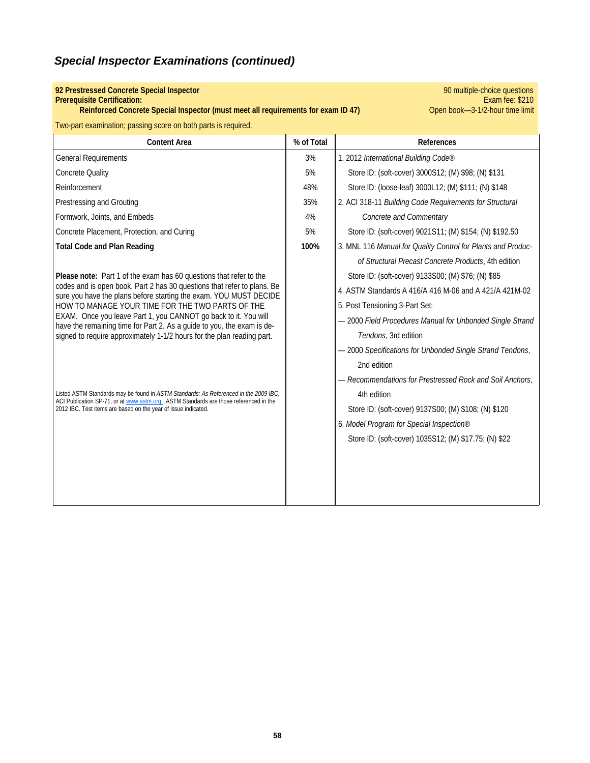## **92 Prestressed Concrete Special Inspector Prerequisite Certification:**

**Reinforced Concrete Special Inspector (must meet all requirements for exam ID 47)** 

**PO multiple-choice questions**<br>**Exam fee: \$210**<br>Open book-3-1/2-hour time limit

|  |  | Two-part examination; passing score on both parts is required. |
|--|--|----------------------------------------------------------------|
|  |  |                                                                |

| <b>Content Area</b>                                                                                                                                                           | % of Total | References                                                   |
|-------------------------------------------------------------------------------------------------------------------------------------------------------------------------------|------------|--------------------------------------------------------------|
| <b>General Requirements</b>                                                                                                                                                   | 3%         | 1. 2012 International Building Code®                         |
| <b>Concrete Quality</b>                                                                                                                                                       | 5%         | Store ID: (soft-cover) 3000S12; (M) \$98; (N) \$131          |
| Reinforcement                                                                                                                                                                 | 48%        | Store ID: (loose-leaf) 3000L12; (M) \$111; (N) \$148         |
| Prestressing and Grouting                                                                                                                                                     | 35%        | 2. ACI 318-11 Building Code Requirements for Structural      |
| Formwork, Joints, and Embeds                                                                                                                                                  | 4%         | Concrete and Commentary                                      |
| Concrete Placement, Protection, and Curing                                                                                                                                    | 5%         | Store ID: (soft-cover) 9021S11; (M) \$154; (N) \$192.50      |
| <b>Total Code and Plan Reading</b>                                                                                                                                            | 100%       | 3. MNL 116 Manual for Quality Control for Plants and Produc- |
|                                                                                                                                                                               |            | of Structural Precast Concrete Products, 4th edition         |
| Please note: Part 1 of the exam has 60 questions that refer to the                                                                                                            |            | Store ID: (soft-cover) 9133S00; (M) \$76; (N) \$85           |
| codes and is open book. Part 2 has 30 questions that refer to plans. Be<br>sure you have the plans before starting the exam. YOU MUST DECIDE                                  |            | 4. ASTM Standards A 416/A 416 M-06 and A 421/A 421M-02       |
| HOW TO MANAGE YOUR TIME FOR THE TWO PARTS OF THE                                                                                                                              |            | 5. Post Tensioning 3-Part Set:                               |
| EXAM. Once you leave Part 1, you CANNOT go back to it. You will<br>have the remaining time for Part 2. As a guide to you, the exam is de-                                     |            | - 2000 Field Procedures Manual for Unbonded Single Strand    |
| signed to require approximately 1-1/2 hours for the plan reading part.                                                                                                        |            | Tendons, 3rd edition                                         |
|                                                                                                                                                                               |            | - 2000 Specifications for Unbonded Single Strand Tendons,    |
|                                                                                                                                                                               |            | 2nd edition                                                  |
|                                                                                                                                                                               |            | - Recommendations for Prestressed Rock and Soil Anchors,     |
| Listed ASTM Standards may be found in ASTM Standards: As Referenced in the 2009 IBC,<br>ACI Publication SP-71, or at www.astm.org. ASTM Standards are those referenced in the |            | 4th edition                                                  |
| 2012 IBC. Test items are based on the year of issue indicated.                                                                                                                |            | Store ID: (soft-cover) 9137S00; (M) \$108; (N) \$120         |
|                                                                                                                                                                               |            | 6. Model Program for Special Inspection®                     |
|                                                                                                                                                                               |            | Store ID: (soft-cover) 1035S12; (M) \$17.75; (N) \$22        |
|                                                                                                                                                                               |            |                                                              |
|                                                                                                                                                                               |            |                                                              |
|                                                                                                                                                                               |            |                                                              |
|                                                                                                                                                                               |            |                                                              |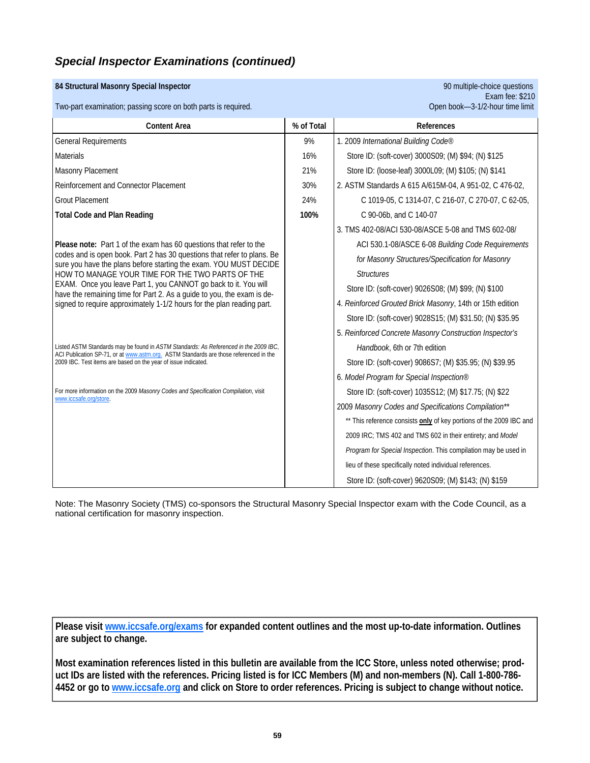### **84 Structural Masonry Special Inspector** 90 multiple-choice questions

Two-part examination; passing score on both parts is required.

| <b>Content Area</b>                                                                                                                                                           | % of Total | References                                                          |
|-------------------------------------------------------------------------------------------------------------------------------------------------------------------------------|------------|---------------------------------------------------------------------|
| <b>General Requirements</b>                                                                                                                                                   | 9%         | 1. 2009 International Building Code®                                |
| <b>Materials</b>                                                                                                                                                              | 16%        | Store ID: (soft-cover) 3000S09; (M) \$94; (N) \$125                 |
| Masonry Placement                                                                                                                                                             | 21%        | Store ID: (loose-leaf) 3000L09; (M) \$105; (N) \$141                |
| Reinforcement and Connector Placement                                                                                                                                         | 30%        | 2. ASTM Standards A 615 A/615M-04, A 951-02, C 476-02,              |
| <b>Grout Placement</b>                                                                                                                                                        | 24%        | C 1019-05, C 1314-07, C 216-07, C 270-07, C 62-05,                  |
| <b>Total Code and Plan Reading</b>                                                                                                                                            | 100%       | C 90-06b, and C 140-07                                              |
|                                                                                                                                                                               |            | 3. TMS 402-08/ACI 530-08/ASCE 5-08 and TMS 602-08/                  |
| Please note: Part 1 of the exam has 60 questions that refer to the                                                                                                            |            | ACI 530.1-08/ASCE 6-08 Building Code Requirements                   |
| codes and is open book. Part 2 has 30 questions that refer to plans. Be<br>sure you have the plans before starting the exam. YOU MUST DECIDE                                  |            | for Masonry Structures/Specification for Masonry                    |
| HOW TO MANAGE YOUR TIME FOR THE TWO PARTS OF THE                                                                                                                              |            | <b>Structures</b>                                                   |
| EXAM. Once you leave Part 1, you CANNOT go back to it. You will<br>have the remaining time for Part 2. As a guide to you, the exam is de-                                     |            | Store ID: (soft-cover) 9026S08; (M) \$99; (N) \$100                 |
| signed to require approximately 1-1/2 hours for the plan reading part.                                                                                                        |            | 4. Reinforced Grouted Brick Masonry, 14th or 15th edition           |
|                                                                                                                                                                               |            | Store ID: (soft-cover) 9028S15; (M) \$31.50; (N) \$35.95            |
|                                                                                                                                                                               |            | 5. Reinforced Concrete Masonry Construction Inspector's             |
| Listed ASTM Standards may be found in ASTM Standards: As Referenced in the 2009 IBC,<br>ACI Publication SP-71, or at www.astm.org. ASTM Standards are those referenced in the |            | Handbook, 6th or 7th edition                                        |
| 2009 IBC. Test items are based on the year of issue indicated.                                                                                                                |            | Store ID: (soft-cover) 9086S7; (M) \$35.95; (N) \$39.95             |
|                                                                                                                                                                               |            | 6. Model Program for Special Inspection®                            |
| For more information on the 2009 Masonry Codes and Specification Compilation, visit<br>www.iccsafe.org/store.                                                                 |            | Store ID: (soft-cover) 1035S12; (M) \$17.75; (N) \$22               |
|                                                                                                                                                                               |            | 2009 Masonry Codes and Specifications Compilation**                 |
|                                                                                                                                                                               |            | ** This reference consists only of key portions of the 2009 IBC and |
|                                                                                                                                                                               |            | 2009 IRC; TMS 402 and TMS 602 in their entirety; and Model          |
|                                                                                                                                                                               |            | Program for Special Inspection. This compilation may be used in     |
|                                                                                                                                                                               |            | lieu of these specifically noted individual references.             |
|                                                                                                                                                                               |            | Store ID: (soft-cover) 9620S09; (M) \$143; (N) \$159                |

Note: The Masonry Society (TMS) co-sponsors the Structural Masonry Special Inspector exam with the Code Council, as a national certification for masonry inspection.

**Please visit www.iccsafe.org/exams for expanded content outlines and the most up-to-date information. Outlines are subject to change.** 

**Most examination references listed in this bulletin are available from the ICC Store, unless noted otherwise; product IDs are listed with the references. Pricing listed is for ICC Members (M) and non-members (N). Call 1-800-786- 4452 or go to www.iccsafe.org and click on Store to order references. Pricing is subject to change without notice.**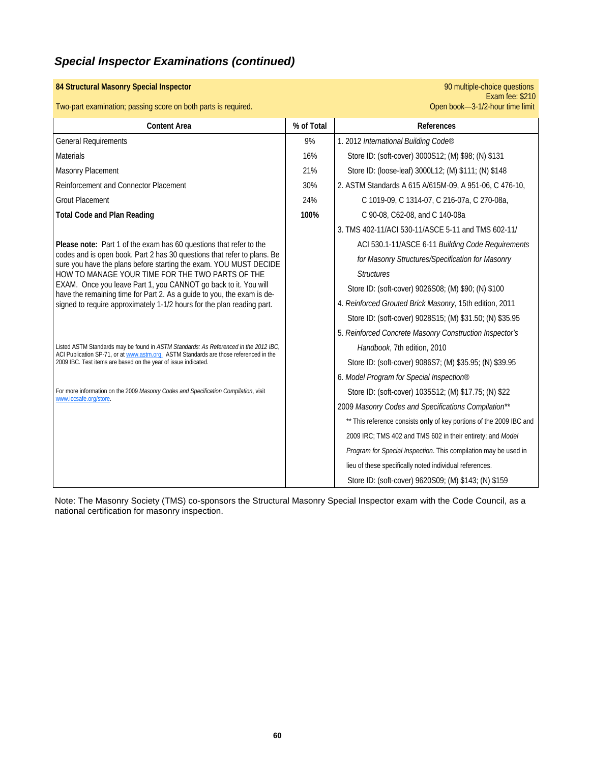| 84 Structural Masonry Special Inspector                                                                                                                                                                                                         |            | 90 multiple-choice questions<br>Exam fee: \$210                     |
|-------------------------------------------------------------------------------------------------------------------------------------------------------------------------------------------------------------------------------------------------|------------|---------------------------------------------------------------------|
| Two-part examination; passing score on both parts is required.                                                                                                                                                                                  |            | Open book-3-1/2-hour time limit                                     |
| <b>Content Area</b>                                                                                                                                                                                                                             | % of Total | References                                                          |
| <b>General Requirements</b>                                                                                                                                                                                                                     | 9%         | 1. 2012 International Building Code®                                |
| <b>Materials</b>                                                                                                                                                                                                                                | 16%        | Store ID: (soft-cover) 3000S12; (M) \$98; (N) \$131                 |
| Masonry Placement                                                                                                                                                                                                                               | 21%        | Store ID: (loose-leaf) 3000L12; (M) \$111; (N) \$148                |
| Reinforcement and Connector Placement                                                                                                                                                                                                           | 30%        | 2. ASTM Standards A 615 A/615M-09, A 951-06, C 476-10,              |
| <b>Grout Placement</b>                                                                                                                                                                                                                          | 24%        | C 1019-09, C 1314-07, C 216-07a, C 270-08a,                         |
| <b>Total Code and Plan Reading</b>                                                                                                                                                                                                              | 100%       | C 90-08, C62-08, and C 140-08a                                      |
|                                                                                                                                                                                                                                                 |            | 3. TMS 402-11/ACI 530-11/ASCE 5-11 and TMS 602-11/                  |
| Please note: Part 1 of the exam has 60 questions that refer to the                                                                                                                                                                              |            | ACI 530.1-11/ASCE 6-11 Building Code Requirements                   |
| codes and is open book. Part 2 has 30 questions that refer to plans. Be<br>sure you have the plans before starting the exam. YOU MUST DECIDE                                                                                                    |            | for Masonry Structures/Specification for Masonry                    |
| HOW TO MANAGE YOUR TIME FOR THE TWO PARTS OF THE                                                                                                                                                                                                |            | <b>Structures</b>                                                   |
| EXAM. Once you leave Part 1, you CANNOT go back to it. You will<br>have the remaining time for Part 2. As a guide to you, the exam is de-<br>signed to require approximately 1-1/2 hours for the plan reading part.                             |            | Store ID: (soft-cover) 9026S08; (M) \$90; (N) \$100                 |
|                                                                                                                                                                                                                                                 |            | 4. Reinforced Grouted Brick Masonry, 15th edition, 2011             |
|                                                                                                                                                                                                                                                 |            | Store ID: (soft-cover) 9028S15; (M) \$31.50; (N) \$35.95            |
|                                                                                                                                                                                                                                                 |            | 5. Reinforced Concrete Masonry Construction Inspector's             |
| Listed ASTM Standards may be found in ASTM Standards: As Referenced in the 2012 IBC,<br>ACI Publication SP-71, or at www.astm.org. ASTM Standards are those referenced in the<br>2009 IBC. Test items are based on the year of issue indicated. |            | Handbook, 7th edition, 2010                                         |
|                                                                                                                                                                                                                                                 |            | Store ID: (soft-cover) 9086S7; (M) \$35.95; (N) \$39.95             |
|                                                                                                                                                                                                                                                 |            | 6. Model Program for Special Inspection®                            |
| For more information on the 2009 Masonry Codes and Specification Compilation, visit<br>www.iccsafe.org/store.                                                                                                                                   |            | Store ID: (soft-cover) 1035S12; (M) \$17.75; (N) \$22               |
|                                                                                                                                                                                                                                                 |            | 2009 Masonry Codes and Specifications Compilation**                 |
|                                                                                                                                                                                                                                                 |            | ** This reference consists only of key portions of the 2009 IBC and |
|                                                                                                                                                                                                                                                 |            | 2009 IRC; TMS 402 and TMS 602 in their entirety; and Model          |
|                                                                                                                                                                                                                                                 |            | Program for Special Inspection. This compilation may be used in     |
|                                                                                                                                                                                                                                                 |            | lieu of these specifically noted individual references.             |
|                                                                                                                                                                                                                                                 |            | Store ID: (soft-cover) 9620S09; (M) \$143; (N) \$159                |

Note: The Masonry Society (TMS) co-sponsors the Structural Masonry Special Inspector exam with the Code Council, as a national certification for masonry inspection.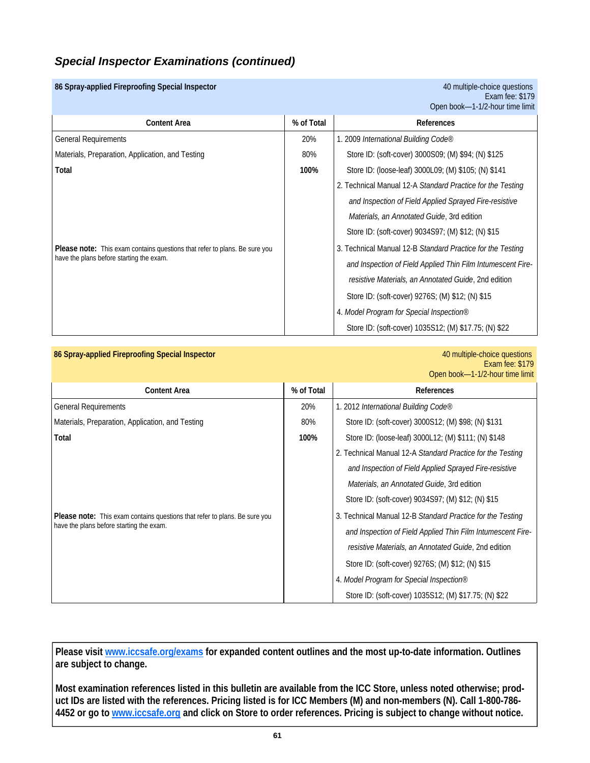### **86 Spray-applied Fireproofing Special Inspector** 40 multiple-choice questions

Exam fee: \$179 Open book—1-1/2-hour time limit

| <b>Content Area</b>                                                                                                           | % of Total | <b>References</b>                                           |
|-------------------------------------------------------------------------------------------------------------------------------|------------|-------------------------------------------------------------|
| <b>General Requirements</b>                                                                                                   | 20%        | 1. 2009 International Building Code®                        |
| Materials, Preparation, Application, and Testing                                                                              | 80%        | Store ID: (soft-cover) 3000S09; (M) \$94; (N) \$125         |
| Total                                                                                                                         | 100%       | Store ID: (loose-leaf) 3000L09; (M) \$105; (N) \$141        |
|                                                                                                                               |            | 2. Technical Manual 12-A Standard Practice for the Testing  |
|                                                                                                                               |            | and Inspection of Field Applied Sprayed Fire-resistive      |
| <b>Please note:</b> This exam contains questions that refer to plans. Be sure you<br>have the plans before starting the exam. |            | <i>Materials, an Annotated Guide, 3rd edition</i>           |
|                                                                                                                               |            | Store ID: (soft-cover) 9034S97; (M) \$12; (N) \$15          |
|                                                                                                                               |            | 3. Technical Manual 12-B Standard Practice for the Testing  |
|                                                                                                                               |            | and Inspection of Field Applied Thin Film Intumescent Fire- |
|                                                                                                                               |            | resistive Materials, an Annotated Guide, 2nd edition        |
|                                                                                                                               |            | Store ID: (soft-cover) 9276S; (M) \$12; (N) \$15            |
|                                                                                                                               |            | 4. Model Program for Special Inspection®                    |
|                                                                                                                               |            | Store ID: (soft-cover) 1035S12; (M) \$17.75; (N) \$22       |

### **86 Spray-applied Fireproofing Special Inspector** 40 multiple-choice questions

Exam fee: \$179 Open book—1-1/2-hour time limit

| <b>Content Area</b>                                                                                                           | % of Total | <b>References</b>                                           |
|-------------------------------------------------------------------------------------------------------------------------------|------------|-------------------------------------------------------------|
| <b>General Requirements</b>                                                                                                   | 20%        | 1. 2012 International Building Code®                        |
| Materials, Preparation, Application, and Testing                                                                              | 80%        | Store ID: (soft-cover) 3000S12; (M) \$98; (N) \$131         |
| Total                                                                                                                         | 100%       | Store ID: (loose-leaf) 3000L12; (M) \$111; (N) \$148        |
|                                                                                                                               |            | 2. Technical Manual 12-A Standard Practice for the Testing  |
|                                                                                                                               |            | and Inspection of Field Applied Sprayed Fire-resistive      |
| <b>Please note:</b> This exam contains questions that refer to plans. Be sure you<br>have the plans before starting the exam. |            | Materials, an Annotated Guide, 3rd edition                  |
|                                                                                                                               |            | Store ID: (soft-cover) 9034S97; (M) \$12; (N) \$15          |
|                                                                                                                               |            | 3. Technical Manual 12-B Standard Practice for the Testing  |
|                                                                                                                               |            | and Inspection of Field Applied Thin Film Intumescent Fire- |
|                                                                                                                               |            | resistive Materials, an Annotated Guide, 2nd edition        |
|                                                                                                                               |            | Store ID: (soft-cover) 9276S; (M) \$12; (N) \$15            |
|                                                                                                                               |            | 4. Model Program for Special Inspection®                    |
|                                                                                                                               |            | Store ID: (soft-cover) 1035S12; (M) \$17.75; (N) \$22       |

**Please visit www.iccsafe.org/exams for expanded content outlines and the most up-to-date information. Outlines are subject to change.** 

**Most examination references listed in this bulletin are available from the ICC Store, unless noted otherwise; product IDs are listed with the references. Pricing listed is for ICC Members (M) and non-members (N). Call 1-800-786- 4452 or go to www.iccsafe.org and click on Store to order references. Pricing is subject to change without notice.**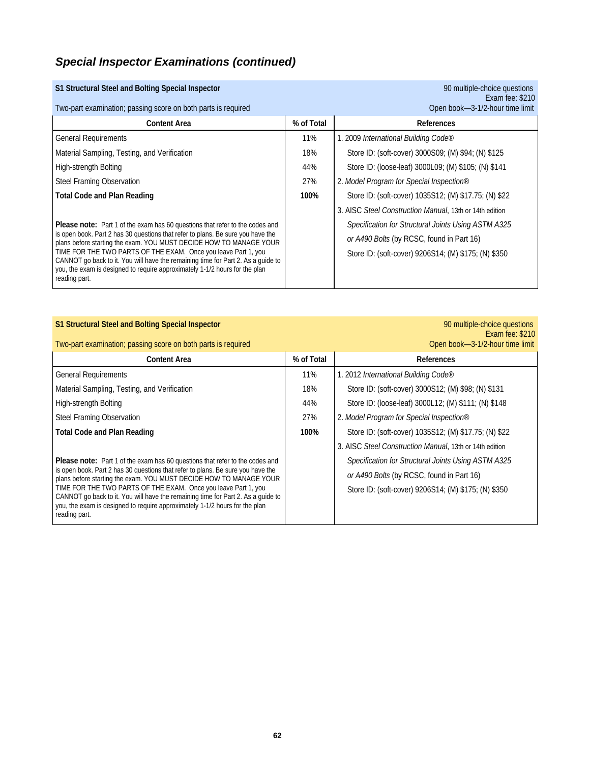| S1 Structural Steel and Bolting Special Inspector                                                                                                     |            | 90 multiple-choice questions<br>Exam fee: \$210         |
|-------------------------------------------------------------------------------------------------------------------------------------------------------|------------|---------------------------------------------------------|
| Two-part examination; passing score on both parts is required                                                                                         |            | Open book-3-1/2-hour time limit                         |
| <b>Content Area</b>                                                                                                                                   | % of Total | References                                              |
| <b>General Requirements</b>                                                                                                                           | 11%        | 1. 2009 International Building Code®                    |
| Material Sampling, Testing, and Verification                                                                                                          | 18%        | Store ID: (soft-cover) 3000S09; (M) \$94; (N) \$125     |
| High-strength Bolting                                                                                                                                 | 44%        | Store ID: (loose-leaf) 3000L09; (M) \$105; (N) \$141    |
| Steel Framing Observation                                                                                                                             | 27%        | 2. Model Program for Special Inspection®                |
| <b>Total Code and Plan Reading</b>                                                                                                                    | 100%       | Store ID: (soft-cover) 1035S12; (M) \$17.75; (N) \$22   |
|                                                                                                                                                       |            | 3. AISC Steel Construction Manual, 13th or 14th edition |
| <b>Please note:</b> Part 1 of the exam has 60 questions that refer to the codes and                                                                   |            | Specification for Structural Joints Using ASTM A325     |
| is open book. Part 2 has 30 questions that refer to plans. Be sure you have the<br>plans before starting the exam. YOU MUST DECIDE HOW TO MANAGE YOUR |            | or A490 Bolts (by RCSC, found in Part 16)               |
| TIME FOR THE TWO PARTS OF THE EXAM. Once you leave Part 1, you<br>CANNOT go back to it. You will have the remaining time for Part 2. As a quide to    |            | Store ID: (soft-cover) 9206S14; (M) \$175; (N) \$350    |
| you, the exam is designed to require approximately 1-1/2 hours for the plan<br>reading part.                                                          |            |                                                         |

### **S1 Structural Steel and Bolting Special Inspector 1999** multiple-choice questions **90 multiple-choice questions**

# Exam fee: \$210<br>Exam fee: \$210

| Two-part examination; passing score on both parts is required                                                                                                                                                                                                                                                  |            | Open book-3-1/2-hour time limit                         |  |
|----------------------------------------------------------------------------------------------------------------------------------------------------------------------------------------------------------------------------------------------------------------------------------------------------------------|------------|---------------------------------------------------------|--|
| <b>Content Area</b>                                                                                                                                                                                                                                                                                            | % of Total | References                                              |  |
| <b>General Requirements</b>                                                                                                                                                                                                                                                                                    | 11%        | 1. 2012 International Building Code®                    |  |
| Material Sampling, Testing, and Verification                                                                                                                                                                                                                                                                   | 18%        | Store ID: (soft-cover) 3000S12; (M) \$98; (N) \$131     |  |
| High-strength Bolting                                                                                                                                                                                                                                                                                          | 44%        | Store ID: (loose-leaf) 3000L12; (M) \$111; (N) \$148    |  |
| Steel Framing Observation                                                                                                                                                                                                                                                                                      | 27%        | 2. Model Program for Special Inspection®                |  |
| <b>Total Code and Plan Reading</b>                                                                                                                                                                                                                                                                             | 100%       | Store ID: (soft-cover) 1035S12; (M) \$17.75; (N) \$22   |  |
|                                                                                                                                                                                                                                                                                                                |            | 3. AISC Steel Construction Manual, 13th or 14th edition |  |
| <b>Please note:</b> Part 1 of the exam has 60 questions that refer to the codes and<br>is open book. Part 2 has 30 questions that refer to plans. Be sure you have the<br>plans before starting the exam. YOU MUST DECIDE HOW TO MANAGE YOUR<br>TIME FOR THE TWO PARTS OF THE EXAM. Once you leave Part 1, you |            | Specification for Structural Joints Using ASTM A325     |  |
|                                                                                                                                                                                                                                                                                                                |            | or A490 Bolts (by RCSC, found in Part 16)               |  |
|                                                                                                                                                                                                                                                                                                                |            | Store ID: (soft-cover) 9206S14; (M) \$175; (N) \$350    |  |
| CANNOT go back to it. You will have the remaining time for Part 2. As a guide to<br>you, the exam is designed to require approximately 1-1/2 hours for the plan                                                                                                                                                |            |                                                         |  |
| reading part.                                                                                                                                                                                                                                                                                                  |            |                                                         |  |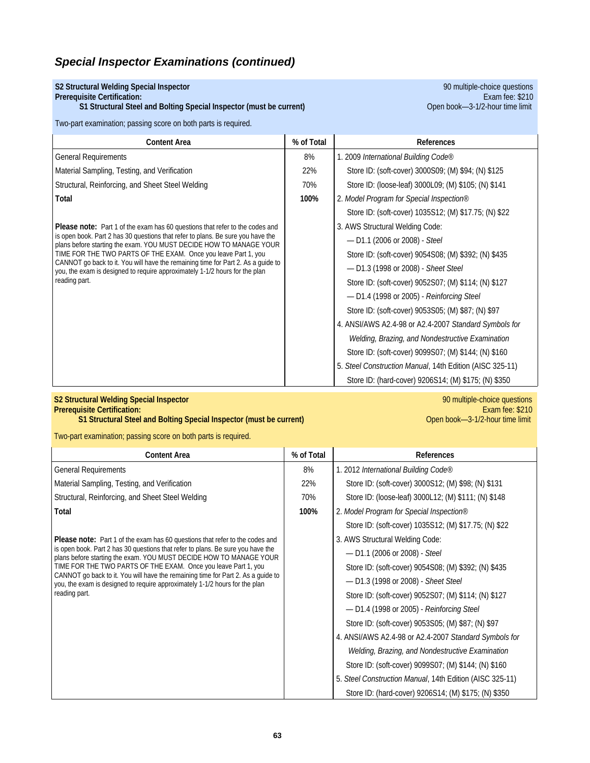### **S2 Structural Welding Special Inspector** 90 multiple-choice questions

### **S1 Structural Steel and Bolting Special Inspector (must be current)** Open Dook—3-1/2-hour time limit

Two-part examination; passing score on both parts is required.

**Prerequisite Certification:** Exam fee: \$210

| <b>Content Area</b>                                                                                                                                                                                                                          | % of Total | References                                               |
|----------------------------------------------------------------------------------------------------------------------------------------------------------------------------------------------------------------------------------------------|------------|----------------------------------------------------------|
| <b>General Requirements</b>                                                                                                                                                                                                                  | 8%         | 1. 2009 International Building Code®                     |
| Material Sampling, Testing, and Verification                                                                                                                                                                                                 | 22%        | Store ID: (soft-cover) 3000S09; (M) \$94; (N) \$125      |
| Structural, Reinforcing, and Sheet Steel Welding                                                                                                                                                                                             | 70%        | Store ID: (loose-leaf) 3000L09; (M) \$105; (N) \$141     |
| Total                                                                                                                                                                                                                                        | 100%       | 2. Model Program for Special Inspection®                 |
|                                                                                                                                                                                                                                              |            | Store ID: (soft-cover) 1035S12; (M) \$17.75; (N) \$22    |
| <b>Please note:</b> Part 1 of the exam has 60 questions that refer to the codes and<br>is open book. Part 2 has 30 questions that refer to plans. Be sure you have the<br>plans before starting the exam. YOU MUST DECIDE HOW TO MANAGE YOUR |            | 3. AWS Structural Welding Code:                          |
|                                                                                                                                                                                                                                              |            | $-$ D1.1 (2006 or 2008) - Steel                          |
| TIME FOR THE TWO PARTS OF THE EXAM. Once you leave Part 1, you                                                                                                                                                                               |            | Store ID: (soft-cover) 9054S08; (M) \$392; (N) \$435     |
| CANNOT go back to it. You will have the remaining time for Part 2. As a quide to<br>you, the exam is designed to require approximately 1-1/2 hours for the plan                                                                              |            | - D1.3 (1998 or 2008) - Sheet Steel                      |
| reading part.                                                                                                                                                                                                                                |            | Store ID: (soft-cover) 9052S07; (M) \$114; (N) \$127     |
|                                                                                                                                                                                                                                              |            | - D1.4 (1998 or 2005) - Reinforcing Steel                |
|                                                                                                                                                                                                                                              |            | Store ID: (soft-cover) 9053S05; (M) \$87; (N) \$97       |
|                                                                                                                                                                                                                                              |            | 4. ANSI/AWS A2.4-98 or A2.4-2007 Standard Symbols for    |
|                                                                                                                                                                                                                                              |            | Welding, Brazing, and Nondestructive Examination         |
|                                                                                                                                                                                                                                              |            | Store ID: (soft-cover) 9099S07; (M) \$144; (N) \$160     |
|                                                                                                                                                                                                                                              |            | 5. Steel Construction Manual, 14th Edition (AISC 325-11) |
|                                                                                                                                                                                                                                              |            | Store ID: (hard-cover) 9206S14; (M) \$175; (N) \$350     |

## **S2 Structural Welding Special Inspector** 90 multiple-choice questions

**S1 Structural Steel and Bolting Special Inspector (must be current)** 

**Prerequisite Certification:** Exam fee: \$210

Two-part examination; passing score on both parts is required.

| <b>Content Area</b>                                                                                                                                                                                                                                                                                                                                                                                         | % of Total | References                                               |
|-------------------------------------------------------------------------------------------------------------------------------------------------------------------------------------------------------------------------------------------------------------------------------------------------------------------------------------------------------------------------------------------------------------|------------|----------------------------------------------------------|
| <b>General Requirements</b>                                                                                                                                                                                                                                                                                                                                                                                 | 8%         | 1. 2012 International Building Code®                     |
| Material Sampling, Testing, and Verification                                                                                                                                                                                                                                                                                                                                                                | 22%        | Store ID: (soft-cover) 3000S12; (M) \$98; (N) \$131      |
| Structural, Reinforcing, and Sheet Steel Welding                                                                                                                                                                                                                                                                                                                                                            | 70%        | Store ID: (loose-leaf) 3000L12; (M) \$111; (N) \$148     |
| Total                                                                                                                                                                                                                                                                                                                                                                                                       | 100%       | 2. Model Program for Special Inspection®                 |
|                                                                                                                                                                                                                                                                                                                                                                                                             |            | Store ID: (soft-cover) 1035S12; (M) \$17.75; (N) \$22    |
| <b>Please note:</b> Part 1 of the exam has 60 questions that refer to the codes and                                                                                                                                                                                                                                                                                                                         |            | 3. AWS Structural Welding Code:                          |
| is open book. Part 2 has 30 questions that refer to plans. Be sure you have the<br>plans before starting the exam. YOU MUST DECIDE HOW TO MANAGE YOUR<br>TIME FOR THE TWO PARTS OF THE EXAM. Once you leave Part 1, you<br>CANNOT go back to it. You will have the remaining time for Part 2. As a guide to<br>you, the exam is designed to require approximately 1-1/2 hours for the plan<br>reading part. |            | $-$ D1.1 (2006 or 2008) - Steel                          |
|                                                                                                                                                                                                                                                                                                                                                                                                             |            | Store ID: (soft-cover) 9054S08; (M) \$392; (N) \$435     |
|                                                                                                                                                                                                                                                                                                                                                                                                             |            | - D1.3 (1998 or 2008) - Sheet Steel                      |
|                                                                                                                                                                                                                                                                                                                                                                                                             |            | Store ID: (soft-cover) 9052S07; (M) \$114; (N) \$127     |
|                                                                                                                                                                                                                                                                                                                                                                                                             |            | $-$ D1.4 (1998 or 2005) - Reinforcing Steel              |
|                                                                                                                                                                                                                                                                                                                                                                                                             |            | Store ID: (soft-cover) 9053S05; (M) \$87; (N) \$97       |
|                                                                                                                                                                                                                                                                                                                                                                                                             |            | 4. ANSI/AWS A2.4-98 or A2.4-2007 Standard Symbols for    |
|                                                                                                                                                                                                                                                                                                                                                                                                             |            | Welding, Brazing, and Nondestructive Examination         |
|                                                                                                                                                                                                                                                                                                                                                                                                             |            | Store ID: (soft-cover) 9099S07; (M) \$144; (N) \$160     |
|                                                                                                                                                                                                                                                                                                                                                                                                             |            | 5. Steel Construction Manual, 14th Edition (AISC 325-11) |
|                                                                                                                                                                                                                                                                                                                                                                                                             |            | Store ID: (hard-cover) 9206S14; (M) \$175; (N) \$350     |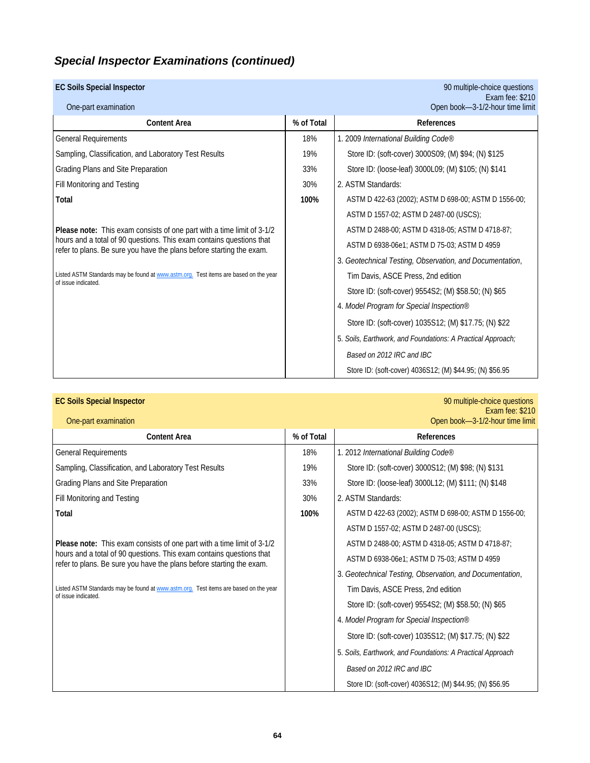## **EC Soils Special Inspector** 90 multiple-choice questions

| One-part examination                                                                                                                         |            | Exam fee: \$210<br>Open book-3-1/2-hour time limit          |
|----------------------------------------------------------------------------------------------------------------------------------------------|------------|-------------------------------------------------------------|
| <b>Content Area</b>                                                                                                                          | % of Total | <b>References</b>                                           |
| <b>General Requirements</b>                                                                                                                  | 18%        | 1. 2009 International Building Code®                        |
| Sampling, Classification, and Laboratory Test Results                                                                                        | 19%        | Store ID: (soft-cover) 3000S09; (M) \$94; (N) \$125         |
| Grading Plans and Site Preparation                                                                                                           | 33%        | Store ID: (loose-leaf) 3000L09; (M) \$105; (N) \$141        |
| Fill Monitoring and Testing                                                                                                                  | 30%        | 2. ASTM Standards:                                          |
| Total                                                                                                                                        | 100%       | ASTM D 422-63 (2002); ASTM D 698-00; ASTM D 1556-00;        |
|                                                                                                                                              |            | ASTM D 1557-02; ASTM D 2487-00 (USCS);                      |
| Please note: This exam consists of one part with a time limit of 3-1/2                                                                       |            | ASTM D 2488-00; ASTM D 4318-05; ASTM D 4718-87;             |
| hours and a total of 90 questions. This exam contains questions that<br>refer to plans. Be sure you have the plans before starting the exam. |            | ASTM D 6938-06e1; ASTM D 75-03; ASTM D 4959                 |
|                                                                                                                                              |            | 3. Geotechnical Testing, Observation, and Documentation,    |
| Listed ASTM Standards may be found at www.astm.org. Test items are based on the year<br>of issue indicated.                                  |            | Tim Davis, ASCE Press, 2nd edition                          |
|                                                                                                                                              |            | Store ID: (soft-cover) 9554S2; (M) \$58.50; (N) \$65        |
|                                                                                                                                              |            | 4. Model Program for Special Inspection®                    |
|                                                                                                                                              |            | Store ID: (soft-cover) 1035S12; (M) \$17.75; (N) \$22       |
|                                                                                                                                              |            | 5. Soils, Earthwork, and Foundations: A Practical Approach; |
|                                                                                                                                              |            | Based on 2012 IRC and IBC                                   |
|                                                                                                                                              |            | Store ID: (soft-cover) 4036S12; (M) \$44.95; (N) \$56.95    |

| One-part examination                                                                                                                         |            | LAGIII IUU. VL IU<br>Open book-3-1/2-hour time limit       |
|----------------------------------------------------------------------------------------------------------------------------------------------|------------|------------------------------------------------------------|
| <b>Content Area</b>                                                                                                                          | % of Total | References                                                 |
| <b>General Requirements</b>                                                                                                                  | 18%        | 1. 2012 International Building Code®                       |
| Sampling, Classification, and Laboratory Test Results                                                                                        | 19%        | Store ID: (soft-cover) 3000S12; (M) \$98; (N) \$131        |
| Grading Plans and Site Preparation                                                                                                           | 33%        | Store ID: (loose-leaf) 3000L12; (M) \$111; (N) \$148       |
| Fill Monitoring and Testing                                                                                                                  | 30%        | 2. ASTM Standards:                                         |
| Total                                                                                                                                        | 100%       | ASTM D 422-63 (2002); ASTM D 698-00; ASTM D 1556-00;       |
|                                                                                                                                              |            | ASTM D 1557-02; ASTM D 2487-00 (USCS);                     |
| Please note: This exam consists of one part with a time limit of 3-1/2                                                                       |            | ASTM D 2488-00; ASTM D 4318-05; ASTM D 4718-87;            |
| hours and a total of 90 questions. This exam contains questions that<br>refer to plans. Be sure you have the plans before starting the exam. |            | ASTM D 6938-06e1; ASTM D 75-03; ASTM D 4959                |
|                                                                                                                                              |            | 3. Geotechnical Testing, Observation, and Documentation,   |
| Listed ASTM Standards may be found at www.astm.org. Test items are based on the year<br>of issue indicated.                                  |            | Tim Davis, ASCE Press, 2nd edition                         |
|                                                                                                                                              |            | Store ID: (soft-cover) 9554S2; (M) \$58.50; (N) \$65       |
|                                                                                                                                              |            | 4. Model Program for Special Inspection®                   |
|                                                                                                                                              |            | Store ID: (soft-cover) 1035S12; (M) \$17.75; (N) \$22      |
|                                                                                                                                              |            | 5. Soils, Earthwork, and Foundations: A Practical Approach |
|                                                                                                                                              |            | Based on 2012 IRC and IBC                                  |
|                                                                                                                                              |            | Store ID: (soft-cover) 4036S12; (M) \$44.95; (N) \$56.95   |

**EC Soils Special Inspector** 90 multiple-choice questions Exam fee: \$210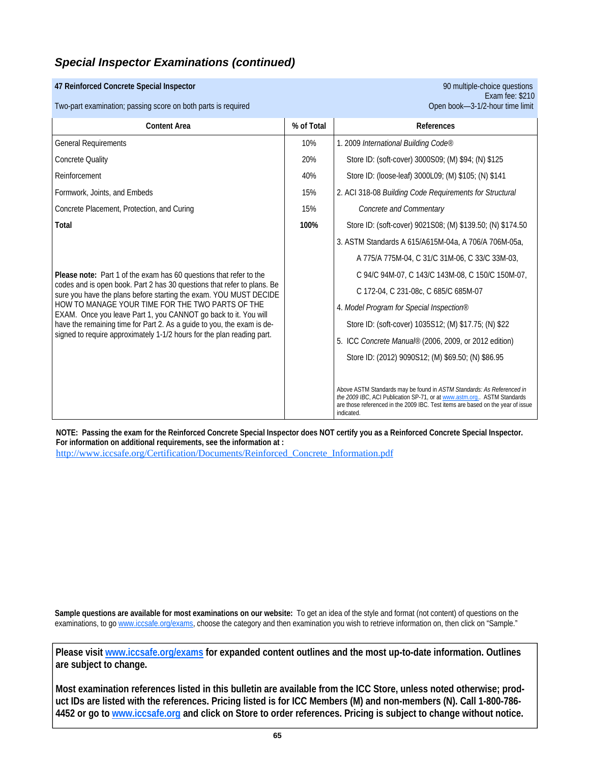### **47 Reinforced Concrete Special Inspector** 90 multiple-choice questions

Two-part examination; passing score on both parts is required

| <b>Content Area</b>                                                                                                                                                                                                                                                                                                                                                                                                     | % of Total | References                                                                                                                                                                                                                                       |
|-------------------------------------------------------------------------------------------------------------------------------------------------------------------------------------------------------------------------------------------------------------------------------------------------------------------------------------------------------------------------------------------------------------------------|------------|--------------------------------------------------------------------------------------------------------------------------------------------------------------------------------------------------------------------------------------------------|
| <b>General Requirements</b>                                                                                                                                                                                                                                                                                                                                                                                             | 10%        | 1. 2009 International Building Code®                                                                                                                                                                                                             |
| <b>Concrete Quality</b>                                                                                                                                                                                                                                                                                                                                                                                                 | 20%        | Store ID: (soft-cover) 3000S09; (M) \$94; (N) \$125                                                                                                                                                                                              |
| Reinforcement                                                                                                                                                                                                                                                                                                                                                                                                           | 40%        | Store ID: (loose-leaf) 3000L09; (M) \$105; (N) \$141                                                                                                                                                                                             |
| Formwork, Joints, and Embeds                                                                                                                                                                                                                                                                                                                                                                                            | 15%        | 2. ACI 318-08 Building Code Requirements for Structural                                                                                                                                                                                          |
| Concrete Placement, Protection, and Curing                                                                                                                                                                                                                                                                                                                                                                              | 15%        | Concrete and Commentary                                                                                                                                                                                                                          |
| Total                                                                                                                                                                                                                                                                                                                                                                                                                   | 100%       | Store ID: (soft-cover) 9021S08; (M) \$139.50; (N) \$174.50                                                                                                                                                                                       |
|                                                                                                                                                                                                                                                                                                                                                                                                                         |            | 3. ASTM Standards A 615/A615M-04a, A 706/A 706M-05a,                                                                                                                                                                                             |
|                                                                                                                                                                                                                                                                                                                                                                                                                         |            | A 775/A 775M-04, C 31/C 31M-06, C 33/C 33M-03,                                                                                                                                                                                                   |
| Please note: Part 1 of the exam has 60 questions that refer to the                                                                                                                                                                                                                                                                                                                                                      |            | C 94/C 94M-07, C 143/C 143M-08, C 150/C 150M-07,                                                                                                                                                                                                 |
| codes and is open book. Part 2 has 30 questions that refer to plans. Be<br>sure you have the plans before starting the exam. YOU MUST DECIDE<br>HOW TO MANAGE YOUR TIME FOR THE TWO PARTS OF THE<br>EXAM. Once you leave Part 1, you CANNOT go back to it. You will<br>have the remaining time for Part 2. As a guide to you, the exam is de-<br>signed to require approximately 1-1/2 hours for the plan reading part. |            | C 172-04, C 231-08c, C 685/C 685M-07                                                                                                                                                                                                             |
|                                                                                                                                                                                                                                                                                                                                                                                                                         |            | 4. Model Program for Special Inspection®                                                                                                                                                                                                         |
|                                                                                                                                                                                                                                                                                                                                                                                                                         |            | Store ID: (soft-cover) 1035S12; (M) \$17.75; (N) \$22                                                                                                                                                                                            |
|                                                                                                                                                                                                                                                                                                                                                                                                                         |            | 5. ICC Concrete Manual® (2006, 2009, or 2012 edition)                                                                                                                                                                                            |
|                                                                                                                                                                                                                                                                                                                                                                                                                         |            | Store ID: (2012) 9090S12; (M) \$69.50; (N) \$86.95                                                                                                                                                                                               |
|                                                                                                                                                                                                                                                                                                                                                                                                                         |            |                                                                                                                                                                                                                                                  |
|                                                                                                                                                                                                                                                                                                                                                                                                                         |            | Above ASTM Standards may be found in ASTM Standards: As Referenced in<br>the 2009 IBC, ACI Publication SP-71, or at www.astm.org ASTM Standards<br>are those referenced in the 2009 IBC. Test items are based on the year of issue<br>indicated. |

**NOTE: Passing the exam for the Reinforced Concrete Special Inspector does NOT certify you as a Reinforced Concrete Special Inspector. For information on additional requirements, see the information at :**

http://www.iccsafe.org/Certification/Documents/Reinforced\_Concrete\_Information.pdf

**Sample questions are available for most examinations on our website:** To get an idea of the style and format (not content) of questions on the examinations, to go www.iccsafe.org/exams, choose the category and then examination you wish to retrieve information on, then click on "Sample."

**Please visit www.iccsafe.org/exams for expanded content outlines and the most up-to-date information. Outlines are subject to change.** 

**Most examination references listed in this bulletin are available from the ICC Store, unless noted otherwise; product IDs are listed with the references. Pricing listed is for ICC Members (M) and non-members (N). Call 1-800-786- 4452 or go to www.iccsafe.org and click on Store to order references. Pricing is subject to change without notice.**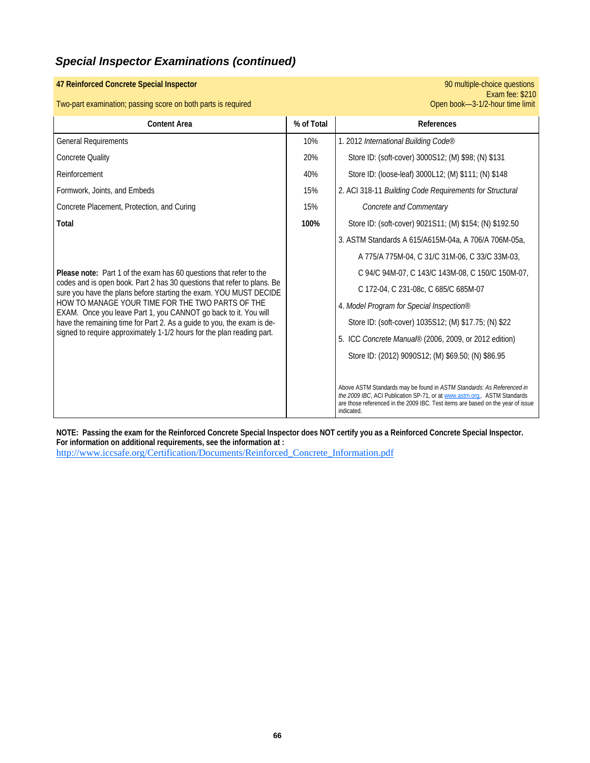### Exam fee: \$210 Two-part examination; passing score on both parts is required Open book—3-1/2-hour time limit **Content Area Content Area 1** % of Total **References** General Requirements 10% 1. 2012 *International Building Code®*  Concrete Quality 20% Store ID: (soft-cover) 3000S12; (M) \$98; (N) \$131 Formwork, Joints, and Embeds 15% Concrete Placement, Protection, and Curing 15% *Concrete and Commentary* **Total 100% | 100% | Store ID: (soft-cover) 9021S11; (M) \$154; (N) \$192.50** 3. ASTM Standards A 615/A615M-04a, A 706/A 706M-05a, A 775/A 775M-04, C 31/C 31M-06, C 33/C 33M-03, **Please note:** Part 1 of the exam has 60 questions that refer to the codes and is open book. Part 2 has 30 questions that refer to plans. Be sure you have the plans before starting the exam. YOU MUST DECIDE HOW TO MANAGE YOUR TIME FOR THE TWO PARTS OF THE EXAM. Once you leave Part 1, you CANNOT go back to it. You will have the remaining time for Part 2. As a guide to you, the exam is designed to require approximately 1-1/2 hours for the plan reading part. C 94/C 94M-07, C 143/C 143M-08, C 150/C 150M-07, C 172-04, C 231-08c, C 685/C 685M-07 4. *Model Program for Special Inspection®* Store ID: (soft-cover) 1035S12; (M) \$17.75; (N) \$22 5. ICC *Concrete Manual®* (2006, 2009, or 2012 edition) Store ID: (2012) 9090S12; (M) \$69.50; (N) \$86.95 Above ASTM Standards may be found in *ASTM Standards: As Referenced in the 2009 IBC*, ACI Publication SP-71, or at www.astm.org.. ASTM Standards are those referenced in the 2009 IBC. Test items are based on the year of issue indicated. 2. ACI 318-11 *Building Code Requirements for Structural*  Reinforcement 40% Store ID: (loose-leaf) 3000L12; (M) \$111; (N) \$148

**47 Reinforced Concrete Special Inspector** 90 multiple-choice questions

**NOTE: Passing the exam for the Reinforced Concrete Special Inspector does NOT certify you as a Reinforced Concrete Special Inspector. For information on additional requirements, see the information at :** http://www.iccsafe.org/Certification/Documents/Reinforced\_Concrete\_Information.pdf

**66**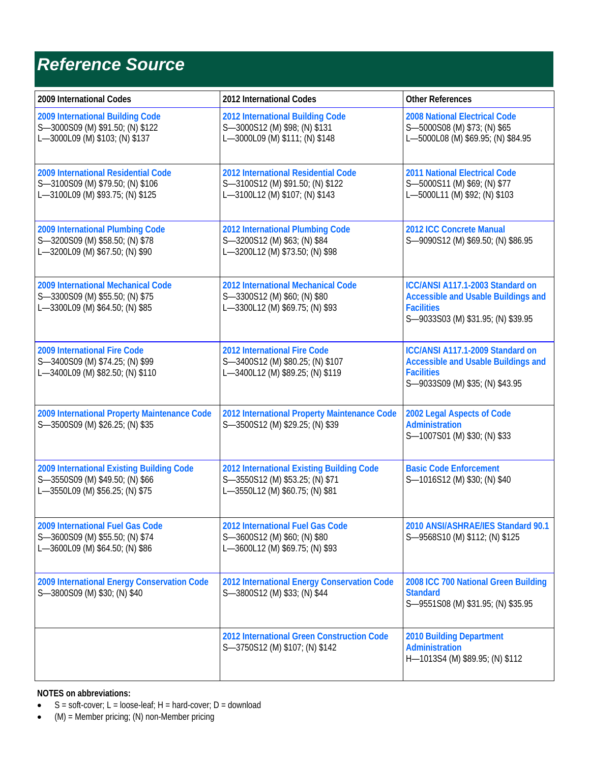## *Reference Source*

| 2009 International Codes                                                                                        | 2012 International Codes                                                                                        | <b>Other References</b>                                                                                                                   |
|-----------------------------------------------------------------------------------------------------------------|-----------------------------------------------------------------------------------------------------------------|-------------------------------------------------------------------------------------------------------------------------------------------|
| 2009 International Building Code<br>S-3000S09 (M) \$91.50; (N) \$122<br>L-3000L09 (M) \$103; (N) \$137          | 2012 International Building Code<br>S-3000S12 (M) \$98; (N) \$131<br>L-3000L09 (M) \$111; (N) \$148             | <b>2008 National Electrical Code</b><br>S-5000S08 (M) \$73; (N) \$65<br>L-5000L08 (M) \$69.95; (N) \$84.95                                |
| 2009 International Residential Code<br>S-3100S09 (M) \$79.50; (N) \$106<br>L-3100L09 (M) \$93.75; (N) \$125     | 2012 International Residential Code<br>S-3100S12 (M) \$91.50; (N) \$122<br>L-3100L12 (M) \$107; (N) \$143       | <b>2011 National Electrical Code</b><br>S-5000S11 (M) \$69; (N) \$77<br>L-5000L11 (M) \$92; (N) \$103                                     |
| 2009 International Plumbing Code<br>S-3200S09 (M) \$58.50; (N) \$78<br>L-3200L09 (M) \$67.50; (N) \$90          | 2012 International Plumbing Code<br>S-3200S12 (M) \$63; (N) \$84<br>L-3200L12 (M) \$73.50; (N) \$98             | 2012 ICC Concrete Manual<br>S-9090S12 (M) \$69.50; (N) \$86.95                                                                            |
| 2009 International Mechanical Code<br>S-3300S09 (M) \$55.50; (N) \$75<br>L-3300L09 (M) \$64.50; (N) \$85        | 2012 International Mechanical Code<br>S-3300S12 (M) \$60; (N) \$80<br>L-3300L12 (M) \$69.75; (N) \$93           | ICC/ANSI A117.1-2003 Standard on<br><b>Accessible and Usable Buildings and</b><br><b>Facilities</b><br>S-9033S03 (M) \$31.95; (N) \$39.95 |
| 2009 International Fire Code<br>S-3400S09 (M) \$74.25; (N) \$99<br>L-3400L09 (M) \$82.50; (N) \$110             | 2012 International Fire Code<br>S-3400S12 (M) \$80.25; (N) \$107<br>L-3400L12 (M) \$89.25; (N) \$119            | ICC/ANSI A117.1-2009 Standard on<br><b>Accessible and Usable Buildings and</b><br><b>Facilities</b><br>S-9033S09 (M) \$35; (N) \$43.95    |
| 2009 International Property Maintenance Code<br>S-3500S09 (M) \$26.25; (N) \$35                                 | 2012 International Property Maintenance Code<br>S-3500S12 (M) \$29.25; (N) \$39                                 | 2002 Legal Aspects of Code<br><b>Administration</b><br>S-1007S01 (M) \$30; (N) \$33                                                       |
| 2009 International Existing Building Code<br>S-3550S09 (M) \$49.50; (N) \$66<br>L-3550L09 (M) \$56.25; (N) \$75 | 2012 International Existing Building Code<br>S-3550S12 (M) \$53.25; (N) \$71<br>L-3550L12 (M) \$60.75; (N) \$81 | <b>Basic Code Enforcement</b><br>S-1016S12 (M) \$30; (N) \$40                                                                             |
| 2009 International Fuel Gas Code<br>S-3600S09 (M) \$55.50; (N) \$74<br>L-3600L09 (M) \$64.50; (N) \$86          | 2012 International Fuel Gas Code<br>S-3600S12 (M) \$60; (N) \$80<br>L-3600L12 (M) \$69.75; (N) \$93             | 2010 ANSI/ASHRAE/IES Standard 90.1<br>S-9568S10 (M) \$112; (N) \$125                                                                      |
| 2009 International Energy Conservation Code<br>S-3800S09 (M) \$30; (N) \$40                                     | 2012 International Energy Conservation Code<br>S-3800S12 (M) \$33; (N) \$44                                     | 2008 ICC 700 National Green Building<br><b>Standard</b><br>S-9551S08 (M) \$31.95; (N) \$35.95                                             |
|                                                                                                                 | 2012 International Green Construction Code<br>S-3750S12 (M) \$107; (N) \$142                                    | <b>2010 Building Department</b><br>Administration<br>H-1013S4 (M) \$89.95; (N) \$112                                                      |

### **NOTES on abbreviations:**

- $S = soft-cover; L = loose-leaf; H = hard-cover; D = download$
- $(M) =$  Member pricing; (N) non-Member pricing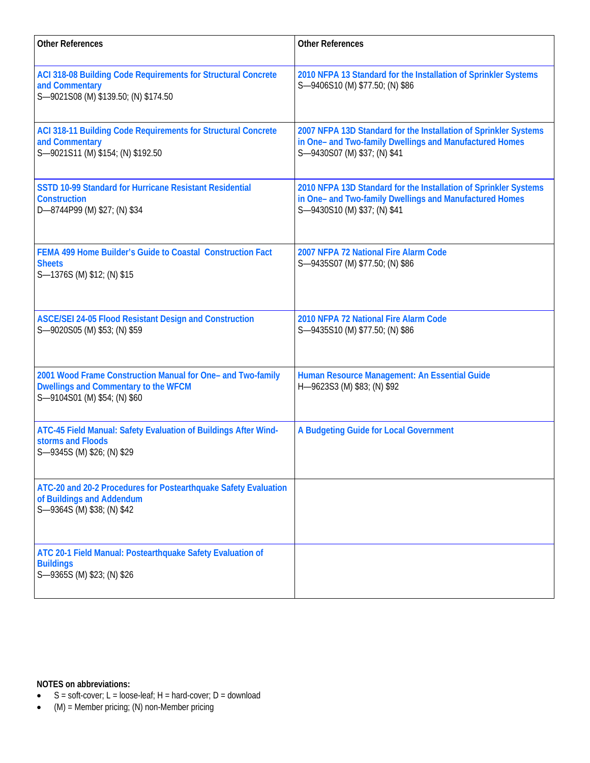| <b>Other References</b>                                                                                                             | <b>Other References</b>                                                                                                                                     |
|-------------------------------------------------------------------------------------------------------------------------------------|-------------------------------------------------------------------------------------------------------------------------------------------------------------|
| ACI 318-08 Building Code Requirements for Structural Concrete<br>and Commentary<br>S-9021S08 (M) \$139.50; (N) \$174.50             | 2010 NFPA 13 Standard for the Installation of Sprinkler Systems<br>S-9406S10 (M) \$77.50; (N) \$86                                                          |
| ACI 318-11 Building Code Requirements for Structural Concrete<br>and Commentary<br>S-9021S11 (M) \$154; (N) \$192.50                | 2007 NFPA 13D Standard for the Installation of Sprinkler Systems<br>in One- and Two-family Dwellings and Manufactured Homes<br>S-9430S07 (M) \$37; (N) \$41 |
| <b>SSTD 10-99 Standard for Hurricane Resistant Residential</b><br><b>Construction</b><br>D-8744P99 (M) \$27; (N) \$34               | 2010 NFPA 13D Standard for the Installation of Sprinkler Systems<br>in One- and Two-family Dwellings and Manufactured Homes<br>S-9430S10 (M) \$37; (N) \$41 |
| FEMA 499 Home Builder's Guide to Coastal Construction Fact<br><b>Sheets</b><br>S-1376S (M) \$12; (N) \$15                           | 2007 NFPA 72 National Fire Alarm Code<br>S-9435S07 (M) \$77.50; (N) \$86                                                                                    |
| <b>ASCE/SEI 24-05 Flood Resistant Design and Construction</b><br>S-9020S05 (M) \$53; (N) \$59                                       | 2010 NFPA 72 National Fire Alarm Code<br>S-9435S10 (M) \$77.50; (N) \$86                                                                                    |
| 2001 Wood Frame Construction Manual for One- and Two-family<br>Dwellings and Commentary to the WFCM<br>S-9104S01 (M) \$54; (N) \$60 | Human Resource Management: An Essential Guide<br>H-9623S3 (M) \$83; (N) \$92                                                                                |
| ATC-45 Field Manual: Safety Evaluation of Buildings After Wind-<br>storms and Floods<br>S-9345S (M) \$26; (N) \$29                  | A Budgeting Guide for Local Government                                                                                                                      |
| ATC-20 and 20-2 Procedures for Postearthquake Safety Evaluation<br>of Buildings and Addendum<br>S-9364S (M) \$38; (N) \$42          |                                                                                                                                                             |
| ATC 20-1 Field Manual: Postearthquake Safety Evaluation of<br><b>Buildings</b><br>S-9365S (M) \$23; (N) \$26                        |                                                                                                                                                             |

**NOTES on abbreviations:** 

- $S = soft-cover; L = loose-leaf; H = hard-cover; D = download$
- (M) = Member pricing; (N) non-Member pricing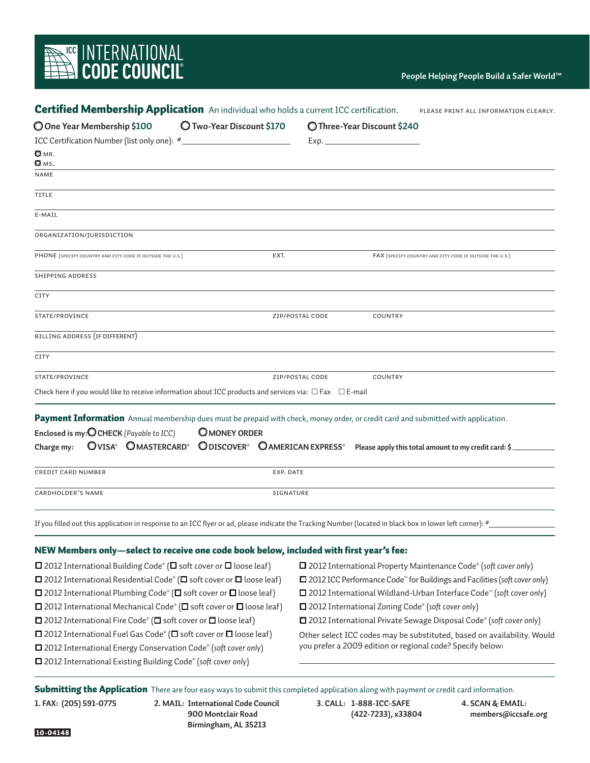# **REAL EXECUTER COUNCIL**<br>THE CODE COUNCIL

| O Two-Year Discount \$170<br>O One Year Membership \$100<br>ICC Certification Number (list only one): #<br><u> 1989 - Johann Barn, mars ann an t-Aontaithe ann an t-Aontaithe ann an t-Aontaithe ann an t-Aontaithe ann an t-</u><br>$\blacksquare$ MR.<br><b>Q</b> мs.<br>NAME<br>TITLE<br>E-MAIL<br>ORGANIZATION/JURISDICTION<br>PHONE (SPECIFY COUNTRY AND CITY CODE IF OUTSIDE THE U.S.)<br><b>SHIPPING ADDRESS</b><br>CITY<br>STATE/PROVINCE<br>BILLING ADDRESS (IF DIFFERENT)<br>CITY<br>STATE/PROVINCE<br>Check here if you would like to receive information about ICC products and services via: $\Box$ Fax $\Box$ E-mail | O Three-Year Discount \$240<br>EXT.<br>FAX (SPECIFY COUNTRY AND CITY CODE IF OUTSIDE THE U.S.)                                                            |
|------------------------------------------------------------------------------------------------------------------------------------------------------------------------------------------------------------------------------------------------------------------------------------------------------------------------------------------------------------------------------------------------------------------------------------------------------------------------------------------------------------------------------------------------------------------------------------------------------------------------------------|-----------------------------------------------------------------------------------------------------------------------------------------------------------|
|                                                                                                                                                                                                                                                                                                                                                                                                                                                                                                                                                                                                                                    |                                                                                                                                                           |
|                                                                                                                                                                                                                                                                                                                                                                                                                                                                                                                                                                                                                                    |                                                                                                                                                           |
|                                                                                                                                                                                                                                                                                                                                                                                                                                                                                                                                                                                                                                    |                                                                                                                                                           |
|                                                                                                                                                                                                                                                                                                                                                                                                                                                                                                                                                                                                                                    |                                                                                                                                                           |
|                                                                                                                                                                                                                                                                                                                                                                                                                                                                                                                                                                                                                                    |                                                                                                                                                           |
|                                                                                                                                                                                                                                                                                                                                                                                                                                                                                                                                                                                                                                    |                                                                                                                                                           |
|                                                                                                                                                                                                                                                                                                                                                                                                                                                                                                                                                                                                                                    |                                                                                                                                                           |
|                                                                                                                                                                                                                                                                                                                                                                                                                                                                                                                                                                                                                                    |                                                                                                                                                           |
|                                                                                                                                                                                                                                                                                                                                                                                                                                                                                                                                                                                                                                    |                                                                                                                                                           |
|                                                                                                                                                                                                                                                                                                                                                                                                                                                                                                                                                                                                                                    |                                                                                                                                                           |
|                                                                                                                                                                                                                                                                                                                                                                                                                                                                                                                                                                                                                                    | ZIP/POSTAL CODE<br><b>COUNTRY</b>                                                                                                                         |
|                                                                                                                                                                                                                                                                                                                                                                                                                                                                                                                                                                                                                                    |                                                                                                                                                           |
|                                                                                                                                                                                                                                                                                                                                                                                                                                                                                                                                                                                                                                    |                                                                                                                                                           |
|                                                                                                                                                                                                                                                                                                                                                                                                                                                                                                                                                                                                                                    | ZIP/POSTAL CODE<br>COUNTRY                                                                                                                                |
|                                                                                                                                                                                                                                                                                                                                                                                                                                                                                                                                                                                                                                    |                                                                                                                                                           |
|                                                                                                                                                                                                                                                                                                                                                                                                                                                                                                                                                                                                                                    | Payment Information Annual membership dues must be prepaid with check, money order, or credit card and submitted with application.                        |
| Enclosed is my: O CHECK (Payable to ICC)<br><b>OMONEY ORDER</b>                                                                                                                                                                                                                                                                                                                                                                                                                                                                                                                                                                    |                                                                                                                                                           |
| OVISA® OMASTERCARD® ODISCOVER® OAMERICAN EXPRESS®<br>Charge my:                                                                                                                                                                                                                                                                                                                                                                                                                                                                                                                                                                    | Please apply this total amount to my credit card: \$                                                                                                      |
| <b>CREDIT CARD NUMBER</b>                                                                                                                                                                                                                                                                                                                                                                                                                                                                                                                                                                                                          | EXP. DATE                                                                                                                                                 |
| CARDHOLDER'S NAME                                                                                                                                                                                                                                                                                                                                                                                                                                                                                                                                                                                                                  | SIGNATURE                                                                                                                                                 |
|                                                                                                                                                                                                                                                                                                                                                                                                                                                                                                                                                                                                                                    | If you filled out this application in response to an ICC flyer or ad, please indicate the Tracking Number (located in black box in lower left corner): #_ |
| NEW Members only-select to receive one code book below, included with first year's fee:                                                                                                                                                                                                                                                                                                                                                                                                                                                                                                                                            |                                                                                                                                                           |

 $\Box$  2012 International Building Code® ( $\Box$  soft cover or  $\Box$  loose leaf)  $\Box$  2012 International Residential Code® ( $\Box$  soft cover or  $\Box$  loose leaf)  $\square$  2012 International Plumbing Code® ( $\square$  soft cover or  $\square$  loose leaf)  $\square$  2012 International Mechanical Code® ( $\square$  soft cover or  $\square$  loose leaf)  $\square$  2012 International Fire Code® ( $\square$  soft cover or  $\square$  loose leaf)  $\square$  2012 International Fuel Gas Code® ( $\square$  soft cover or  $\square$  loose leaf) 2012 International Energy Conservation Code® (*soft cover only*) 2012 International Existing Building Code® (*soft cover only*)

 2012 International Property Maintenance Code® (*soft cover only*) 2012 ICC Performance Code™ for Buildings and Facilities (*soft cover only*) 2012 International Wildland-Urban Interface Code™ (*soft cover only*) 2012 International Zoning Code® (*soft cover only*) 2012 International Private Sewage Disposal Code® (*soft cover only*) Other select ICC codes may be substituted, based on availability. Would you prefer a 2009 edition or regional code? Specify below:

Submitting the ApplicationThere are four easy ways to submit this completed application along with payment or credit card information. **1. FAX: (205) 591-0775 2. MAIL: International Code Council 900 Montclair Road Birmingham, AL 35213 3. CALL: 1-888-ICC-SAFE (422-7233), x33804 4. SCAN & EMAIL: members@iccsafe.org**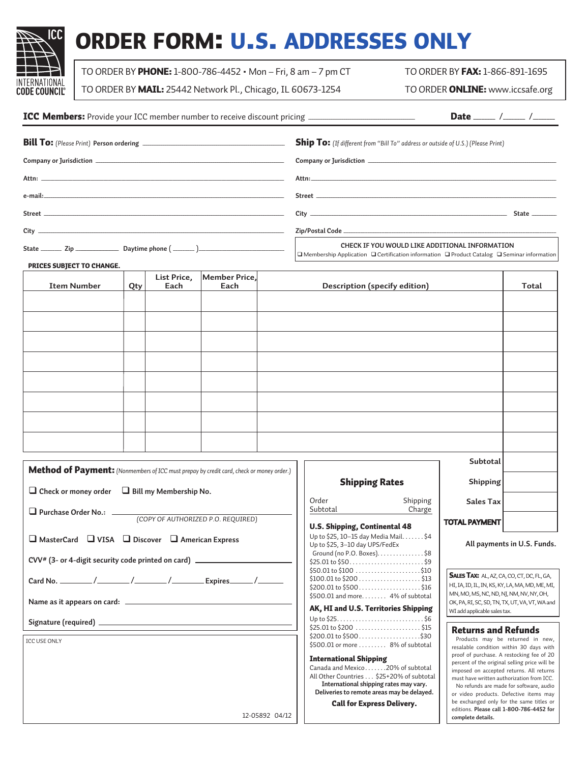

# order form: u.s. addresses only

TO ORDER BY PHONE: 1-800-786-4452 • Mon – Fri, 8 am – 7 pm CT TO ORDER BY FAX: 1-866-891-1695

TO ORDER BY MAIL: 25442 Network Pl., Chicago, IL 60673-1254 TO ORDER ONLINE: www.iccsafe.org

|  | Date _____ /_____ /_____                                                                                                                                           |  |  |  |
|--|--------------------------------------------------------------------------------------------------------------------------------------------------------------------|--|--|--|
|  | <b>Ship To:</b> (If different from "Bill To" address or outside of U.S.) (Please Print)                                                                            |  |  |  |
|  |                                                                                                                                                                    |  |  |  |
|  |                                                                                                                                                                    |  |  |  |
|  |                                                                                                                                                                    |  |  |  |
|  | State _________                                                                                                                                                    |  |  |  |
|  |                                                                                                                                                                    |  |  |  |
|  | CHECK IF YOU WOULD LIKE ADDITIONAL INFORMATION<br>$\Box$ Membership Application $\Box$ Certification information $\Box$ Product Catalog $\Box$ Seminar information |  |  |  |

### prices SUBJECT TO CHANGE.

| <b>Item Number</b> | Qty | List Price,<br>Each | Member Price,<br>Each | <b>Description (specify edition)</b> | Total |
|--------------------|-----|---------------------|-----------------------|--------------------------------------|-------|
|                    |     |                     |                       |                                      |       |
|                    |     |                     |                       |                                      |       |
|                    |     |                     |                       |                                      |       |
|                    |     |                     |                       |                                      |       |
|                    |     |                     |                       |                                      |       |
|                    |     |                     |                       |                                      |       |
|                    |     |                     |                       |                                      |       |
|                    |     |                     |                       |                                      |       |

ח ר

| Method of Payment: (Nonmembers of ICC must prepay by credit card, check or money order.)   |
|--------------------------------------------------------------------------------------------|
| $\Box$ Check or money order $\Box$ Bill my Membership No.                                  |
| □ Purchase Order No.: (COPY OF AUTHORIZED P.O. REQUIRED)                                   |
| $\Box$ MasterCard $\Box$ VISA $\Box$ Discover $\Box$ American Express                      |
| CVV <sup>#</sup> (3- or 4-digit security code printed on card) ___________________________ |
|                                                                                            |
|                                                                                            |
|                                                                                            |
| <b>ICC USE ONLY</b>                                                                        |
|                                                                                            |
|                                                                                            |
|                                                                                            |
| 12-05892 04/12                                                                             |
|                                                                                            |

| <b>Shipping Rates</b>                                                                                                                                                                                                               | Shipping           |                                                                                                                                                                                           |  |
|-------------------------------------------------------------------------------------------------------------------------------------------------------------------------------------------------------------------------------------|--------------------|-------------------------------------------------------------------------------------------------------------------------------------------------------------------------------------------|--|
| Order<br>Subtotal                                                                                                                                                                                                                   | Shipping<br>Charge | <b>Sales Tax</b>                                                                                                                                                                          |  |
| <b>U.S. Shipping, Continental 48</b><br>Up to \$25, 10–15 day Media Mail. \$4<br>Up to \$25, 3-10 day UPS/FedEx<br>Ground (no P.O. Boxes). $\dots \dots \dots \dots$ \$8<br>$$25.01$ to $$50$ \$9<br>$$50.01$ to $$100$ \$10        |                    | <b>TOTAL PAYMENT</b><br>All paymer                                                                                                                                                        |  |
| $$200.01$ to $$500$ \$16<br>$$500.01$ and more 4% of subtotal<br>AK, HI and U.S. Territories Shipping                                                                                                                               |                    | <b>SALES TAX: AL, AZ, C</b><br>HI, IA, ID, IL, IN, KS, K<br>MN, MO, MS, NC, ND,<br>OK, PA, RI, SC, SD, TN,<br>WI add applicable sales                                                     |  |
| $$25.01$ to $$200$ \$15<br>$$200.01$ to $$500$ \$30<br>\$500.01 or more 8% of subtotal                                                                                                                                              |                    | Returns and<br>Products may be<br>resalable condition                                                                                                                                     |  |
| International Shipping<br>Canada and Mexico20% of subtotal<br>All Other Countries \$25+20% of subtotal<br>International shipping rates may vary.<br>Deliveries to remote areas may be delayed.<br><b>Call for Express Delivery.</b> |                    | proof of purchase. A<br>percent of the origin<br>imposed on accepte<br>must have written at<br>No refunds are ma<br>or video products.<br>be exchanged only<br>editions. Please call<br>. |  |

**All payments in U.S. Funds.**

**Subtotal**

SALES TAX: AL, AZ, CA, CO, CT, DC, FL, GA, HI, IA, ID, IL, IN, KS, KY, LA, MA, MD, ME, MI, MN, MO, MS, NC, ND, NJ, NM, NV, NY, OH, OK, PA, RI, SC, SD, TN, TX, UT, VA, VT, WA and WI add applicable sales tax.

### Returns and Refunds

Products may be returned in new, resalable condition within 30 days with proof of purchase. A restocking fee of 20 percent of the original selling price will be imposed on accepted returns. All returns must have written authorization from ICC. No refunds are made for software, audio or video products. Defective items may be exchanged only for the same titles or editions. **Please call 1-800-786-4452 for complete details.**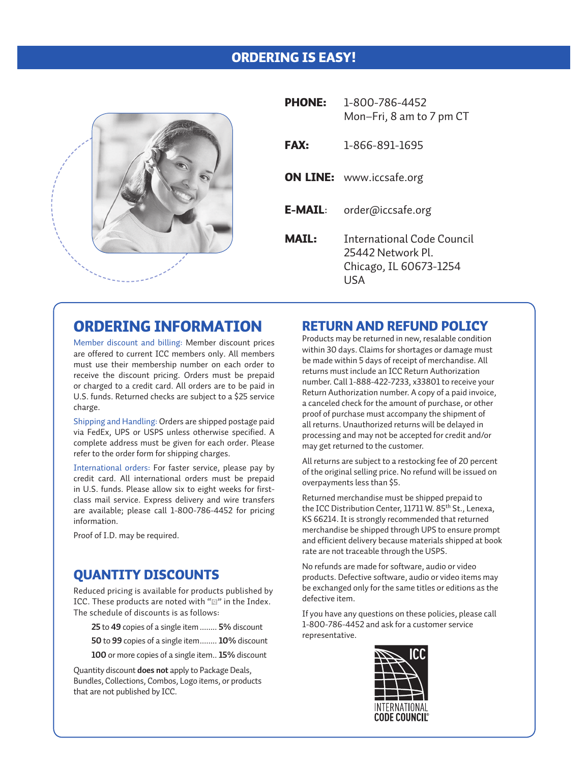### Ordering Is Easy!



| <b>PHONE:</b>  | 1-800-786-4452<br>Mon-Fri, 8 am to 7 pm CT                                               |
|----------------|------------------------------------------------------------------------------------------|
| <b>FAX:</b>    | 1-866-891-1695                                                                           |
|                | <b>ON LINE:</b> www.iccsafe.org                                                          |
| <b>E-MAIL:</b> | order@iccsafe.org                                                                        |
| MATI :         | <b>International Code Council</b><br>25442 Network PL<br>Chicago, IL 60673-1254<br>I ISA |

## Ordering Information

Member discount and billing: Member discount prices are offered to current ICC members only. All members must use their membership number on each order to receive the discount pricing. Orders must be prepaid or charged to a credit card. All orders are to be paid in U.S. funds. Returned checks are subject to a \$25 service charge.

Shipping and Handling: Orders are shipped postage paid via FedEx, UPS or USPS unless otherwise specified. A complete address must be given for each order. Please refer to the order form for shipping charges.

International orders: For faster service, please pay by credit card. All international orders must be prepaid in U.S. funds. Please allow six to eight weeks for firstclass mail service. Express delivery and wire transfers are available; please call 1-800-786-4452 for pricing information.

Proof of I.D. may be required.

## Quantity Discounts

Reduced pricing is available for products published by ICC. These products are noted with " $\mathbb{Z}^n$  in the Index. The schedule of discounts is as follows:

**25** to **49** copies of a single item......... **5%** discount

**50** to **99** copies of a single item......... **10%** discount

**100** or more copies of a single item... **15%** discount

Quantity discount **does not** apply to Package Deals, Bundles, Collections, Combos, Logo items, or products that are not published by ICC.

### Return and Refund Policy

Products may be returned in new, resalable condition within 30 days. Claims for shortages or damage must be made within 5 days of receipt of merchandise. All returns must include an ICC Return Authorization number. Call 1-888-422-7233, x33801 to receive your Return Authorization number. A copy of a paid invoice, a canceled check for the amount of purchase, or other proof of purchase must accompany the shipment of all returns. Unauthorized returns will be delayed in processing and may not be accepted for credit and/or may get returned to the customer.

All returns are subject to a restocking fee of 20 percent of the original selling price. No refund will be issued on overpayments less than \$5.

Returned merchandise must be shipped prepaid to the ICC Distribution Center, 11711 W. 85<sup>th</sup> St., Lenexa, KS 66214. It is strongly recommended that returned merchandise be shipped through UPS to ensure prompt and efficient delivery because materials shipped at book rate are not traceable through the USPS.

No refunds are made for software, audio or video products. Defective software, audio or video items may be exchanged only for the same titles or editions as the defective item.

If you have any questions on these policies, please call 1-800-786-4452 and ask for a customer service representative.

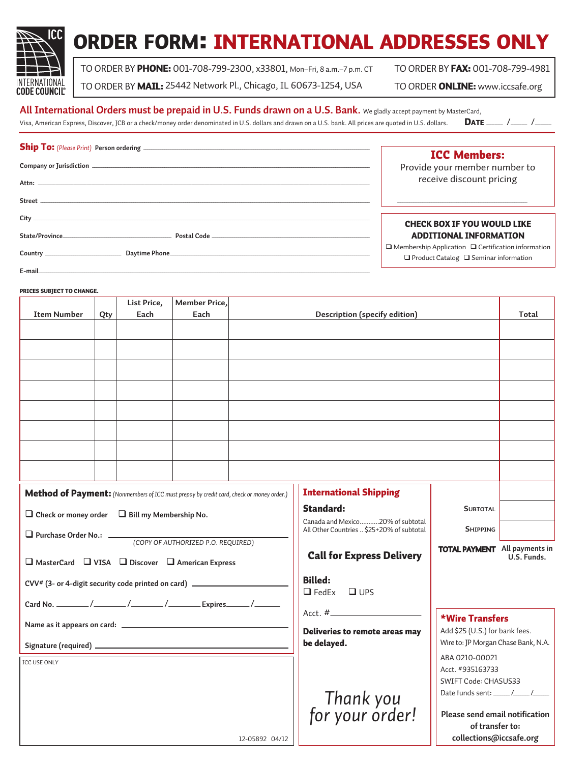

# order form: international addresses only

 $\Gamma$ 

TO ORDER BY PHONE: 001-708-799-2300, x33801, Mon-Fri, 8 a.m. - 7 p.m. CT TO ORDER BY FAX: 001-708-799-4981

TO ORDER BY MAIL: 25442 Network Pl., Chicago, IL 60673-1254, USA TO ORDER ONLINE: www.iccsafe.org

### **All International Orders must be prepaid in U.S. Funds drawn on a U.S. Bank.** We gladly accept payment by MasterCard,

Visa, American Express, Discover, JCB or a check/money order denominated in U.S. dollars and drawn on a U.S. bank. All prices are quoted in U.S. dollars. **DATE** \_\_\_\_\_ /\_\_\_\_\_ /\_\_\_\_\_\_ /\_\_\_\_\_\_\_

### **Ship To:** (Please Print) Person ordering \_

| <b>ICC Members:</b>                                                                                                 |
|---------------------------------------------------------------------------------------------------------------------|
| Provide your member number to                                                                                       |
| receive discount pricing                                                                                            |
|                                                                                                                     |
| <b>CHECK BOX IF YOU WOULD LIKE</b>                                                                                  |
| <b>ADDITIONAL INFORMATION</b>                                                                                       |
| $\Box$ Membership Application $\Box$ Certification information<br>$\Box$ Product Catalog $\Box$ Seminar information |
|                                                                                                                     |

### prices SUBJECT TO CHANGE.

|                                                                                            |     | List Price,                               | <b>Member Price,</b>             |                                      |                                |                                                   |  |
|--------------------------------------------------------------------------------------------|-----|-------------------------------------------|----------------------------------|--------------------------------------|--------------------------------|---------------------------------------------------|--|
| <b>Item Number</b>                                                                         | Qty | Each                                      | Each                             |                                      | Description (specify edition)  |                                                   |  |
|                                                                                            |     |                                           |                                  |                                      |                                |                                                   |  |
|                                                                                            |     |                                           |                                  |                                      |                                |                                                   |  |
|                                                                                            |     |                                           |                                  |                                      |                                |                                                   |  |
|                                                                                            |     |                                           |                                  |                                      |                                |                                                   |  |
|                                                                                            |     |                                           |                                  |                                      |                                |                                                   |  |
|                                                                                            |     |                                           |                                  |                                      |                                |                                                   |  |
|                                                                                            |     |                                           |                                  |                                      |                                |                                                   |  |
|                                                                                            |     |                                           |                                  |                                      |                                |                                                   |  |
|                                                                                            |     |                                           |                                  |                                      |                                |                                                   |  |
|                                                                                            |     |                                           |                                  |                                      |                                |                                                   |  |
|                                                                                            |     |                                           |                                  |                                      |                                |                                                   |  |
|                                                                                            |     |                                           |                                  |                                      |                                |                                                   |  |
|                                                                                            |     |                                           |                                  |                                      |                                |                                                   |  |
| Method of Payment: (Nonmembers of ICC must prepay by credit card, check or money order.)   |     |                                           |                                  |                                      | <b>International Shipping</b>  |                                                   |  |
|                                                                                            |     |                                           | <b>Standard:</b>                 | <b>SUBTOTAL</b>                      |                                |                                                   |  |
| $\Box$ Check or money order $\Box$ Bill my Membership No.                                  |     |                                           | Canada and Mexico20% of subtotal |                                      |                                |                                                   |  |
|                                                                                            |     | All Other Countries  \$25+20% of subtotal | <b>SHIPPING</b>                  |                                      |                                |                                                   |  |
| Purchase Order No.: (COPY OF AUTHORIZED P.O. REQUIRED)                                     |     |                                           |                                  | <b>TOTAL PAYMENT</b> All payments in |                                |                                                   |  |
| $\Box$ MasterCard $\Box$ VISA $\Box$ Discover $\Box$ American Express                      |     |                                           | <b>Call for Express Delivery</b> |                                      | U.S. Funds.                    |                                                   |  |
|                                                                                            |     |                                           |                                  |                                      |                                |                                                   |  |
| CVV <sup>#</sup> (3- or 4-digit security code printed on card) ___________________________ |     |                                           | <b>Billed:</b>                   |                                      |                                |                                                   |  |
|                                                                                            |     |                                           | $\Box$ FedEx $\Box$ UPS          |                                      |                                |                                                   |  |
|                                                                                            |     |                                           |                                  |                                      |                                |                                                   |  |
|                                                                                            |     |                                           | *Wire Transfers                  |                                      |                                |                                                   |  |
|                                                                                            |     |                                           |                                  |                                      | Deliveries to remote areas may | Add \$25 (U.S.) for bank fees.                    |  |
|                                                                                            |     |                                           |                                  |                                      | be delayed.                    | Wire to: JP Morgan Chase Bank, N.A.               |  |
| ICC USE ONLY                                                                               |     |                                           |                                  |                                      |                                | ABA 0210-00021                                    |  |
|                                                                                            |     |                                           |                                  |                                      |                                | Acct. #935163733                                  |  |
|                                                                                            |     |                                           |                                  |                                      |                                | SWIFT Code: CHASUS33                              |  |
|                                                                                            |     |                                           |                                  |                                      |                                |                                                   |  |
|                                                                                            |     |                                           |                                  |                                      | Thank you<br>!for your order   |                                                   |  |
|                                                                                            |     |                                           |                                  |                                      |                                | Please send email notification<br>of transfer to: |  |
|                                                                                            |     |                                           |                                  | 12-05892 04/12                       |                                | collections@iccsafe.org                           |  |
|                                                                                            |     |                                           |                                  |                                      |                                |                                                   |  |